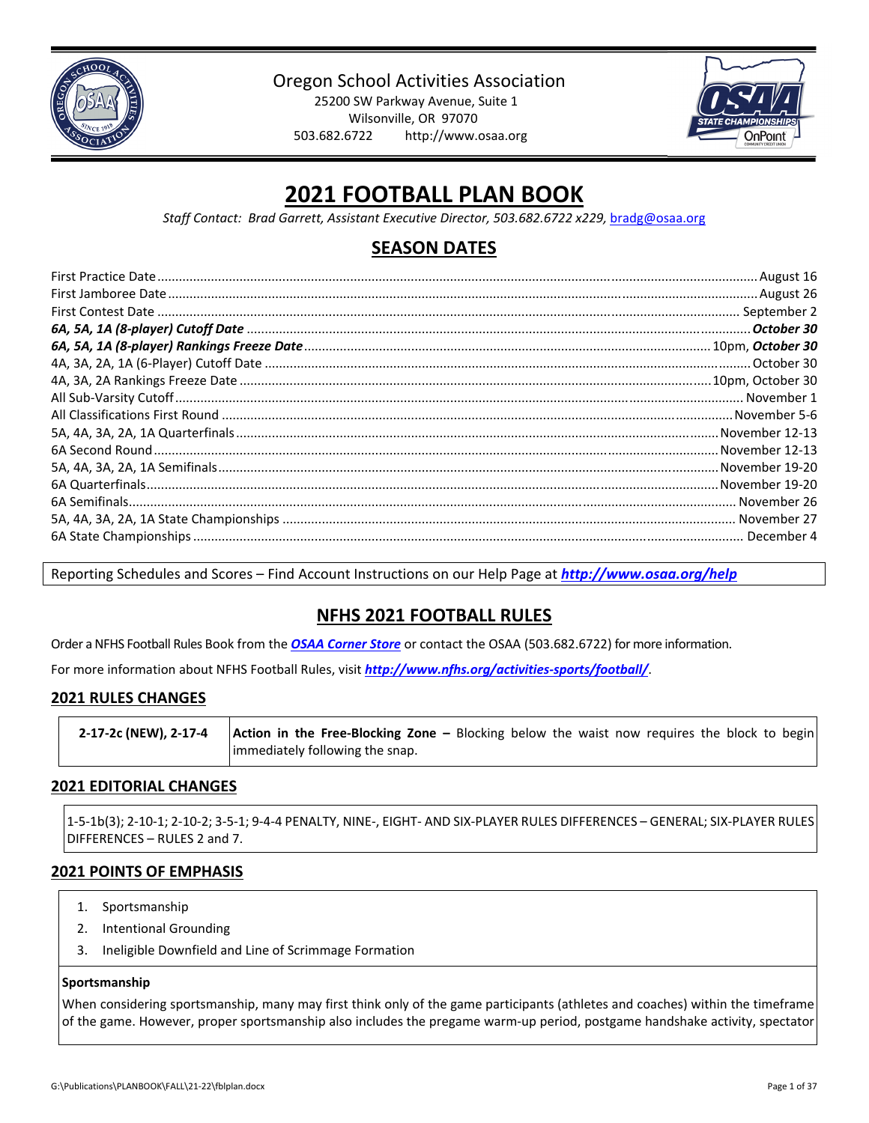

Oregon School Activities Association

25200 SW Parkway Avenue, Suite 1 Wilsonville, OR 97070 503.682.6722 http://www.osaa.org



# **2021 FOOTBALL PLAN BOOK**

*Staff Contact: Brad Garrett, Assistant Executive Director, 503.682.6722 x229,* bradg@osaa.org

## **SEASON DATES**

Reporting Schedules and Scores – Find Account Instructions on our Help Page at *[http://www.osaa.org/help](http://www.osaa.org/help/)*

## **NFHS 2021 FOOTBALL RULES**

Order a NFHS Football Rules Book from the *OSAA [Corner](http://www.osaa.org/governance/forms) Store* or contact the OSAA (503.682.6722) for more information.

For more information about NFHS Football Rules, visit *[http://www.nfhs.org/activities](http://www.nfhs.org/activities-sports/football/)‐sports/football/*.

### **2021 RULES CHANGES**

| 2-17-2c (NEW), 2-17-4 | <b>Action in the Free-Blocking Zone -</b> Blocking below the waist now requires the block to begin |
|-----------------------|----------------------------------------------------------------------------------------------------|
|                       | limmediately following the snap.                                                                   |

### **2021 EDITORIAL CHANGES**

1‐5‐1b(3); 2‐10‐1; 2‐10‐2; 3‐5‐1; 9‐4‐4 PENALTY, NINE‐, EIGHT‐ AND SIX‐PLAYER RULES DIFFERENCES – GENERAL; SIX‐PLAYER RULES DIFFERENCES – RULES 2 and 7.

### **2021 POINTS OF EMPHASIS**

- 1. Sportsmanship
- 2. Intentional Grounding
- 3. Ineligible Downfield and Line of Scrimmage Formation

### **Sportsmanship**

When considering sportsmanship, many may first think only of the game participants (athletes and coaches) within the timeframe of the game. However, proper sportsmanship also includes the pregame warm‐up period, postgame handshake activity, spectator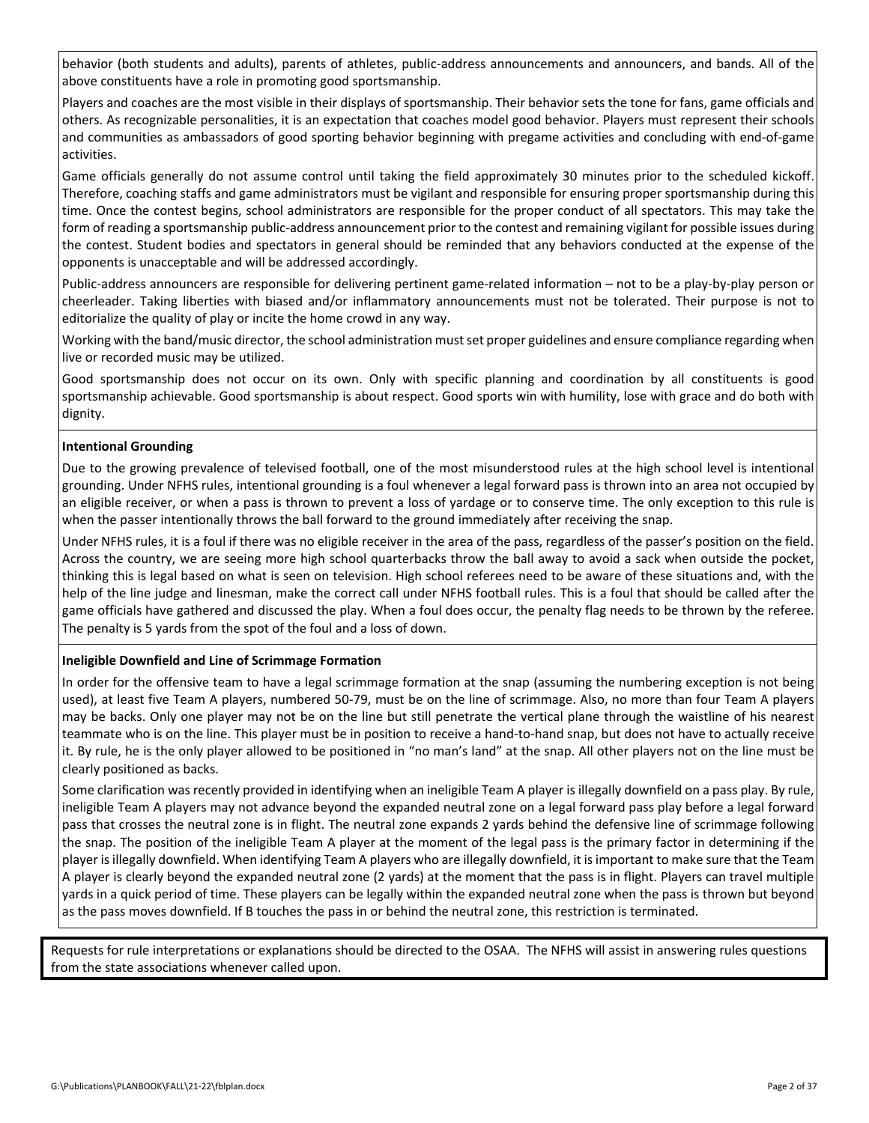behavior (both students and adults), parents of athletes, public‐address announcements and announcers, and bands. All of the above constituents have a role in promoting good sportsmanship.

Players and coaches are the most visible in their displays of sportsmanship. Their behavior sets the tone for fans, game officials and others. As recognizable personalities, it is an expectation that coaches model good behavior. Players must represent their schools and communities as ambassadors of good sporting behavior beginning with pregame activities and concluding with end‐of‐game activities.

Game officials generally do not assume control until taking the field approximately 30 minutes prior to the scheduled kickoff. Therefore, coaching staffs and game administrators must be vigilant and responsible for ensuring proper sportsmanship during this time. Once the contest begins, school administrators are responsible for the proper conduct of all spectators. This may take the form of reading a sportsmanship public-address announcement prior to the contest and remaining vigilant for possible issues during the contest. Student bodies and spectators in general should be reminded that any behaviors conducted at the expense of the opponents is unacceptable and will be addressed accordingly.

Public‐address announcers are responsible for delivering pertinent game‐related information – not to be a play‐by‐play person or cheerleader. Taking liberties with biased and/or inflammatory announcements must not be tolerated. Their purpose is not to editorialize the quality of play or incite the home crowd in any way.

Working with the band/music director, the school administration mustset proper guidelines and ensure compliance regarding when live or recorded music may be utilized.

Good sportsmanship does not occur on its own. Only with specific planning and coordination by all constituents is good sportsmanship achievable. Good sportsmanship is about respect. Good sports win with humility, lose with grace and do both with dignity.

### **Intentional Grounding**

Due to the growing prevalence of televised football, one of the most misunderstood rules at the high school level is intentional grounding. Under NFHS rules, intentional grounding is a foul whenever a legal forward pass is thrown into an area not occupied by an eligible receiver, or when a pass is thrown to prevent a loss of yardage or to conserve time. The only exception to this rule is when the passer intentionally throws the ball forward to the ground immediately after receiving the snap.

Under NFHS rules, it is a foul if there was no eligible receiver in the area of the pass, regardless of the passer's position on the field. Across the country, we are seeing more high school quarterbacks throw the ball away to avoid a sack when outside the pocket, thinking this is legal based on what is seen on television. High school referees need to be aware of these situations and, with the help of the line judge and linesman, make the correct call under NFHS football rules. This is a foul that should be called after the game officials have gathered and discussed the play. When a foul does occur, the penalty flag needs to be thrown by the referee. The penalty is 5 yards from the spot of the foul and a loss of down.

### **Ineligible Downfield and Line of Scrimmage Formation**

In order for the offensive team to have a legal scrimmage formation at the snap (assuming the numbering exception is not being used), at least five Team A players, numbered 50‐79, must be on the line of scrimmage. Also, no more than four Team A players may be backs. Only one player may not be on the line but still penetrate the vertical plane through the waistline of his nearest teammate who is on the line. This player must be in position to receive a hand‐to‐hand snap, but does not have to actually receive it. By rule, he is the only player allowed to be positioned in "no man's land" at the snap. All other players not on the line must be clearly positioned as backs.

Some clarification was recently provided in identifying when an ineligible Team A player is illegally downfield on a pass play. By rule, ineligible Team A players may not advance beyond the expanded neutral zone on a legal forward pass play before a legal forward pass that crosses the neutral zone is in flight. The neutral zone expands 2 yards behind the defensive line of scrimmage following the snap. The position of the ineligible Team A player at the moment of the legal pass is the primary factor in determining if the player isillegally downfield. When identifying Team A players who are illegally downfield, it isimportant to make sure that the Team A player is clearly beyond the expanded neutral zone (2 yards) at the moment that the pass is in flight. Players can travel multiple yards in a quick period of time. These players can be legally within the expanded neutral zone when the pass is thrown but beyond as the pass moves downfield. If B touches the pass in or behind the neutral zone, this restriction is terminated.

Requests for rule interpretations or explanations should be directed to the OSAA. The NFHS will assist in answering rules questions from the state associations whenever called upon.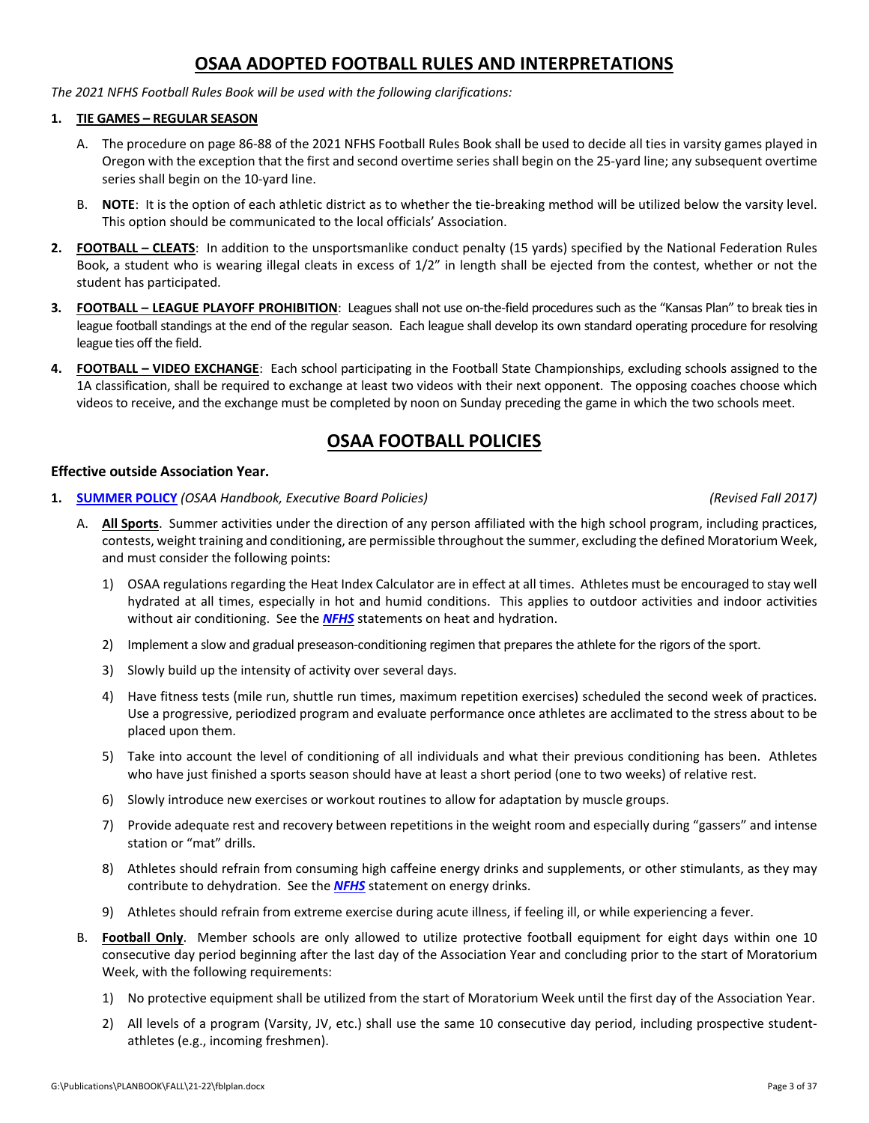## **OSAA ADOPTED FOOTBALL RULES AND INTERPRETATIONS**

*The 2021 NFHS Football Rules Book will be used with the following clarifications:*

### **1. TIE GAMES – REGULAR SEASON**

- A. The procedure on page 86‐88 of the 2021 NFHS Football Rules Book shall be used to decide all ties in varsity games played in Oregon with the exception that the first and second overtime series shall begin on the 25‐yard line; any subsequent overtime series shall begin on the 10-yard line.
- B. **NOTE:** It is the option of each athletic district as to whether the tie-breaking method will be utilized below the varsity level. This option should be communicated to the local officials' Association.
- **2. FOOTBALL – CLEATS**: In addition to the unsportsmanlike conduct penalty (15 yards) specified by the National Federation Rules Book, a student who is wearing illegal cleats in excess of 1/2" in length shall be ejected from the contest, whether or not the student has participated.
- **3. FOOTBALL LEAGUE PLAYOFF PROHIBITION**: Leagues shall not use on-the-field procedures such as the "Kansas Plan" to break ties in league football standings at the end of the regular season. Each league shall develop its own standard operating procedure for resolving league ties off the field.
- **4. FOOTBALL – VIDEO EXCHANGE**: Each school participating in the Football State Championships, excluding schools assigned to the 1A classification, shall be required to exchange at least two videos with their next opponent. The opposing coaches choose which videos to receive, and the exchange must be completed by noon on Sunday preceding the game in which the two schools meet.

## **OSAA FOOTBALL POLICIES**

### **Effective outside Association Year.**

**1. [SUMMER](http://www.osaa.org/governance/handbooks/osaa#_Toc456100463) POLICY** *(OSAA Handbook, Executive Board Policies) (Revised Fall 2017)*

- A. **All Sports**. Summer activities under the direction of any person affiliated with the high school program, including practices, contests, weight training and conditioning, are permissible throughout the summer, excluding the defined Moratorium Week, and must consider the following points:
	- 1) OSAA regulations regarding the Heat Index Calculator are in effect at all times. Athletes must be encouraged to stay well hydrated at all times, especially in hot and humid conditions. This applies to outdoor activities and indoor activities without air conditioning. See the *[NFHS](http://www.nfhs.org/sports-resource-content/nfhs-sports-medicine-position-statements-and-guidelines/)* statements on heat and hydration.
	- 2) Implement a slow and gradual preseason-conditioning regimen that prepares the athlete for the rigors of the sport.
	- 3) Slowly build up the intensity of activity over several days.
	- 4) Have fitness tests (mile run, shuttle run times, maximum repetition exercises) scheduled the second week of practices. Use a progressive, periodized program and evaluate performance once athletes are acclimated to the stress about to be placed upon them.
	- 5) Take into account the level of conditioning of all individuals and what their previous conditioning has been. Athletes who have just finished a sports season should have at least a short period (one to two weeks) of relative rest.
	- 6) Slowly introduce new exercises or workout routines to allow for adaptation by muscle groups.
	- 7) Provide adequate rest and recovery between repetitions in the weight room and especially during "gassers" and intense station or "mat" drills.
	- 8) Athletes should refrain from consuming high caffeine energy drinks and supplements, or other stimulants, as they may contribute to dehydration. See the *[NFHS](http://www.nfhs.org/sports-resource-content/nfhs-sports-medicine-position-statements-and-guidelines/)* statement on energy drinks.
	- 9) Athletes should refrain from extreme exercise during acute illness, if feeling ill, or while experiencing a fever.
- B. **Football Only**. Member schools are only allowed to utilize protective football equipment for eight days within one 10 consecutive day period beginning after the last day of the Association Year and concluding prior to the start of Moratorium Week, with the following requirements:
	- 1) No protective equipment shall be utilized from the start of Moratorium Week until the first day of the Association Year.
	- 2) All levels of a program (Varsity, JV, etc.) shall use the same 10 consecutive day period, including prospective studentathletes (e.g., incoming freshmen).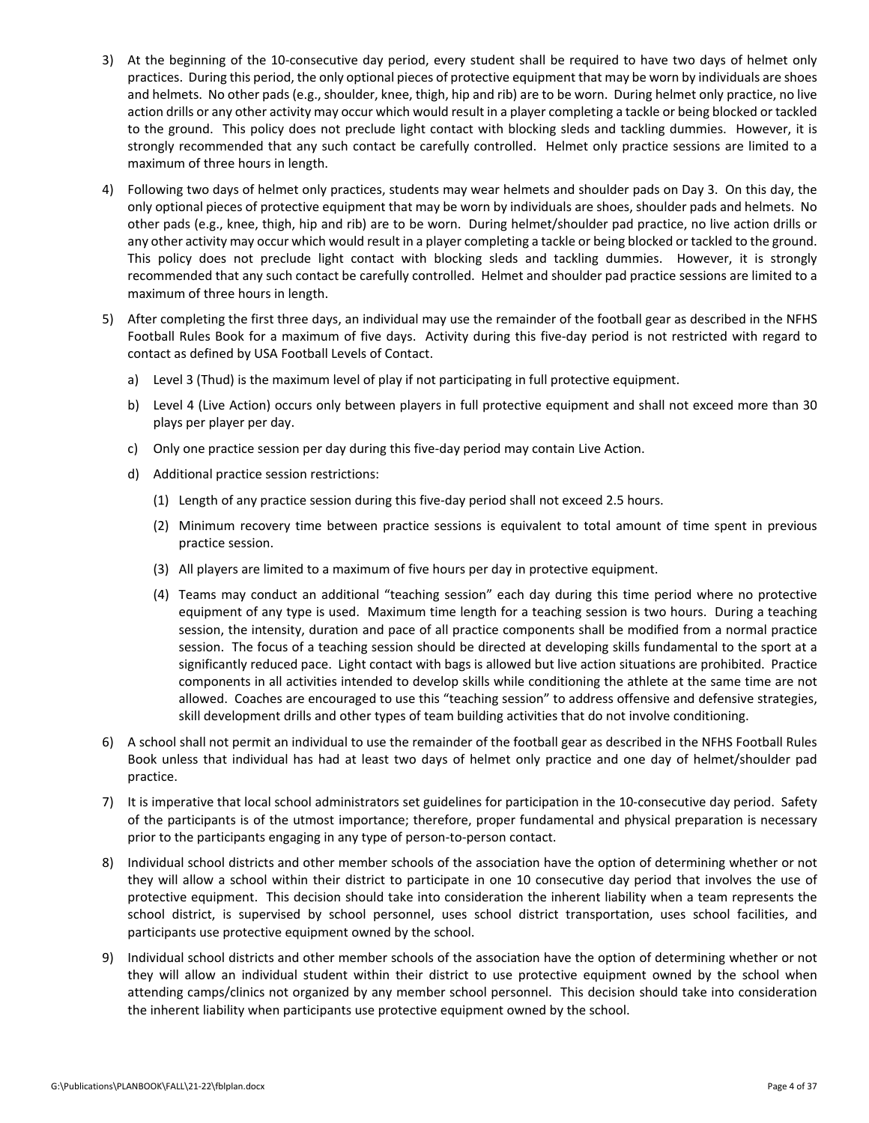- 3) At the beginning of the 10‐consecutive day period, every student shall be required to have two days of helmet only practices. During this period, the only optional pieces of protective equipment that may be worn by individuals are shoes and helmets. No other pads (e.g., shoulder, knee, thigh, hip and rib) are to be worn. During helmet only practice, no live action drills or any other activity may occur which would result in a player completing a tackle or being blocked or tackled to the ground. This policy does not preclude light contact with blocking sleds and tackling dummies. However, it is strongly recommended that any such contact be carefully controlled. Helmet only practice sessions are limited to a maximum of three hours in length.
- 4) Following two days of helmet only practices, students may wear helmets and shoulder pads on Day 3. On this day, the only optional pieces of protective equipment that may be worn by individuals are shoes, shoulder pads and helmets. No other pads (e.g., knee, thigh, hip and rib) are to be worn. During helmet/shoulder pad practice, no live action drills or any other activity may occur which would result in a player completing a tackle or being blocked or tackled to the ground. This policy does not preclude light contact with blocking sleds and tackling dummies. However, it is strongly recommended that any such contact be carefully controlled. Helmet and shoulder pad practice sessions are limited to a maximum of three hours in length.
- 5) After completing the first three days, an individual may use the remainder of the football gear as described in the NFHS Football Rules Book for a maximum of five days. Activity during this five‐day period is not restricted with regard to contact as defined by USA Football Levels of Contact.
	- a) Level 3 (Thud) is the maximum level of play if not participating in full protective equipment.
	- b) Level 4 (Live Action) occurs only between players in full protective equipment and shall not exceed more than 30 plays per player per day.
	- c) Only one practice session per day during this five‐day period may contain Live Action.
	- d) Additional practice session restrictions:
		- (1) Length of any practice session during this five‐day period shall not exceed 2.5 hours.
		- (2) Minimum recovery time between practice sessions is equivalent to total amount of time spent in previous practice session.
		- (3) All players are limited to a maximum of five hours per day in protective equipment.
		- (4) Teams may conduct an additional "teaching session" each day during this time period where no protective equipment of any type is used. Maximum time length for a teaching session is two hours. During a teaching session, the intensity, duration and pace of all practice components shall be modified from a normal practice session. The focus of a teaching session should be directed at developing skills fundamental to the sport at a significantly reduced pace. Light contact with bags is allowed but live action situations are prohibited. Practice components in all activities intended to develop skills while conditioning the athlete at the same time are not allowed. Coaches are encouraged to use this "teaching session" to address offensive and defensive strategies, skill development drills and other types of team building activities that do not involve conditioning.
- 6) A school shall not permit an individual to use the remainder of the football gear as described in the NFHS Football Rules Book unless that individual has had at least two days of helmet only practice and one day of helmet/shoulder pad practice.
- 7) It is imperative that local school administrators set guidelines for participation in the 10-consecutive day period. Safety of the participants is of the utmost importance; therefore, proper fundamental and physical preparation is necessary prior to the participants engaging in any type of person‐to‐person contact.
- 8) Individual school districts and other member schools of the association have the option of determining whether or not they will allow a school within their district to participate in one 10 consecutive day period that involves the use of protective equipment. This decision should take into consideration the inherent liability when a team represents the school district, is supervised by school personnel, uses school district transportation, uses school facilities, and participants use protective equipment owned by the school.
- 9) Individual school districts and other member schools of the association have the option of determining whether or not they will allow an individual student within their district to use protective equipment owned by the school when attending camps/clinics not organized by any member school personnel. This decision should take into consideration the inherent liability when participants use protective equipment owned by the school.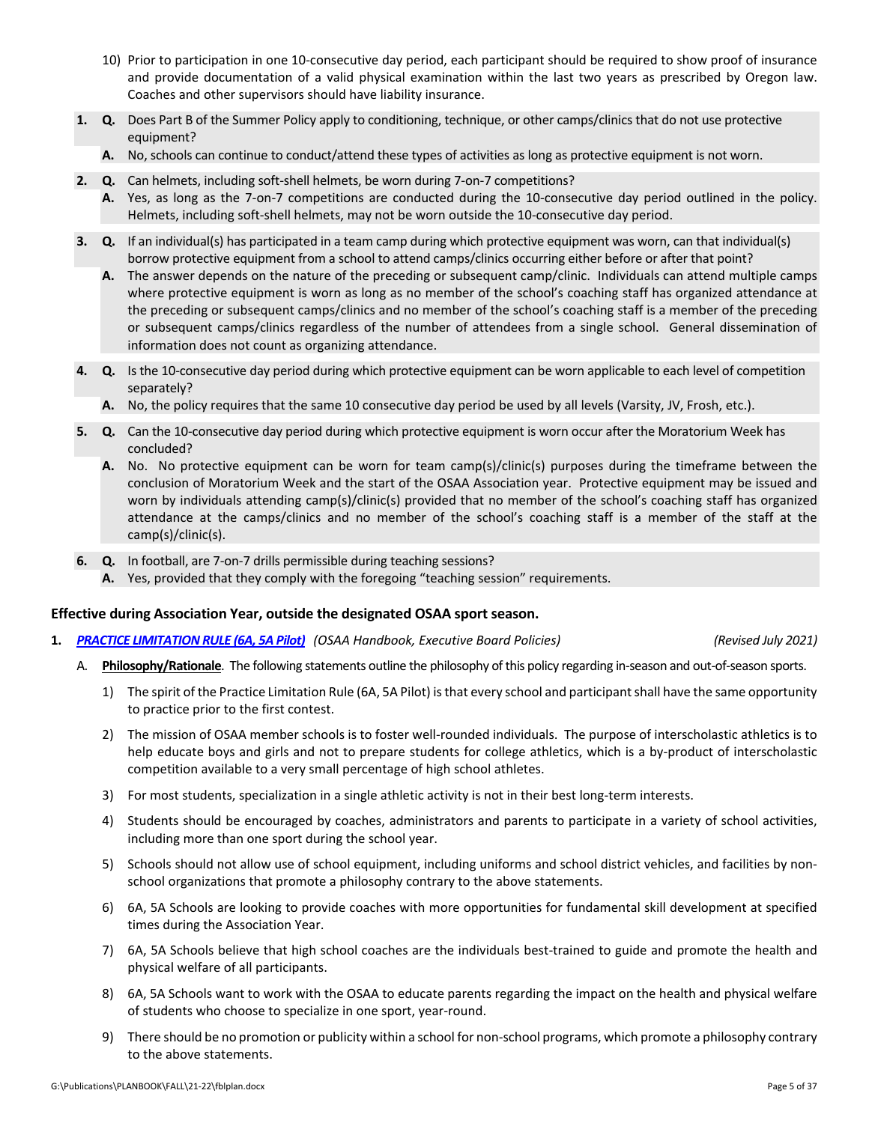- 10) Prior to participation in one 10‐consecutive day period, each participant should be required to show proof of insurance and provide documentation of a valid physical examination within the last two years as prescribed by Oregon law. Coaches and other supervisors should have liability insurance.
- **1. Q.** Does Part B of the Summer Policy apply to conditioning, technique, or other camps/clinics that do not use protective equipment?
	- **A.** No, schools can continue to conduct/attend these types of activities as long as protective equipment is not worn.
- **2. Q.** Can helmets, including soft‐shell helmets, be worn during 7‐on‐7 competitions?
	- **A.** Yes, as long as the 7‐on‐7 competitions are conducted during the 10‐consecutive day period outlined in the policy. Helmets, including soft‐shell helmets, may not be worn outside the 10‐consecutive day period.
- **3. Q.** If an individual(s) has participated in a team camp during which protective equipment was worn, can that individual(s) borrow protective equipment from a school to attend camps/clinics occurring either before or after that point?
	- **A.** The answer depends on the nature of the preceding or subsequent camp/clinic. Individuals can attend multiple camps where protective equipment is worn as long as no member of the school's coaching staff has organized attendance at the preceding or subsequent camps/clinics and no member of the school's coaching staff is a member of the preceding or subsequent camps/clinics regardless of the number of attendees from a single school. General dissemination of information does not count as organizing attendance.
- **4. Q.** Is the 10‐consecutive day period during which protective equipment can be worn applicable to each level of competition separately?
	- **A.** No, the policy requires that the same 10 consecutive day period be used by all levels (Varsity, JV, Frosh, etc.).
- **5. Q.** Can the 10‐consecutive day period during which protective equipment is worn occur after the Moratorium Week has concluded?
	- **A.** No. No protective equipment can be worn for team camp(s)/clinic(s) purposes during the timeframe between the conclusion of Moratorium Week and the start of the OSAA Association year. Protective equipment may be issued and worn by individuals attending camp(s)/clinic(s) provided that no member of the school's coaching staff has organized attendance at the camps/clinics and no member of the school's coaching staff is a member of the staff at the camp(s)/clinic(s).
- **6. Q.** In football, are 7‐on‐7 drills permissible during teaching sessions?
	- **A.** Yes, provided that they comply with the foregoing "teaching session" requirements.

### **Effective during Association Year, outside the designated OSAA sport season.**

**1.** *PRACTICE [LIMITATION](http://www.osaa.org/governance/handbooks/osaa#_Toc456100421) RULE (6A, 5A Pilot) (OSAA Handbook, Executive Board Policies) (Revised July 2021)*

- A. Philosophy/Rationale. The following statements outline the philosophy of this policy regarding in-season and out-of-season sports.
	- 1) The spirit of the Practice Limitation Rule (6A, 5A Pilot) is that every school and participant shall have the same opportunity to practice prior to the first contest.
	- 2) The mission of OSAA member schools is to foster well-rounded individuals. The purpose of interscholastic athletics is to help educate boys and girls and not to prepare students for college athletics, which is a by-product of interscholastic competition available to a very small percentage of high school athletes.
	- 3) For most students, specialization in a single athletic activity is not in their best long-term interests.
	- 4) Students should be encouraged by coaches, administrators and parents to participate in a variety of school activities, including more than one sport during the school year.
	- 5) Schools should not allow use of school equipment, including uniforms and school district vehicles, and facilities by nonschool organizations that promote a philosophy contrary to the above statements.
	- 6) 6A, 5A Schools are looking to provide coaches with more opportunities for fundamental skill development at specified times during the Association Year.
	- 7) 6A, 5A Schools believe that high school coaches are the individuals best-trained to guide and promote the health and physical welfare of all participants.
	- 8) 6A, 5A Schools want to work with the OSAA to educate parents regarding the impact on the health and physical welfare of students who choose to specialize in one sport, year‐round.
	- 9) There should be no promotion or publicity within a school for non-school programs, which promote a philosophy contrary to the above statements.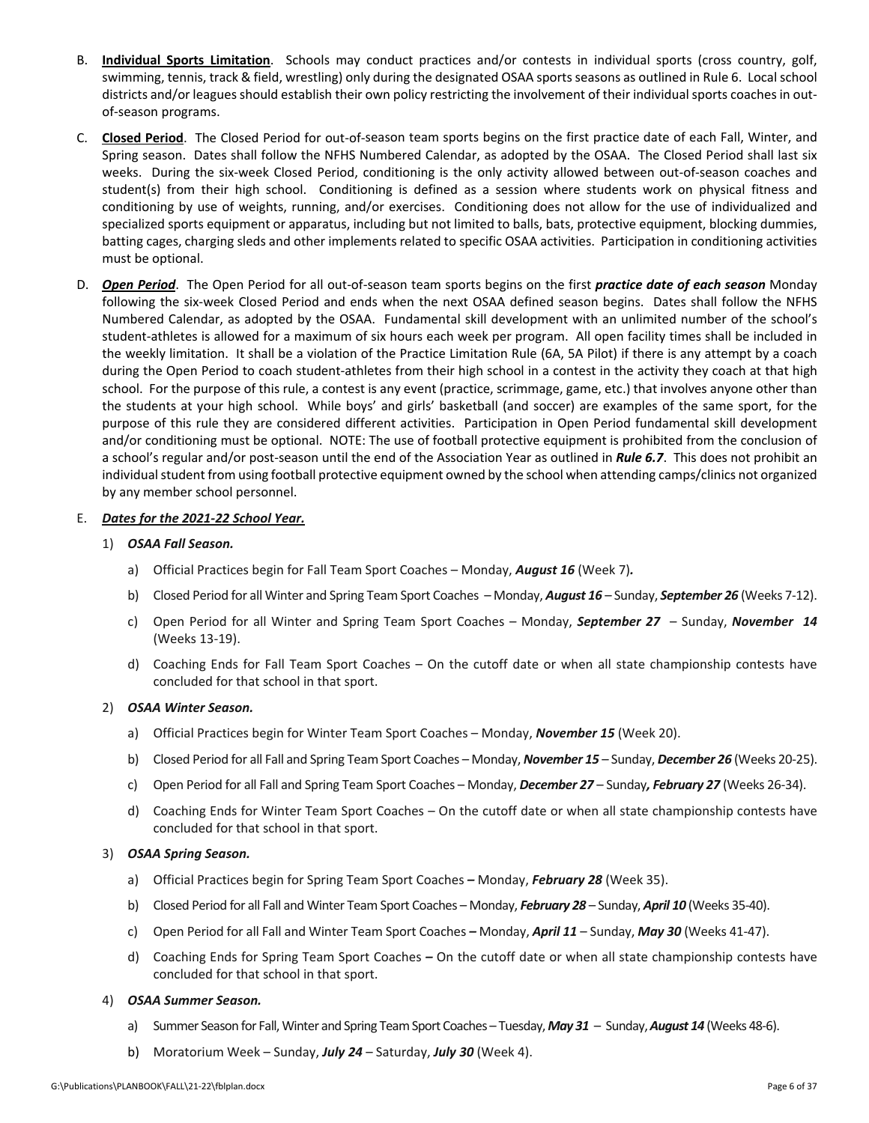- B. **Individual Sports Limitation**. Schools may conduct practices and/or contests in individual sports (cross country, golf, swimming, tennis, track & field, wrestling) only during the designated OSAA sports seasons as outlined in Rule 6. Local school districts and/or leagues should establish their own policy restricting the involvement of their individual sports coaches in outof‐season programs.
- C. **Closed Period**. The Closed Period for out‐of‐season team sports begins on the first practice date of each Fall, Winter, and Spring season. Dates shall follow the NFHS Numbered Calendar, as adopted by the OSAA. The Closed Period shall last six weeks. During the six-week Closed Period, conditioning is the only activity allowed between out-of-season coaches and student(s) from their high school. Conditioning is defined as a session where students work on physical fitness and conditioning by use of weights, running, and/or exercises. Conditioning does not allow for the use of individualized and specialized sports equipment or apparatus, including but not limited to balls, bats, protective equipment, blocking dummies, batting cages, charging sleds and other implements related to specific OSAA activities. Participation in conditioning activities must be optional.
- D. *Open Period*. The Open Period for all out‐of‐season team sports begins on the first *practice date of each season* Monday following the six-week Closed Period and ends when the next OSAA defined season begins. Dates shall follow the NFHS Numbered Calendar, as adopted by the OSAA. Fundamental skill development with an unlimited number of the school's student‐athletes is allowed for a maximum of six hours each week per program. All open facility times shall be included in the weekly limitation. It shall be a violation of the Practice Limitation Rule (6A, 5A Pilot) if there is any attempt by a coach during the Open Period to coach student-athletes from their high school in a contest in the activity they coach at that high school. For the purpose of this rule, a contest is any event (practice, scrimmage, game, etc.) that involves anyone other than the students at your high school. While boys' and girls' basketball (and soccer) are examples of the same sport, for the purpose of this rule they are considered different activities. Participation in Open Period fundamental skill development and/or conditioning must be optional. NOTE: The use of football protective equipment is prohibited from the conclusion of a school's regular and/or post‐season until the end of the Association Year as outlined in *Rule 6.7*. This does not prohibit an individual student from using football protective equipment owned by the school when attending camps/clinics not organized by any member school personnel.

### E. *Dates for the 2021‐22 School Year.*

- 1) *OSAA Fall Season.* 
	- a) Official Practices begin for Fall Team Sport Coaches Monday, *August 16* (Week 7)*.*
	- b) Closed Period for all Winter and Spring Team Sport Coaches Monday, *August 16* Sunday, *September 26* (Weeks 7‐12).
	- c) Open Period for all Winter and Spring Team Sport Coaches Monday, *September 27*  Sunday, *November 14* (Weeks 13‐19).
	- d) Coaching Ends for Fall Team Sport Coaches On the cutoff date or when all state championship contests have concluded for that school in that sport.

### 2) *OSAA Winter Season.*

- a) Official Practices begin for Winter Team Sport Coaches Monday, *November 15* (Week 20).
- b) Closed Period for all Fall and Spring Team Sport Coaches Monday, *November 15* Sunday, *December 26* (Weeks 20‐25).
- c) Open Period for all Fall and Spring Team Sport Coaches Monday, *December 27* Sunday*, February 27* (Weeks 26‐34).
- d) Coaching Ends for Winter Team Sport Coaches On the cutoff date or when all state championship contests have concluded for that school in that sport.

### 3) *OSAA Spring Season.*

- a) Official Practices begin for Spring Team Sport Coaches *–* Monday, *February 28* (Week 35).
- b) Closed Period for all Fall and Winter Team Sport Coaches Monday, *February 28* Sunday, *April 10* (Weeks 35‐40).
- c) Open Period for all Fall and Winter Team Sport Coaches *–* Monday, *April 11* Sunday, *May 30* (Weeks 41‐47).
- d) Coaching Ends for Spring Team Sport Coaches *–* On the cutoff date or when all state championship contests have concluded for that school in that sport.

### 4) *OSAA Summer Season.*

- a) Summer Season for Fall, Winter and Spring Team Sport Coaches Tuesday, May 31 Sunday, August 14 (Weeks 48-6).
- b) Moratorium Week Sunday, *July 24* Saturday, *July 30* (Week 4).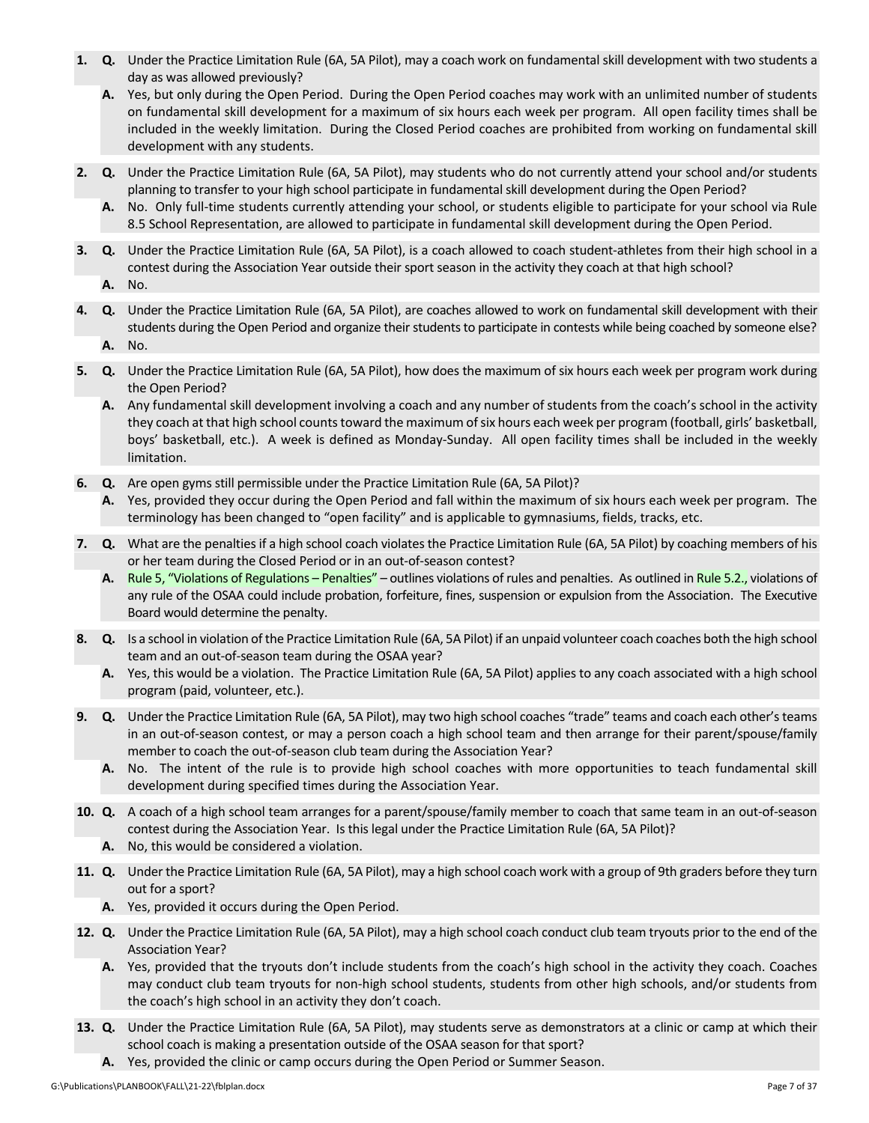- **1. Q.** Under the Practice Limitation Rule (6A, 5A Pilot), may a coach work on fundamental skill development with two students a day as was allowed previously?
	- **A.** Yes, but only during the Open Period. During the Open Period coaches may work with an unlimited number of students on fundamental skill development for a maximum of six hours each week per program. All open facility times shall be included in the weekly limitation. During the Closed Period coaches are prohibited from working on fundamental skill development with any students.
- **2. Q.** Under the Practice Limitation Rule (6A, 5A Pilot), may students who do not currently attend your school and/or students planning to transfer to your high school participate in fundamental skill development during the Open Period?
	- **A.** No. Only full‐time students currently attending your school, or students eligible to participate for your school via Rule 8.5 School Representation, are allowed to participate in fundamental skill development during the Open Period.
- **3. Q.** Under the Practice Limitation Rule (6A, 5A Pilot), is a coach allowed to coach student‐athletes from their high school in a contest during the Association Year outside their sport season in the activity they coach at that high school?
	- **A.** No.
- **4. Q.** Under the Practice Limitation Rule (6A, 5A Pilot), are coaches allowed to work on fundamental skill development with their students during the Open Period and organize their students to participate in contests while being coached by someone else?
	- **A.** No.
- **5. Q.** Under the Practice Limitation Rule (6A, 5A Pilot), how does the maximum of six hours each week per program work during the Open Period?
	- **A.** Any fundamental skill development involving a coach and any number of students from the coach's school in the activity they coach at that high school counts toward the maximum of six hours each week per program (football, girls' basketball, boys' basketball, etc.). A week is defined as Monday‐Sunday. All open facility times shall be included in the weekly limitation.
- **6. Q.** Are open gyms still permissible under the Practice Limitation Rule (6A, 5A Pilot)?
	- **A.** Yes, provided they occur during the Open Period and fall within the maximum of six hours each week per program. The terminology has been changed to "open facility" and is applicable to gymnasiums, fields, tracks, etc.
- **7. Q.** What are the penalties if a high school coach violates the Practice Limitation Rule (6A, 5A Pilot) by coaching members of his or her team during the Closed Period or in an out‐of‐season contest?
	- A. Rule 5, "Violations of [Regulations](http://www.osaa.org/governance/handbooks/osaa#_Toc456100268) Penalties" outlines violations of rules and penalties. As outlined in [Rule](http://www.osaa.org/governance/handbooks/osaa#_Toc456100268) 5.2., violations of any rule of the OSAA could include probation, forfeiture, fines, suspension or expulsion from the Association. The Executive Board would determine the penalty.
- **8. Q.** Is a school in violation of the Practice Limitation Rule (6A, 5A Pilot) if an unpaid volunteer coach coaches both the high school team and an out‐of‐season team during the OSAA year?
	- **A.** Yes, this would be a violation. The Practice Limitation Rule (6A, 5A Pilot) applies to any coach associated with a high school program (paid, volunteer, etc.).
- **9. Q.** Under the Practice Limitation Rule (6A, 5A Pilot), may two high school coaches "trade" teams and coach each other'steams in an out‐of‐season contest, or may a person coach a high school team and then arrange for their parent/spouse/family member to coach the out-of-season club team during the Association Year?
	- A. No. The intent of the rule is to provide high school coaches with more opportunities to teach fundamental skill development during specified times during the Association Year.
- **10. Q.** A coach of a high school team arranges for a parent/spouse/family member to coach that same team in an out‐of‐season contest during the Association Year. Is this legal under the Practice Limitation Rule (6A, 5A Pilot)?
	- **A.** No, this would be considered a violation.
- **11. Q.** Under the Practice Limitation Rule (6A, 5A Pilot), may a high school coach work with a group of 9th graders before they turn out for a sport?
	- **A.** Yes, provided it occurs during the Open Period.
- **12. Q.** Under the Practice Limitation Rule (6A, 5A Pilot), may a high school coach conduct club team tryouts prior to the end of the Association Year?
	- **A.** Yes, provided that the tryouts don't include students from the coach's high school in the activity they coach. Coaches may conduct club team tryouts for non‐high school students, students from other high schools, and/or students from the coach's high school in an activity they don't coach.
- **13. Q.** Under the Practice Limitation Rule (6A, 5A Pilot), may students serve as demonstrators at a clinic or camp at which their school coach is making a presentation outside of the OSAA season for that sport?
	- **A.** Yes, provided the clinic or camp occurs during the Open Period or Summer Season.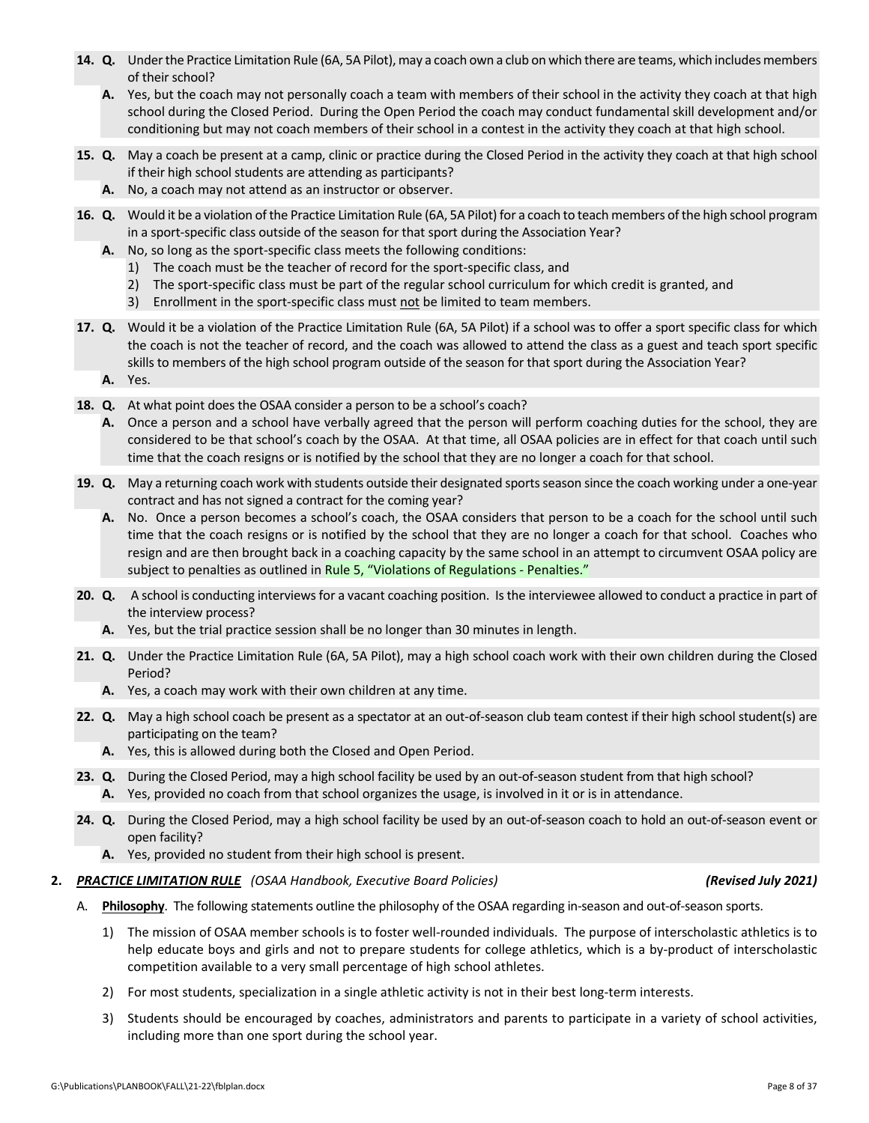- **14.** Q. Under the Practice Limitation Rule (6A, 5A Pilot), may a coach own a club on which there are teams, which includes members of their school?
	- **A.** Yes, but the coach may not personally coach a team with members of their school in the activity they coach at that high school during the Closed Period. During the Open Period the coach may conduct fundamental skill development and/or conditioning but may not coach members of their school in a contest in the activity they coach at that high school.
- **15. Q.** May a coach be present at a camp, clinic or practice during the Closed Period in the activity they coach at that high school if their high school students are attending as participants?
	- **A.** No, a coach may not attend as an instructor or observer.
- **16. Q.** Would it be a violation of the Practice Limitation Rule (6A, 5A Pilot) for a coach to teach members of the high school program in a sport-specific class outside of the season for that sport during the Association Year?
	- **A.** No, so long as the sport‐specific class meets the following conditions:
		- 1) The coach must be the teacher of record for the sport‐specific class, and
		- 2) The sport-specific class must be part of the regular school curriculum for which credit is granted, and
		- 3) Enrollment in the sport-specific class must not be limited to team members.
- **17. Q.** Would it be a violation of the Practice Limitation Rule (6A, 5A Pilot) if a school was to offer a sport specific class for which the coach is not the teacher of record, and the coach was allowed to attend the class as a guest and teach sport specific skills to members of the high school program outside of the season for that sport during the Association Year?
	- **A.** Yes.
- **18. Q.** At what point does the OSAA consider a person to be a school's coach?
	- **A.** Once a person and a school have verbally agreed that the person will perform coaching duties for the school, they are considered to be that school's coach by the OSAA. At that time, all OSAA policies are in effect for that coach until such time that the coach resigns or is notified by the school that they are no longer a coach for that school.
- 19. Q. May a returning coach work with students outside their designated sports season since the coach working under a one-year contract and has not signed a contract for the coming year?
	- **A.** No. Once a person becomes a school's coach, the OSAA considers that person to be a coach for the school until such time that the coach resigns or is notified by the school that they are no longer a coach for that school. Coaches who resign and are then brought back in a coaching capacity by the same school in an attempt to circumvent OSAA policy are subject to penalties as outlined in Rule 5, "Violations of [Regulations](http://www.osaa.org/governance/handbooks/osaa#_Toc456100268) - Penalties."
- **20. Q.** A school is conducting interviewsfor a vacant coaching position. Isthe interviewee allowed to conduct a practice in part of the interview process?
	- **A.** Yes, but the trial practice session shall be no longer than 30 minutes in length.
- **21. Q.** Under the Practice Limitation Rule (6A, 5A Pilot), may a high school coach work with their own children during the Closed Period?
	- **A.** Yes, a coach may work with their own children at any time.
- 22. Q. May a high school coach be present as a spectator at an out-of-season club team contest if their high school student(s) are participating on the team?
	- **A.** Yes, this is allowed during both the Closed and Open Period.
- **23. Q.** During the Closed Period, may a high school facility be used by an out‐of‐season student from that high school? **A.** Yes, provided no coach from that school organizes the usage, is involved in it or is in attendance.
- **24. Q.** During the Closed Period, may a high school facility be used by an out‐of‐season coach to hold an out‐of‐season event or open facility?
	- **A.** Yes, provided no student from their high school is present.

### **2.** *PRACTICE [LIMITATION](http://www.osaa.org/governance/handbooks/osaa#_Toc456100421) RULE (OSAA Handbook, Executive Board Policies) (Revised July 2021)*

- A. Philosophy. The following statements outline the philosophy of the OSAA regarding in-season and out-of-season sports.
	- 1) The mission of OSAA member schools is to foster well-rounded individuals. The purpose of interscholastic athletics is to help educate boys and girls and not to prepare students for college athletics, which is a by-product of interscholastic competition available to a very small percentage of high school athletes.
	- 2) For most students, specialization in a single athletic activity is not in their best long-term interests.
	- 3) Students should be encouraged by coaches, administrators and parents to participate in a variety of school activities, including more than one sport during the school year.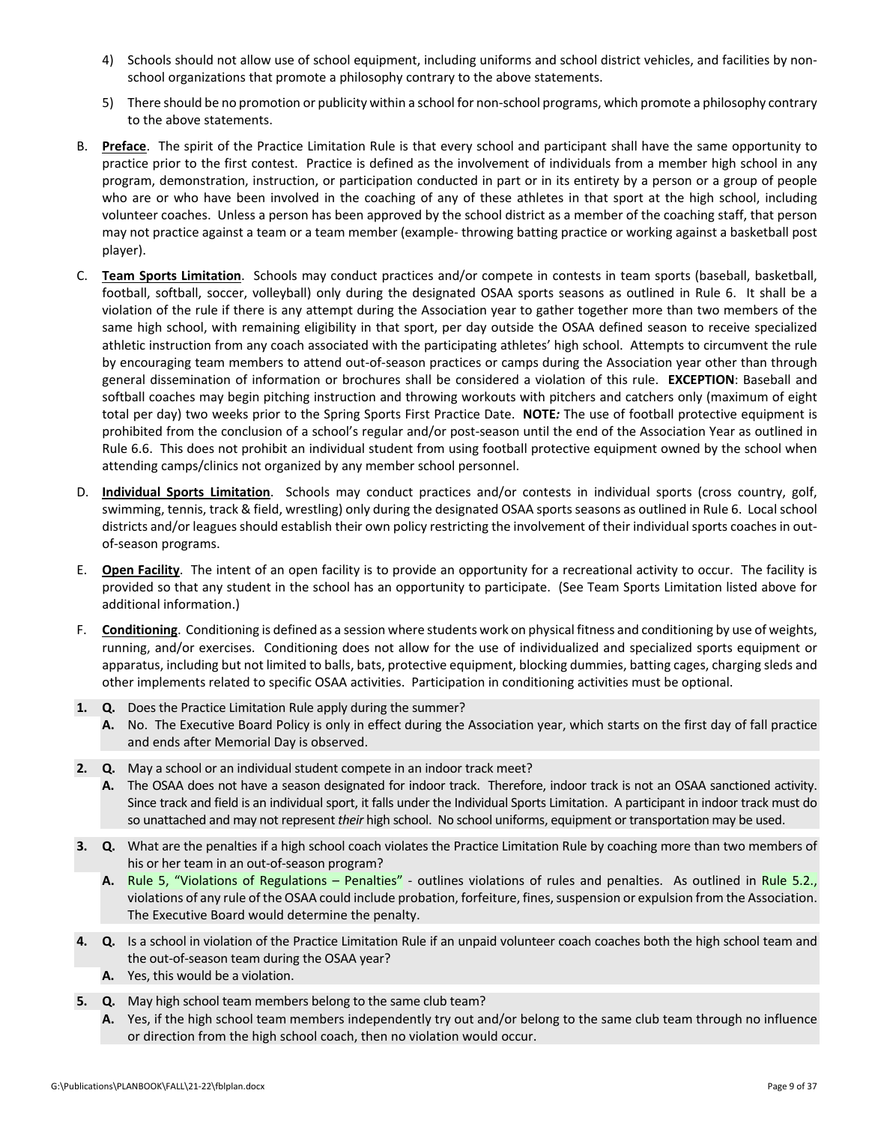- 4) Schools should not allow use of school equipment, including uniforms and school district vehicles, and facilities by nonschool organizations that promote a philosophy contrary to the above statements.
- 5) There should be no promotion or publicity within a school for non-school programs, which promote a philosophy contrary to the above statements.
- B. **Preface**. The spirit of the Practice Limitation Rule is that every school and participant shall have the same opportunity to practice prior to the first contest. Practice is defined as the involvement of individuals from a member high school in any program, demonstration, instruction, or participation conducted in part or in its entirety by a person or a group of people who are or who have been involved in the coaching of any of these athletes in that sport at the high school, including volunteer coaches. Unless a person has been approved by the school district as a member of the coaching staff, that person may not practice against a team or a team member (example‐ throwing batting practice or working against a basketball post player).
- C. **Team Sports Limitation**. Schools may conduct practices and/or compete in contests in team sports (baseball, basketball, football, softball, soccer, volleyball) only during the designated OSAA sports seasons as outlined in Rule 6. It shall be a violation of the rule if there is any attempt during the Association year to gather together more than two members of the same high school, with remaining eligibility in that sport, per day outside the OSAA defined season to receive specialized athletic instruction from any coach associated with the participating athletes' high school. Attempts to circumvent the rule by encouraging team members to attend out‐of‐season practices or camps during the Association year other than through general dissemination of information or brochures shall be considered a violation of this rule. **EXCEPTION**: Baseball and softball coaches may begin pitching instruction and throwing workouts with pitchers and catchers only (maximum of eight total per day) two weeks prior to the Spring Sports First Practice Date. **NOTE***:* The use of football protective equipment is prohibited from the conclusion of a school's regular and/or post-season until the end of the Association Year as outlined in Rule 6.6. This does not prohibit an individual student from using football protective equipment owned by the school when attending camps/clinics not organized by any member school personnel.
- D. **Individual Sports Limitation**. Schools may conduct practices and/or contests in individual sports (cross country, golf, swimming, tennis, track & field, wrestling) only during the designated OSAA sports seasons as outlined in Rule 6. Local school districts and/or leagues should establish their own policy restricting the involvement of their individual sports coaches in outof‐season programs.
- E. **Open Facility**. The intent of an open facility is to provide an opportunity for a recreational activity to occur. The facility is provided so that any student in the school has an opportunity to participate. (See Team Sports Limitation listed above for additional information.)
- F. **Conditioning**. Conditioning is defined as a session where students work on physical fitness and conditioning by use of weights, running, and/or exercises. Conditioning does not allow for the use of individualized and specialized sports equipment or apparatus, including but not limited to balls, bats, protective equipment, blocking dummies, batting cages, charging sleds and other implements related to specific OSAA activities. Participation in conditioning activities must be optional.
- **1. Q.** Does the Practice Limitation Rule apply during the summer?
	- **A.** No. The Executive Board Policy is only in effect during the Association year, which starts on the first day of fall practice and ends after Memorial Day is observed.
- **2. Q.** May a school or an individual student compete in an indoor track meet?
	- **A.** The OSAA does not have a season designated for indoor track. Therefore, indoor track is not an OSAA sanctioned activity. Since track and field is an individual sport, it falls under the Individual Sports Limitation. A participant in indoor track must do so unattached and may not represent *their* high school. No school uniforms, equipment or transportation may be used.
- **3. Q.** What are the penalties if a high school coach violates the Practice Limitation Rule by coaching more than two members of his or her team in an out‐of‐season program?
	- A. Rule 5, "Violations of [Regulations](http://www.osaa.org/governance/handbooks/osaa#_Toc456100268) Penalties" outlines violations of rules and penalties. As outlined in [Rule](http://www.osaa.org/governance/handbooks/osaa#_Toc456100268) 5.2., violations of any rule of the OSAA could include probation, forfeiture, fines, suspension or expulsion from the Association. The Executive Board would determine the penalty.
- **4. Q.** Is a school in violation of the Practice Limitation Rule if an unpaid volunteer coach coaches both the high school team and the out‐of‐season team during the OSAA year?
	- **A.** Yes, this would be a violation.
- **5. Q.** May high school team members belong to the same club team?
	- **A.** Yes, if the high school team members independently try out and/or belong to the same club team through no influence or direction from the high school coach, then no violation would occur.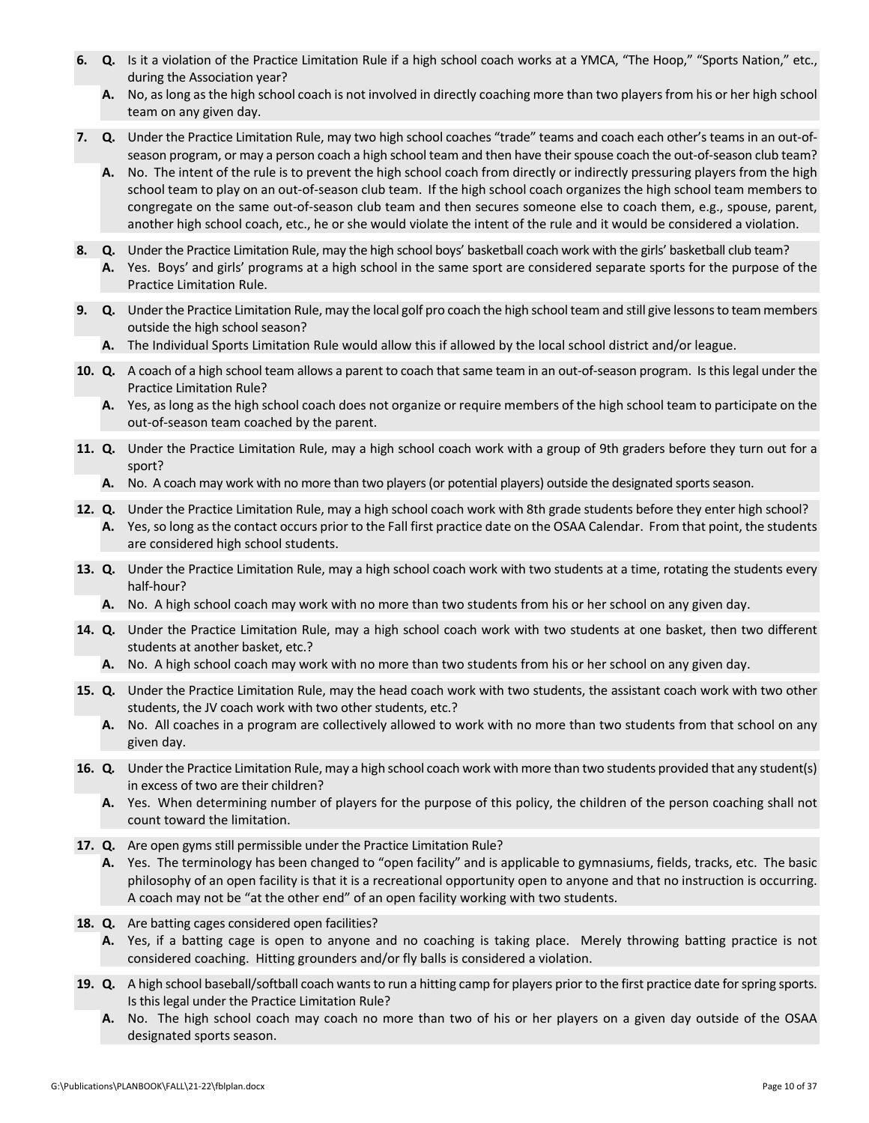- **6. Q.** Is it a violation of the Practice Limitation Rule if a high school coach works at a YMCA, "The Hoop," "Sports Nation," etc., during the Association year?
	- **A.** No, aslong asthe high school coach is not involved in directly coaching more than two players from his or her high school team on any given day.
- **7. Q.** Under the Practice Limitation Rule, may two high school coaches "trade" teams and coach each other's teams in an out‐of‐ season program, or may a person coach a high school team and then have their spouse coach the out-of-season club team?
	- **A.** No. The intent of the rule is to prevent the high school coach from directly or indirectly pressuring players from the high school team to play on an out‐of‐season club team. If the high school coach organizes the high school team members to congregate on the same out-of-season club team and then secures someone else to coach them, e.g., spouse, parent, another high school coach, etc., he or she would violate the intent of the rule and it would be considered a violation.
- **8. Q.** Under the Practice Limitation Rule, may the high school boys' basketball coach work with the girls' basketball club team?
	- **A.** Yes. Boys' and girls' programs at a high school in the same sport are considered separate sports for the purpose of the Practice Limitation Rule.
- **9.** Q. Under the Practice Limitation Rule, may the local golf pro coach the high school team and still give lessons to team members outside the high school season?
	- **A.** The Individual Sports Limitation Rule would allow this if allowed by the local school district and/or league.
- **10. Q.** A coach of a high school team allows a parent to coach that same team in an out‐of‐season program. Isthis legal under the Practice Limitation Rule?
	- **A.** Yes, as long as the high school coach does not organize or require members of the high school team to participate on the out‐of‐season team coached by the parent.
- **11. Q.** Under the Practice Limitation Rule, may a high school coach work with a group of 9th graders before they turn out for a sport?
	- A. No. A coach may work with no more than two players (or potential players) outside the designated sports season.
- **12. Q.** Under the Practice Limitation Rule, may a high school coach work with 8th grade students before they enter high school?
	- **A.** Yes, so long asthe contact occurs prior to the Fall first practice date on the OSAA Calendar. From that point, the students are considered high school students.
- **13. Q.** Under the Practice Limitation Rule, may a high school coach work with two students at a time, rotating the students every half‐hour?
	- **A.** No. A high school coach may work with no more than two students from his or her school on any given day.
- **14. Q.** Under the Practice Limitation Rule, may a high school coach work with two students at one basket, then two different students at another basket, etc.?
	- **A.** No. A high school coach may work with no more than two students from his or her school on any given day.
- **15. Q.** Under the Practice Limitation Rule, may the head coach work with two students, the assistant coach work with two other students, the JV coach work with two other students, etc.?
	- **A.** No. All coaches in a program are collectively allowed to work with no more than two students from that school on any given day.
- 16. Q. Under the Practice Limitation Rule, may a high school coach work with more than two students provided that any student(s) in excess of two are their children?
	- **A.** Yes. When determining number of players for the purpose of this policy, the children of the person coaching shall not count toward the limitation.
- **17. Q.** Are open gyms still permissible under the Practice Limitation Rule?
	- **A.** Yes. The terminology has been changed to "open facility" and is applicable to gymnasiums, fields, tracks, etc. The basic philosophy of an open facility is that it is a recreational opportunity open to anyone and that no instruction is occurring. A coach may not be "at the other end" of an open facility working with two students.
- **18. Q.** Are batting cages considered open facilities?
	- **A.** Yes, if a batting cage is open to anyone and no coaching is taking place. Merely throwing batting practice is not considered coaching. Hitting grounders and/or fly balls is considered a violation.
- 19. Q. A high school baseball/softball coach wants to run a hitting camp for players prior to the first practice date for spring sports. Is this legal under the Practice Limitation Rule?
	- **A.** No. The high school coach may coach no more than two of his or her players on a given day outside of the OSAA designated sports season.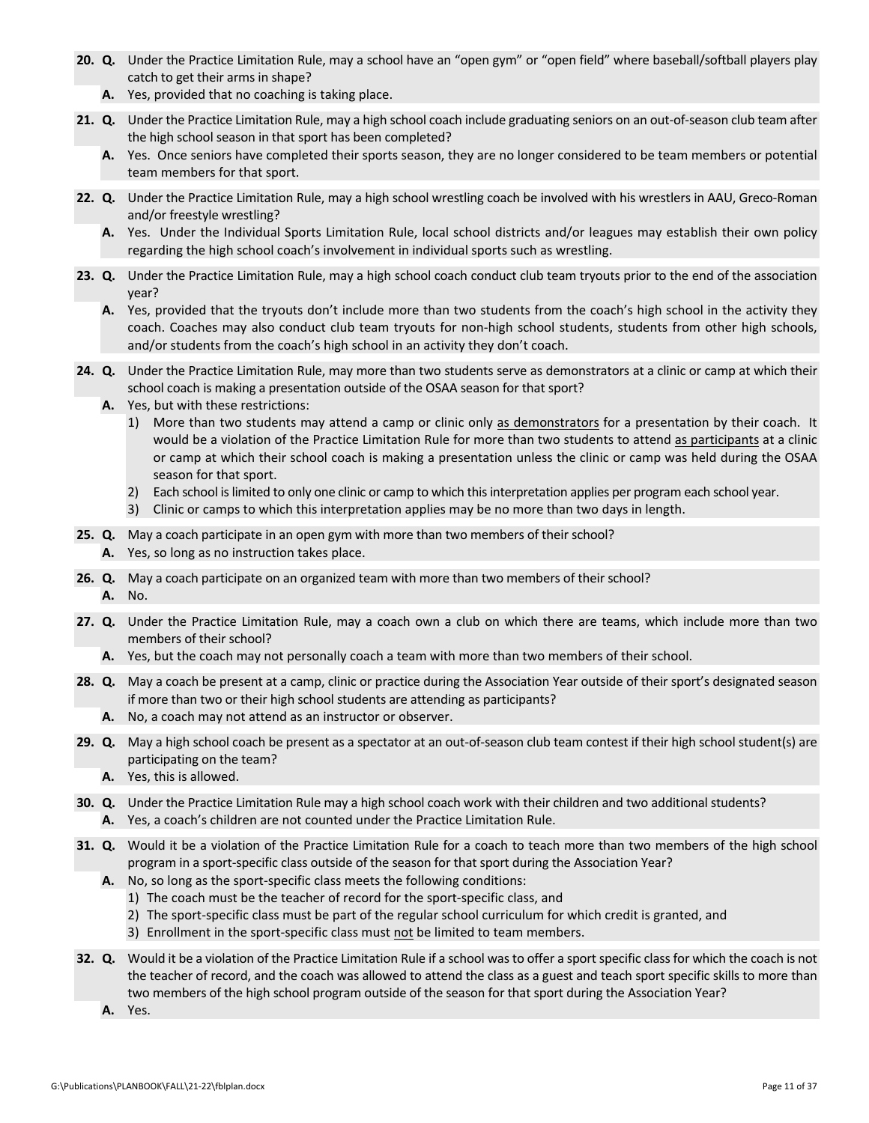- **20. Q.** Under the Practice Limitation Rule, may a school have an "open gym" or "open field" where baseball/softball players play catch to get their arms in shape?
	- **A.** Yes, provided that no coaching is taking place.
- **21. Q.** Under the Practice Limitation Rule, may a high school coach include graduating seniors on an out‐of‐season club team after the high school season in that sport has been completed?
	- **A.** Yes. Once seniors have completed their sports season, they are no longer considered to be team members or potential team members for that sport.
- **22. Q.** Under the Practice Limitation Rule, may a high school wrestling coach be involved with his wrestlers in AAU, Greco‐Roman and/or freestyle wrestling?
	- **A.** Yes. Under the Individual Sports Limitation Rule, local school districts and/or leagues may establish their own policy regarding the high school coach's involvement in individual sports such as wrestling.
- **23. Q.** Under the Practice Limitation Rule, may a high school coach conduct club team tryouts prior to the end of the association year?
	- **A.** Yes, provided that the tryouts don't include more than two students from the coach's high school in the activity they coach. Coaches may also conduct club team tryouts for non-high school students, students from other high schools, and/or students from the coach's high school in an activity they don't coach.
- **24. Q.** Under the Practice Limitation Rule, may more than two students serve as demonstrators at a clinic or camp at which their school coach is making a presentation outside of the OSAA season for that sport?
	- **A.** Yes, but with these restrictions:
		- 1) More than two students may attend a camp or clinic only as demonstrators for a presentation by their coach. It would be a violation of the Practice Limitation Rule for more than two students to attend as participants at a clinic or camp at which their school coach is making a presentation unless the clinic or camp was held during the OSAA season for that sport.
		- 2) Each school is limited to only one clinic or camp to which this interpretation applies per program each school year.
		- 3) Clinic or camps to which this interpretation applies may be no more than two days in length.
- **25. Q.** May a coach participate in an open gym with more than two members of their school?
	- **A.** Yes, so long as no instruction takes place.
- **26. Q.** May a coach participate on an organized team with more than two members of their school?
	- **A.** No.
- **27. Q.** Under the Practice Limitation Rule, may a coach own a club on which there are teams, which include more than two members of their school?
	- **A.** Yes, but the coach may not personally coach a team with more than two members of their school.
- **28. Q.** May a coach be present at a camp, clinic or practice during the Association Year outside of their sport's designated season if more than two or their high school students are attending as participants?
	- **A.** No, a coach may not attend as an instructor or observer.
- **29.** Q. May a high school coach be present as a spectator at an out-of-season club team contest if their high school student(s) are participating on the team?
	- **A.** Yes, this is allowed.
- **30. Q.** Under the Practice Limitation Rule may a high school coach work with their children and two additional students? **A.** Yes, a coach's children are not counted under the Practice Limitation Rule.
- **31. Q.** Would it be a violation of the Practice Limitation Rule for a coach to teach more than two members of the high school program in a sport-specific class outside of the season for that sport during the Association Year?
	- **A.** No, so long as the sport‐specific class meets the following conditions:
		- 1) The coach must be the teacher of record for the sport‐specific class, and
		- 2) The sport-specific class must be part of the regular school curriculum for which credit is granted, and
		- 3) Enrollment in the sport‐specific class must not be limited to team members.
- **32.** Q. Would it be a violation of the Practice Limitation Rule if a school was to offer a sport specific class for which the coach is not the teacher of record, and the coach was allowed to attend the class as a guest and teach sport specific skills to more than two members of the high school program outside of the season for that sport during the Association Year?
	- **A.** Yes.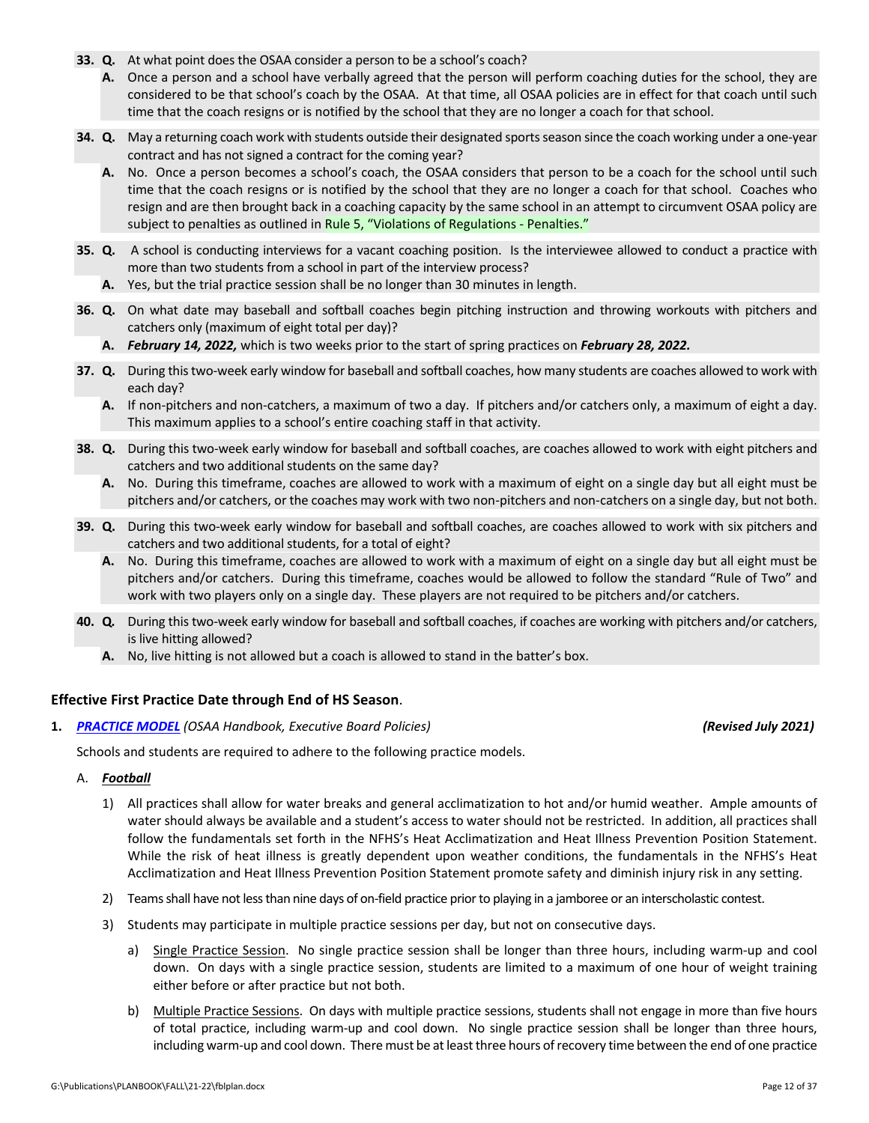- **33. Q.** At what point does the OSAA consider a person to be a school's coach?
	- **A.** Once a person and a school have verbally agreed that the person will perform coaching duties for the school, they are considered to be that school's coach by the OSAA. At that time, all OSAA policies are in effect for that coach until such time that the coach resigns or is notified by the school that they are no longer a coach for that school.
- **34.** Q. May a returning coach work with students outside their designated sports season since the coach working under a one-year contract and has not signed a contract for the coming year?
	- **A.** No. Once a person becomes a school's coach, the OSAA considers that person to be a coach for the school until such time that the coach resigns or is notified by the school that they are no longer a coach for that school. Coaches who resign and are then brought back in a coaching capacity by the same school in an attempt to circumvent OSAA policy are subject to penalties as outlined in Rule 5, "Violations of [Regulations](http://www.osaa.org/governance/handbooks/osaa#_Toc456100268) - Penalties."
- **35. Q.** A school is conducting interviews for a vacant coaching position. Is the interviewee allowed to conduct a practice with more than two students from a school in part of the interview process?
	- **A.** Yes, but the trial practice session shall be no longer than 30 minutes in length.
- **36. Q.** On what date may baseball and softball coaches begin pitching instruction and throwing workouts with pitchers and catchers only (maximum of eight total per day)?
	- **A.** *February 14, 2022,* which is two weeks prior to the start of spring practices on *February 28, 2022.*
- **37. Q.** During thistwo‐week early window for baseball and softball coaches, how many students are coaches allowed to work with each day?
	- **A.** If non‐pitchers and non‐catchers, a maximum of two a day. If pitchers and/or catchers only, a maximum of eight a day. This maximum applies to a school's entire coaching staff in that activity.
- **38.** Q. During this two-week early window for baseball and softball coaches, are coaches allowed to work with eight pitchers and catchers and two additional students on the same day?
	- **A.** No. During this timeframe, coaches are allowed to work with a maximum of eight on a single day but all eight must be pitchers and/or catchers, or the coaches may work with two non-pitchers and non-catchers on a single day, but not both.
- **39. Q.** During this two‐week early window for baseball and softball coaches, are coaches allowed to work with six pitchers and catchers and two additional students, for a total of eight?
	- **A.** No. During this timeframe, coaches are allowed to work with a maximum of eight on a single day but all eight must be pitchers and/or catchers. During this timeframe, coaches would be allowed to follow the standard "Rule of Two" and work with two players only on a single day. These players are not required to be pitchers and/or catchers.
- **40. Q***.* During this two‐week early window for baseball and softball coaches, if coaches are working with pitchers and/or catchers, is live hitting allowed?
	- **A.** No, live hitting is not allowed but a coach is allowed to stand in the batter's box.

### **Effective First Practice Date through End of HS Season**.

**1.** *[PRACTICE](http://www.osaa.org/governance/handbooks/osaa#_Toc456100422) MODEL (OSAA Handbook, Executive Board Policies) (Revised July 2021)*

Schools and students are required to adhere to the following practice models.

### A. *Football*

- 1) All practices shall allow for water breaks and general acclimatization to hot and/or humid weather. Ample amounts of water should always be available and a student's access to water should not be restricted. In addition, all practices shall follow the fundamentals set forth in the NFHS's Heat Acclimatization and Heat Illness Prevention Position Statement. While the risk of heat illness is greatly dependent upon weather conditions, the fundamentals in the NFHS's Heat Acclimatization and Heat Illness Prevention Position Statement promote safety and diminish injury risk in any setting.
- 2) Teams shall have not less than nine days of on-field practice prior to playing in a jamboree or an interscholastic contest.
- 3) Students may participate in multiple practice sessions per day, but not on consecutive days.
	- a) Single Practice Session. No single practice session shall be longer than three hours, including warm‐up and cool down. On days with a single practice session, students are limited to a maximum of one hour of weight training either before or after practice but not both.
	- b) Multiple Practice Sessions. On days with multiple practice sessions, students shall not engage in more than five hours of total practice, including warm‐up and cool down. No single practice session shall be longer than three hours, including warm-up and cool down. There must be at least three hours of recovery time between the end of one practice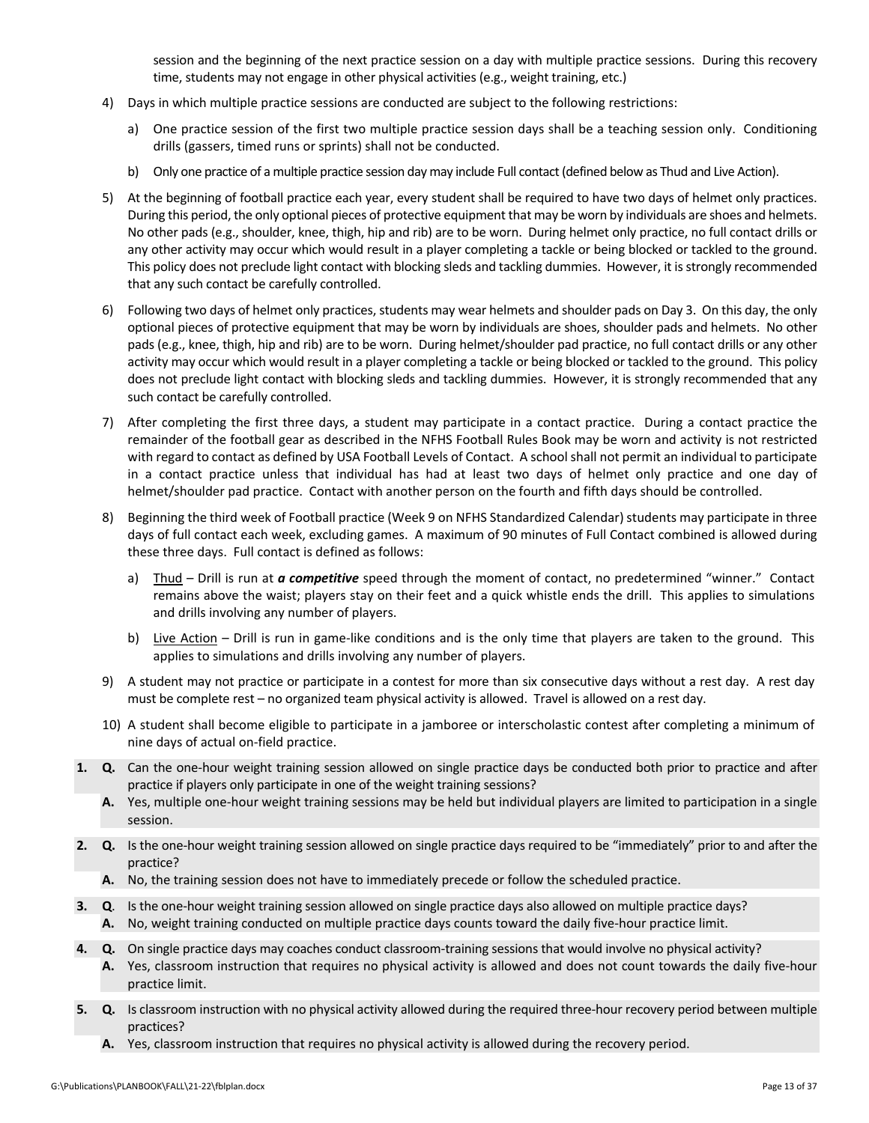session and the beginning of the next practice session on a day with multiple practice sessions. During this recovery time, students may not engage in other physical activities (e.g., weight training, etc.)

- 4) Days in which multiple practice sessions are conducted are subject to the following restrictions:
	- a) One practice session of the first two multiple practice session days shall be a teaching session only. Conditioning drills (gassers, timed runs or sprints) shall not be conducted.
	- b) Only one practice of a multiple practice session day may include Full contact (defined below as Thud and Live Action).
- 5) At the beginning of football practice each year, every student shall be required to have two days of helmet only practices. During this period, the only optional pieces of protective equipment that may be worn by individuals are shoes and helmets. No other pads (e.g., shoulder, knee, thigh, hip and rib) are to be worn. During helmet only practice, no full contact drills or any other activity may occur which would result in a player completing a tackle or being blocked or tackled to the ground. This policy does not preclude light contact with blocking sleds and tackling dummies. However, it is strongly recommended that any such contact be carefully controlled.
- 6) Following two days of helmet only practices, students may wear helmets and shoulder pads on Day 3. On this day, the only optional pieces of protective equipment that may be worn by individuals are shoes, shoulder pads and helmets. No other pads (e.g., knee, thigh, hip and rib) are to be worn. During helmet/shoulder pad practice, no full contact drills or any other activity may occur which would result in a player completing a tackle or being blocked or tackled to the ground. This policy does not preclude light contact with blocking sleds and tackling dummies. However, it is strongly recommended that any such contact be carefully controlled.
- 7) After completing the first three days, a student may participate in a contact practice. During a contact practice the remainder of the football gear as described in the NFHS Football Rules Book may be worn and activity is not restricted with regard to contact as defined by USA Football Levels of Contact. A school shall not permit an individual to participate in a contact practice unless that individual has had at least two days of helmet only practice and one day of helmet/shoulder pad practice. Contact with another person on the fourth and fifth days should be controlled.
- 8) Beginning the third week of Football practice (Week 9 on NFHS Standardized Calendar) students may participate in three days of full contact each week, excluding games. A maximum of 90 minutes of Full Contact combined is allowed during these three days. Full contact is defined as follows:
	- a) Thud Drill is run at *a competitive* speed through the moment of contact, no predetermined "winner." Contact remains above the waist; players stay on their feet and a quick whistle ends the drill. This applies to simulations and drills involving any number of players.
	- b) Live Action Drill is run in game-like conditions and is the only time that players are taken to the ground. This applies to simulations and drills involving any number of players.
- 9) A student may not practice or participate in a contest for more than six consecutive days without a rest day. A rest day must be complete rest – no organized team physical activity is allowed. Travel is allowed on a rest day.
- 10) A student shall become eligible to participate in a jamboree or interscholastic contest after completing a minimum of nine days of actual on‐field practice.
- **1. Q.** Can the one‐hour weight training session allowed on single practice days be conducted both prior to practice and after practice if players only participate in one of the weight training sessions?
	- **A.** Yes, multiple one‐hour weight training sessions may be held but individual players are limited to participation in a single session.
- **2. Q.** Is the one‐hour weight training session allowed on single practice days required to be "immediately" prior to and after the practice?
	- **A.** No, the training session does not have to immediately precede or follow the scheduled practice.
- **3. Q**. Is the one‐hour weight training session allowed on single practice days also allowed on multiple practice days?
	- **A.** No, weight training conducted on multiple practice days counts toward the daily five‐hour practice limit.
- **4. Q.** On single practice days may coaches conduct classroom-training sessions that would involve no physical activity?
	- **A.** Yes, classroom instruction that requires no physical activity is allowed and does not count towards the daily five‐hour practice limit.
- **5. Q.** Is classroom instruction with no physical activity allowed during the required three‐hour recovery period between multiple practices?
	- **A.** Yes, classroom instruction that requires no physical activity is allowed during the recovery period.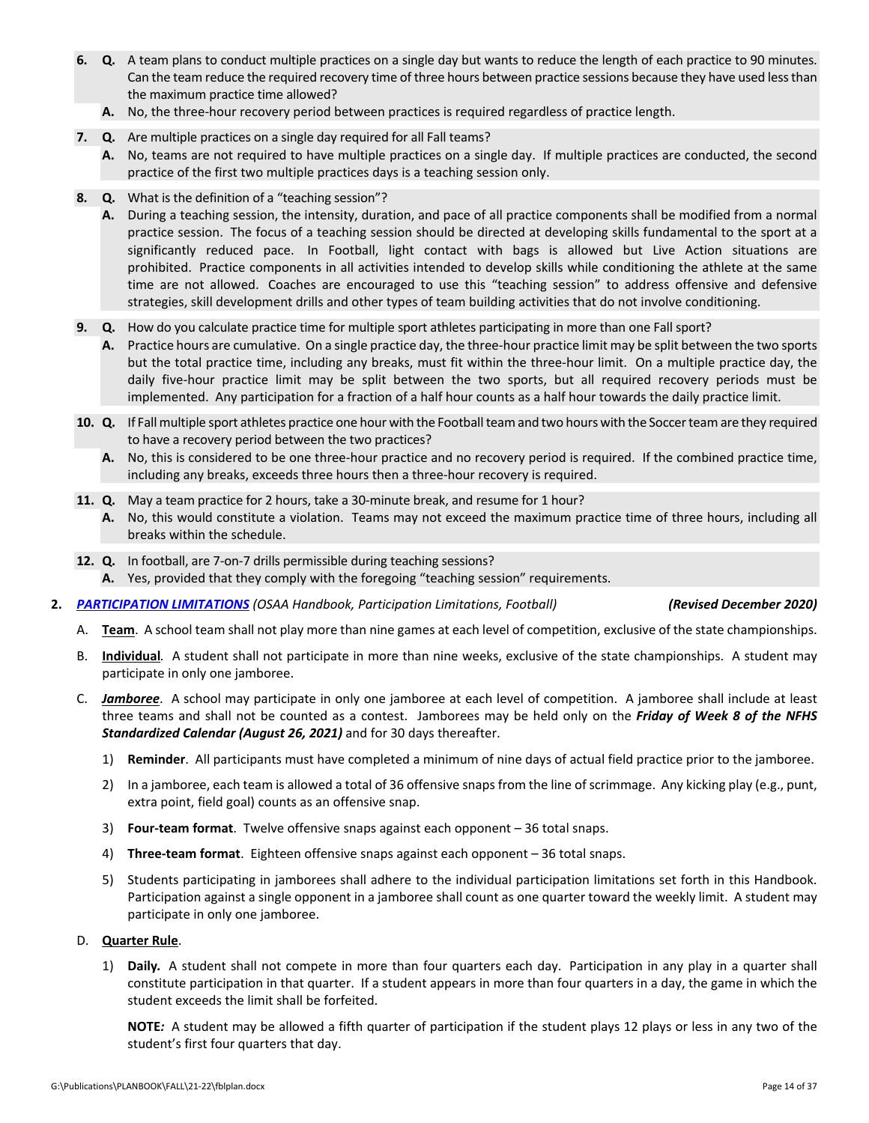- **6. Q.** A team plans to conduct multiple practices on a single day but wants to reduce the length of each practice to 90 minutes. Can the team reduce the required recovery time of three hours between practice sessions because they have used lessthan the maximum practice time allowed?
	- **A.** No, the three‐hour recovery period between practices is required regardless of practice length.
- **7. Q.** Are multiple practices on a single day required for all Fall teams?
	- **A.** No, teams are not required to have multiple practices on a single day. If multiple practices are conducted, the second practice of the first two multiple practices days is a teaching session only.
- **8. Q.** What is the definition of a "teaching session"?
	- **A.** During a teaching session, the intensity, duration, and pace of all practice components shall be modified from a normal practice session. The focus of a teaching session should be directed at developing skills fundamental to the sport at a significantly reduced pace. In Football, light contact with bags is allowed but Live Action situations are prohibited. Practice components in all activities intended to develop skills while conditioning the athlete at the same time are not allowed. Coaches are encouraged to use this "teaching session" to address offensive and defensive strategies, skill development drills and other types of team building activities that do not involve conditioning.
- **9. Q.** How do you calculate practice time for multiple sport athletes participating in more than one Fall sport?
	- A. Practice hours are cumulative. On a single practice day, the three-hour practice limit may be split between the two sports but the total practice time, including any breaks, must fit within the three‐hour limit. On a multiple practice day, the daily five‐hour practice limit may be split between the two sports, but all required recovery periods must be implemented. Any participation for a fraction of a half hour counts as a half hour towards the daily practice limit.
- 10. Q. If Fall multiple sport athletes practice one hour with the Football team and two hours with the Soccerteam are they required to have a recovery period between the two practices?
	- **A.** No, this is considered to be one three‐hour practice and no recovery period is required. If the combined practice time, including any breaks, exceeds three hours then a three‐hour recovery is required.
- **11. Q.** May a team practice for 2 hours, take a 30-minute break, and resume for 1 hour?
	- **A.** No, this would constitute a violation. Teams may not exceed the maximum practice time of three hours, including all breaks within the schedule.
- **12. Q.** In football, are 7‐on‐7 drills permissible during teaching sessions?
	- **A.** Yes, provided that they comply with the foregoing "teaching session" requirements.
- **2.** *[PARTICIPATION](http://www.osaa.org/governance/handbooks/osaa#_Toc456100497) LIMITATIONS (OSAA Handbook, Participation Limitations, Football) (Revised December 2020)*

- A. **Team**. A school team shall not play more than nine games at each level of competition, exclusive of the state championships.
- B. **Individual***.* A student shall not participate in more than nine weeks, exclusive of the state championships. A student may participate in only one jamboree.
- C. *Jamboree*. A school may participate in only one jamboree at each level of competition. A jamboree shall include at least three teams and shall not be counted as a contest. Jamborees may be held only on the *Friday of Week 8 of the NFHS Standardized Calendar (August 26, 2021)* and for 30 days thereafter.
	- 1) **Reminder**. All participants must have completed a minimum of nine days of actual field practice prior to the jamboree.
	- 2) In a jamboree, each team is allowed a total of 36 offensive snaps from the line of scrimmage. Any kicking play (e.g., punt, extra point, field goal) counts as an offensive snap.
	- 3) **Four‐team format**. Twelve offensive snaps against each opponent 36 total snaps.
	- 4) **Three‐team format**. Eighteen offensive snaps against each opponent 36 total snaps.
	- 5) Students participating in jamborees shall adhere to the individual participation limitations set forth in this Handbook. Participation against a single opponent in a jamboree shall count as one quarter toward the weekly limit. A student may participate in only one jamboree.

### D. **Quarter Rule**.

1) **Daily***.* A student shall not compete in more than four quarters each day. Participation in any play in a quarter shall constitute participation in that quarter. If a student appears in more than four quarters in a day, the game in which the student exceeds the limit shall be forfeited.

**NOTE***:* A student may be allowed a fifth quarter of participation if the student plays 12 plays or less in any two of the student's first four quarters that day.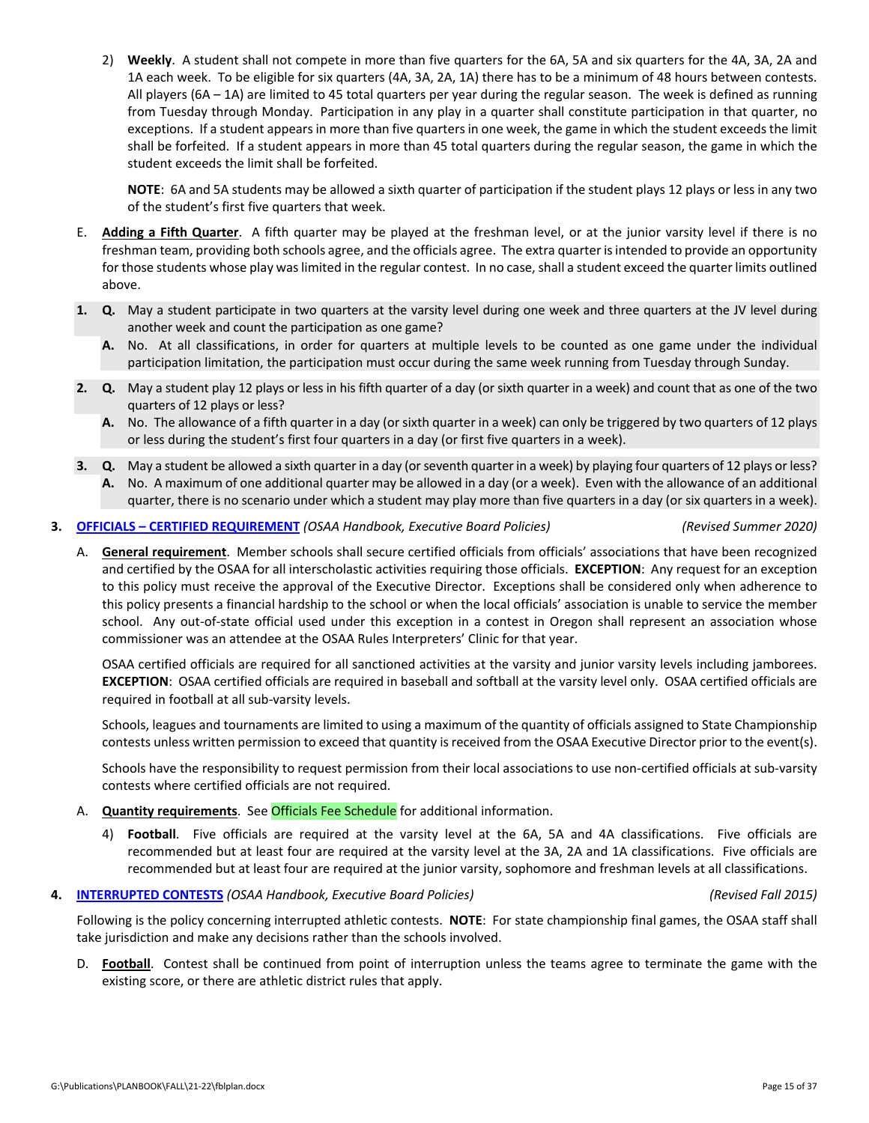2) **Weekly**. A student shall not compete in more than five quarters for the 6A, 5A and six quarters for the 4A, 3A, 2A and 1A each week. To be eligible for six quarters (4A, 3A, 2A, 1A) there has to be a minimum of 48 hours between contests. All players (6A – 1A) are limited to 45 total quarters per year during the regular season. The week is defined as running from Tuesday through Monday. Participation in any play in a quarter shall constitute participation in that quarter, no exceptions. If a student appears in more than five quarters in one week, the game in which the student exceeds the limit shall be forfeited. If a student appears in more than 45 total quarters during the regular season, the game in which the student exceeds the limit shall be forfeited.

**NOTE**: 6A and 5A students may be allowed a sixth quarter of participation if the student plays 12 plays or less in any two of the student's first five quarters that week.

- E. **Adding a Fifth Quarter**. A fifth quarter may be played at the freshman level, or at the junior varsity level if there is no freshman team, providing both schools agree, and the officials agree. The extra quarter isintended to provide an opportunity for those students whose play was limited in the regular contest. In no case, shall a student exceed the quarter limits outlined above.
- **1. Q.** May a student participate in two quarters at the varsity level during one week and three quarters at the JV level during another week and count the participation as one game?
	- A. No. At all classifications, in order for quarters at multiple levels to be counted as one game under the individual participation limitation, the participation must occur during the same week running from Tuesday through Sunday.
- **2. Q.** May a student play 12 plays or less in his fifth quarter of a day (or sixth quarter in a week) and count that as one of the two quarters of 12 plays or less?
	- **A.** No. The allowance of a fifth quarter in a day (or sixth quarter in a week) can only be triggered by two quarters of 12 plays or less during the student's first four quarters in a day (or first five quarters in a week).
- **3. Q.** May a student be allowed a sixth quarter in a day (or seventh quarter in a week) by playing four quarters of 12 plays or less? **A.** No. A maximum of one additional quarter may be allowed in a day (or a week). Even with the allowance of an additional quarter, there is no scenario under which a student may play more than five quarters in a day (or six quarters in a week).

### **3. OFFICIALS – CERTIFIED [REQUIREMENT](http://www.osaa.org/governance/handbooks/osaa#_Toc456100409)** *(OSAA Handbook, Executive Board Policies) (Revised Summer 2020)*

A. **General requirement**.Member schools shall secure certified officials from officials' associations that have been recognized and certified by the OSAA for all interscholastic activities requiring those officials. **EXCEPTION**: Any request for an exception to this policy must receive the approval of the Executive Director. Exceptions shall be considered only when adherence to this policy presents a financial hardship to the school or when the local officials' association is unable to service the member school. Any out-of-state official used under this exception in a contest in Oregon shall represent an association whose commissioner was an attendee at the OSAA Rules Interpreters' Clinic for that year.

OSAA certified officials are required for all sanctioned activities at the varsity and junior varsity levels including jamborees. **EXCEPTION**: OSAA certified officials are required in baseball and softball at the varsity level only. OSAA certified officials are required in football at all sub‐varsity levels.

Schools, leagues and tournaments are limited to using a maximum of the quantity of officials assigned to State Championship contests unless written permission to exceed that quantity is received from the OSAA Executive Director prior to the event(s).

Schools have the responsibility to request permission from their local associations to use non-certified officials at sub-varsity contests where certified officials are not required.

- A. **Quantity requirements**. See Officials Fee [Schedule](http://www.osaa.org/governance/handbooks/osaa#_Toc456100511) for additional information.
	- 4) **Football**. Five officials are required at the varsity level at the 6A, 5A and 4A classifications. Five officials are recommended but at least four are required at the varsity level at the 3A, 2A and 1A classifications. Five officials are recommended but at least four are required at the junior varsity, sophomore and freshman levels at all classifications.

### **4. [INTERRUPTED](http://www.osaa.org/governance/handbooks/osaa#_Toc456100396) CONTESTS** *(OSAA Handbook, Executive Board Policies) (Revised Fall 2015)*

Following is the policy concerning interrupted athletic contests. **NOTE**: For state championship final games, the OSAA staff shall take jurisdiction and make any decisions rather than the schools involved.

D. **Football**. Contest shall be continued from point of interruption unless the teams agree to terminate the game with the existing score, or there are athletic district rules that apply.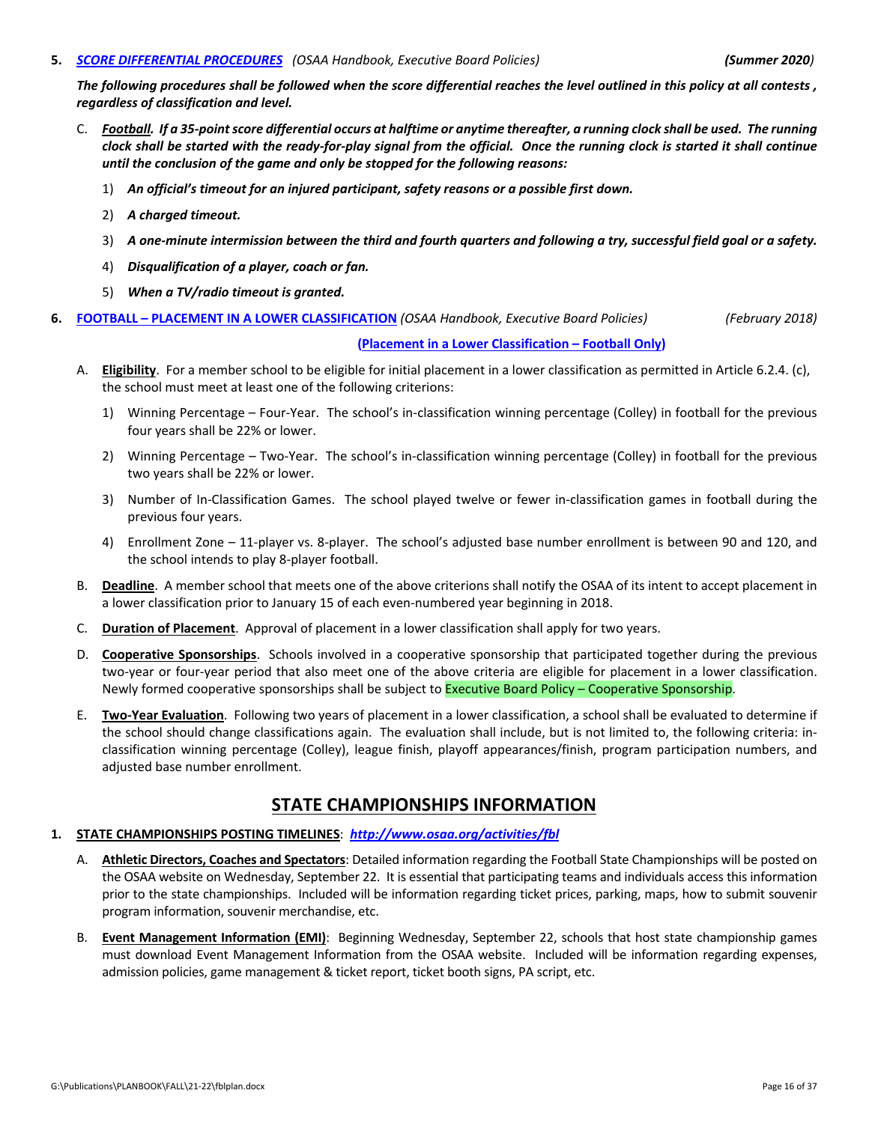### **5.** *SCORE [DIFFERENTIAL](https://www.osaa.org/governance/handbooks/osaa#_Toc456100428) PROCEDURES (OSAA Handbook, Executive Board Policies) (Summer 2020)*

The following procedures shall be followed when the score differential reaches the level outlined in this policy at all contests, *regardless of classification and level.*

- C. Football. If a 35-point score differential occurs at halftime or anytime thereafter, a running clock shall be used. The running clock shall be started with the ready-for-play signal from the official. Once the running clock is started it shall continue *until the conclusion of the game and only be stopped for the following reasons:*
	- 1) *An official's timeout for an injured participant, safety reasons or a possible first down.*
	- 2) *A charged timeout.*
	- 3) A one-minute intermission between the third and fourth quarters and following a try, successful field goal or a safety.
	- 4) *Disqualification of a player, coach or fan.*
	- 5) *When a TV/radio timeout is granted.*

### **6. FOOTBALL – PLACEMENT IN A LOWER [CLASSIFICATION](https://www.osaa.org/governance/handbooks/osaa#_Toc456100366)** *(OSAA Handbook, Executive Board Policies) (February 2018)*

### **(Placement in a Lower [Classification](https://www.osaa.org/governance/forms) – Football Only)**

- A. **Eligibility**. For a member school to be eligible for initial placement in a lower classification as permitted in Article 6.2.4. (c), the school must meet at least one of the following criterions:
	- 1) Winning Percentage Four‐Year. The school's in‐classification winning percentage (Colley) in football for the previous four years shall be 22% or lower.
	- 2) Winning Percentage Two‐Year. The school's in‐classification winning percentage (Colley) in football for the previous two years shall be 22% or lower.
	- 3) Number of In‐Classification Games. The school played twelve or fewer in‐classification games in football during the previous four years.
	- 4) Enrollment Zone 11‐player vs. 8‐player. The school's adjusted base number enrollment is between 90 and 120, and the school intends to play 8‐player football.
- B. **Deadline**. A member school that meets one of the above criterions shall notify the OSAA of its intent to accept placement in a lower classification prior to January 15 of each even-numbered year beginning in 2018.
- C. **Duration of Placement**. Approval of placement in a lower classification shall apply for two years.
- D. **Cooperative Sponsorships**. Schools involved in a cooperative sponsorship that participated together during the previous two‐year or four‐year period that also meet one of the above criteria are eligible for placement in a lower classification. Newly formed cooperative sponsorships shall be subject to **Executive Board Policy – Cooperative Sponsorship**.
- E. **Two‐Year Evaluation**. Following two years of placement in a lower classification, a school shall be evaluated to determine if the school should change classifications again. The evaluation shall include, but is not limited to, the following criteria: in‐ classification winning percentage (Colley), league finish, playoff appearances/finish, program participation numbers, and adjusted base number enrollment.

## **STATE CHAMPIONSHIPS INFORMATION**

### **1. STATE CHAMPIONSHIPS POSTING TIMELINES**: *[http://www.osaa.org/activities/fbl](http://www.osaa.org/actvities/fbl)*

- A. **Athletic Directors, Coaches and Spectators**: Detailed information regarding the Football State Championships will be posted on the OSAA website on Wednesday, September 22. It is essential that participating teams and individuals access this information prior to the state championships. Included will be information regarding ticket prices, parking, maps, how to submit souvenir program information, souvenir merchandise, etc.
- B. **Event Management Information (EMI)**: Beginning Wednesday, September 22, schools that host state championship games must download Event Management Information from the OSAA website. Included will be information regarding expenses, admission policies, game management & ticket report, ticket booth signs, PA script, etc.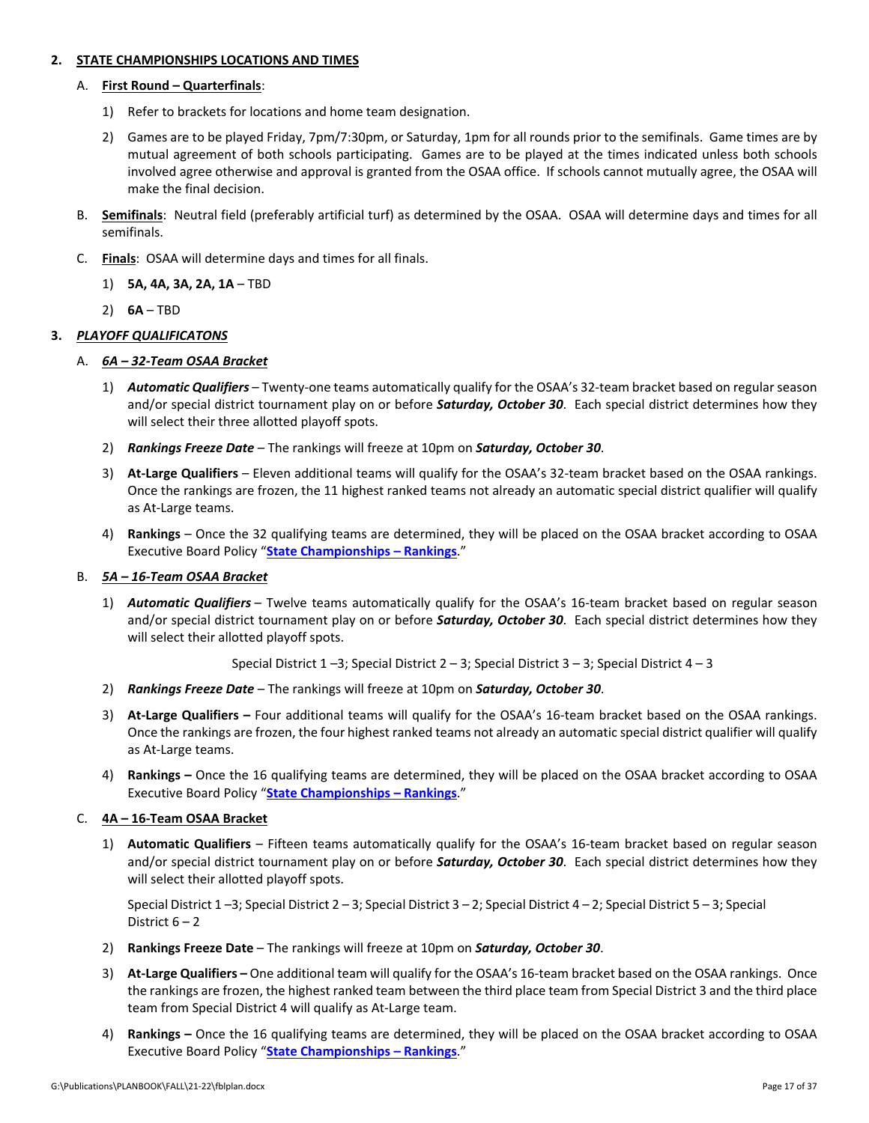### **2. STATE CHAMPIONSHIPS LOCATIONS AND TIMES**

### A. **First Round – Quarterfinals**:

- 1) Refer to brackets for locations and home team designation.
- 2) Games are to be played Friday, 7pm/7:30pm, or Saturday, 1pm for all rounds prior to the semifinals. Game times are by mutual agreement of both schools participating. Games are to be played at the times indicated unless both schools involved agree otherwise and approval is granted from the OSAA office. If schools cannot mutually agree, the OSAA will make the final decision.
- B. **Semifinals**: Neutral field (preferably artificial turf) as determined by the OSAA. OSAA will determine days and times for all semifinals.
- C. **Finals**: OSAA will determine days and times for all finals.
	- 1) **5A, 4A, 3A, 2A, 1A** TBD
	- 2) **6A** TBD

### **3.** *PLAYOFF QUALIFICATONS*

### A. *6A – 32‐Team OSAA Bracket*

- 1) *Automatic Qualifiers* Twenty‐one teams automatically qualify for the OSAA's 32‐team bracket based on regular season and/or special district tournament play on or before *Saturday, October 30*. Each special district determines how they will select their three allotted playoff spots.
- 2) *Rankings Freeze Date* The rankings will freeze at 10pm on *Saturday, October 30*.
- 3) **At‐Large Qualifiers** Eleven additional teams will qualify for the OSAA's 32‐team bracket based on the OSAA rankings. Once the rankings are frozen, the 11 highest ranked teams not already an automatic special district qualifier will qualify as At‐Large teams.
- 4) **Rankings** Once the 32 qualifying teams are determined, they will be placed on the OSAA bracket according to OSAA Executive Board Policy "**State [Championships](http://www.osaa.org/governance/handbooks/osaa#_Toc456100456) – Rankings**."

### B. *5A – 16‐Team OSAA Bracket*

1) *Automatic Qualifiers* – Twelve teams automatically qualify for the OSAA's 16‐team bracket based on regular season and/or special district tournament play on or before *Saturday, October 30*. Each special district determines how they will select their allotted playoff spots.

Special District  $1 - 3$ ; Special District  $2 - 3$ ; Special District  $3 - 3$ ; Special District  $4 - 3$ 

- 2) *Rankings Freeze Date* The rankings will freeze at 10pm on *Saturday, October 30*.
- 3) **At‐Large Qualifiers –** Four additional teams will qualify for the OSAA's 16‐team bracket based on the OSAA rankings. Once the rankings are frozen, the four highest ranked teams not already an automatic special district qualifier will qualify as At‐Large teams.
- 4) **Rankings –** Once the 16 qualifying teams are determined, they will be placed on the OSAA bracket according to OSAA Executive Board Policy "**State [Championships](http://www.osaa.org/governance/handbooks/osaa#_Toc456100456) – Rankings**."

### C. **4A – 16‐Team OSAA Bracket**

1) **Automatic Qualifiers** – Fifteen teams automatically qualify for the OSAA's 16‐team bracket based on regular season and/or special district tournament play on or before *Saturday, October 30*. Each special district determines how they will select their allotted playoff spots.

Special District 1 –3; Special District 2 – 3; Special District 3 – 2; Special District 4 – 2; Special District 5 – 3; Special District 6 – 2

- 2) **Rankings Freeze Date** The rankings will freeze at 10pm on *Saturday, October 30*.
- 3) **At‐Large Qualifiers –** One additional team will qualify for the OSAA's 16‐team bracket based on the OSAA rankings. Once the rankings are frozen, the highest ranked team between the third place team from Special District 3 and the third place team from Special District 4 will qualify as At‐Large team.
- 4) **Rankings –** Once the 16 qualifying teams are determined, they will be placed on the OSAA bracket according to OSAA Executive Board Policy "**State [Championships](http://www.osaa.org/governance/handbooks/osaa#_Toc456100456) – Rankings**."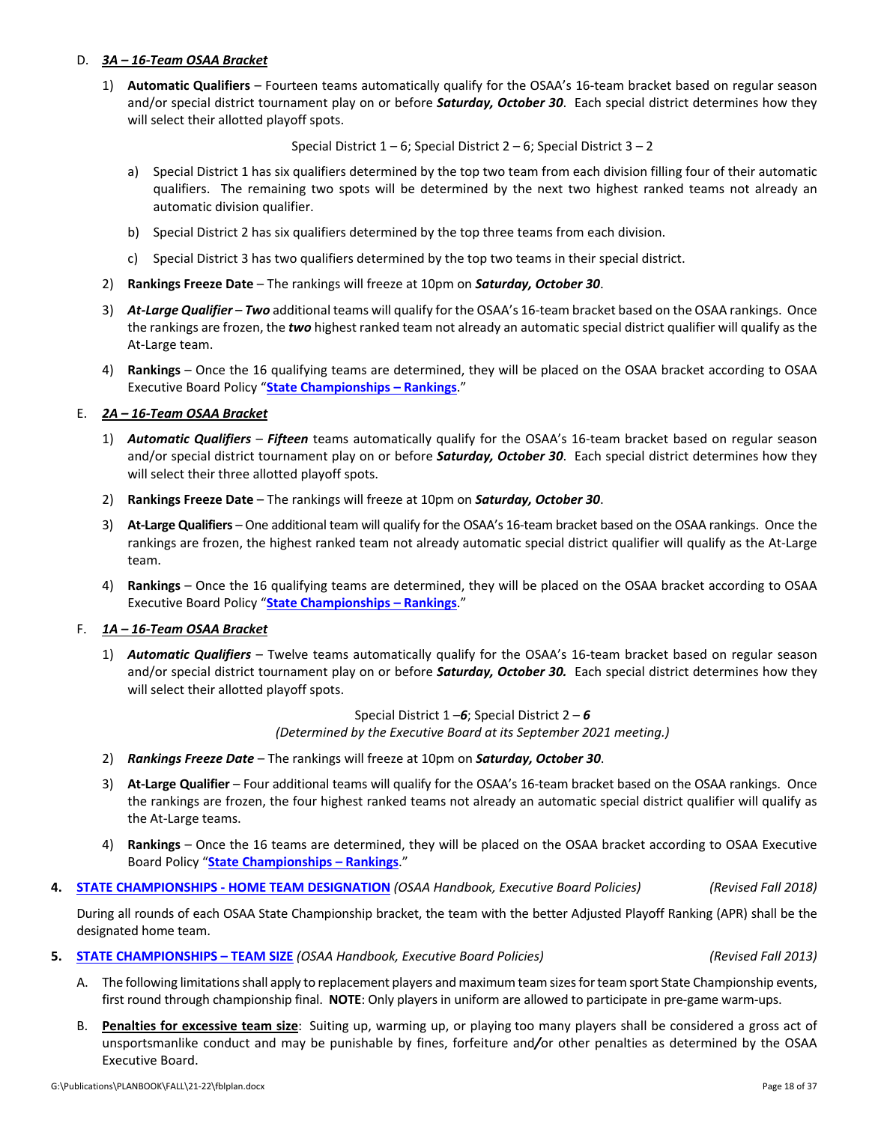- A. The following limitations shall apply to replacement players and maximum team sizes for team sport State Championship events, first round through championship final. **NOTE**: Only players in uniform are allowed to participate in pre-game warm-ups.
- B. **Penalties for excessive team size**: Suiting up, warming up, or playing too many players shall be considered a gross act of unsportsmanlike conduct and may be punishable by fines, forfeiture and*/*or other penalties as determined by the OSAA Executive Board.

### D. *3A – 16‐Team OSAA Bracket*

1) **Automatic Qualifiers** – Fourteen teams automatically qualify for the OSAA's 16‐team bracket based on regular season and/or special district tournament play on or before *Saturday, October 30*. Each special district determines how they will select their allotted playoff spots.

Special District  $1 - 6$ ; Special District  $2 - 6$ ; Special District  $3 - 2$ 

- a) Special District 1 has six qualifiers determined by the top two team from each division filling four of their automatic qualifiers. The remaining two spots will be determined by the next two highest ranked teams not already an automatic division qualifier.
- b) Special District 2 has six qualifiers determined by the top three teams from each division.
- c) Special District 3 has two qualifiers determined by the top two teams in their special district.
- 2) **Rankings Freeze Date** The rankings will freeze at 10pm on *Saturday, October 30*.
- 3) *At‐Large Qualifier Two* additional teams will qualify for the OSAA's 16‐team bracket based on the OSAA rankings. Once the rankings are frozen, the *two* highest ranked team not already an automatic special district qualifier will qualify as the At‐Large team.
- 4) **Rankings** Once the 16 qualifying teams are determined, they will be placed on the OSAA bracket according to OSAA Executive Board Policy "**State [Championships](http://www.osaa.org/governance/handbooks/osaa#_Toc456100456) – Rankings**."

## E. *2A – 16‐Team OSAA Bracket*

- 1) *Automatic Qualifiers Fifteen* teams automatically qualify for the OSAA's 16‐team bracket based on regular season and/or special district tournament play on or before *Saturday, October 30*. Each special district determines how they will select their three allotted playoff spots.
- 2) **Rankings Freeze Date** The rankings will freeze at 10pm on *Saturday, October 30*.
- 3) **At‐Large Qualifiers** One additional team will qualify for the OSAA's 16‐team bracket based on the OSAA rankings. Once the rankings are frozen, the highest ranked team not already automatic special district qualifier will qualify as the At‐Large team.
- 4) **Rankings** Once the 16 qualifying teams are determined, they will be placed on the OSAA bracket according to OSAA Executive Board Policy "**State [Championships](http://www.osaa.org/governance/handbooks/osaa#_Toc456100456) – Rankings**."

## F. *1A – 16‐Team OSAA Bracket*

1) *Automatic Qualifiers* – Twelve teams automatically qualify for the OSAA's 16‐team bracket based on regular season and/or special district tournament play on or before *Saturday, October 30.* Each special district determines how they will select their allotted playoff spots.

> Special District 1 –*6*; Special District 2 – *6 (Determined by the Executive Board at its September 2021 meeting.)*

- 2) *Rankings Freeze Date* The rankings will freeze at 10pm on *Saturday, October 30*.
- 3) **At‐Large Qualifier** Four additional teams will qualify for the OSAA's 16‐team bracket based on the OSAA rankings. Once the rankings are frozen, the four highest ranked teams not already an automatic special district qualifier will qualify as the At‐Large teams.
- 4) **Rankings** Once the 16 teams are determined, they will be placed on the OSAA bracket according to OSAA Executive Board Policy "**State [Championships](http://www.osaa.org/governance/handbooks/osaa#_Toc456100456) – Rankings**."
- **4. STATE [CHAMPIONSHIPS](http://www.osaa.org/governance/handbooks/osaa#_Toc456100447) ‐ HOME TEAM DESIGNATION** *(OSAA Handbook, Executive Board Policies) (Revised Fall 2018)*

During all rounds of each OSAA State Championship bracket, the team with the better Adjusted Playoff Ranking (APR) shall be the designated home team.

**5. STATE [CHAMPIONSHIPS](http://www.osaa.org/governance/handbooks/osaa#_Toc456100459) – TEAM SIZE** *(OSAA Handbook, Executive Board Policies) (Revised Fall 2013)*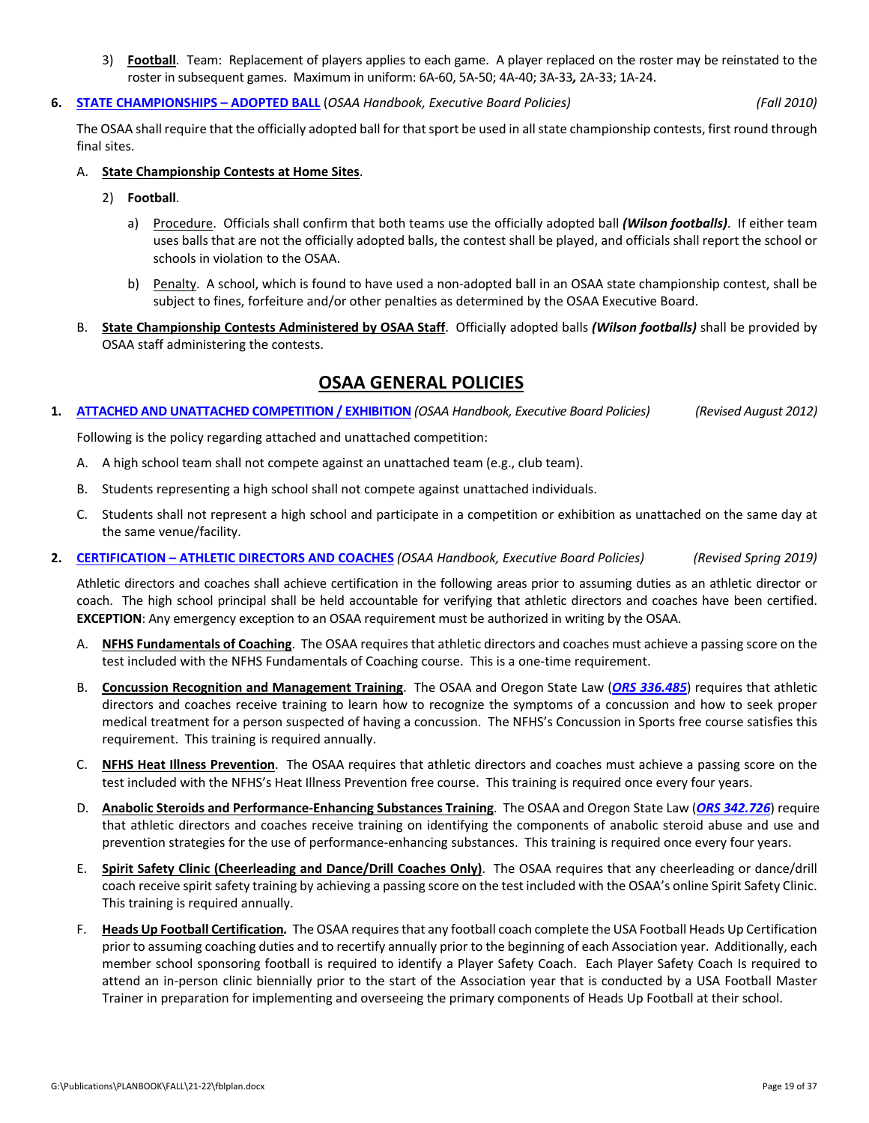3) **Football**. Team: Replacement of players applies to each game. A player replaced on the roster may be reinstated to the roster in subsequent games. Maximum in uniform: 6A‐60, 5A‐50; 4A‐40; 3A‐33*,* 2A‐33; 1A‐24.

### **6. STATE [CHAMPIONSHIPS](http://www.osaa.org/governance/handbooks/osaa#_Toc456100435) – ADOPTED BALL** (*OSAA Handbook, Executive Board Policies) (Fall 2010)*

The OSAA shall require that the officially adopted ball for that sport be used in all state championship contests, first round through final sites.

- A. **State Championship Contests at Home Sites**.
	- 2) **Football**.
		- a) Procedure. Officials shall confirm that both teams use the officially adopted ball *(Wilson footballs)*. If either team uses balls that are not the officially adopted balls, the contest shall be played, and officials shall report the school or schools in violation to the OSAA.
		- b) Penalty. A school, which is found to have used a non‐adopted ball in an OSAA state championship contest, shall be subject to fines, forfeiture and/or other penalties as determined by the OSAA Executive Board.
- B. **State Championship Contests Administered by OSAA Staff**. Officially adopted balls *(Wilson footballs)* shall be provided by OSAA staff administering the contests.

## **OSAA GENERAL POLICIES**

1. ATTACHED AND UNATTACHED [COMPETITION](http://www.osaa.org/governance/handbooks/osaa#_Toc456100326) / EXHIBITION (OSAA Handbook, Executive Board Policies) (Revised August 2012)

Following is the policy regarding attached and unattached competition:

- A. A high school team shall not compete against an unattached team (e.g., club team).
- B. Students representing a high school shall not compete against unattached individuals.
- C. Students shall not represent a high school and participate in a competition or exhibition as unattached on the same day at the same venue/facility.
- **2. [CERTIFICATION](http://www.osaa.org/governance/handbooks/osaa#_Toc456100330) – ATHLETIC DIRECTORS AND COACHES** *(OSAA Handbook, Executive Board Policies) (Revised Spring 2019)*

Athletic directors and coaches shall achieve certification in the following areas prior to assuming duties as an athletic director or coach. The high school principal shall be held accountable for verifying that athletic directors and coaches have been certified. **EXCEPTION**: Any emergency exception to an OSAA requirement must be authorized in writing by the OSAA.

- A. **NFHS Fundamentals of Coaching**. The OSAA requires that athletic directors and coaches must achieve a passing score on the test included with the NFHS Fundamentals of Coaching course. This is a one-time requirement.
- B. **Concussion Recognition and Management Training**. The OSAA and Oregon State Law (*ORS [336.485](https://www.oregonlegislature.gov/bills_laws/Pages/Oregon-Laws.aspx)*) requires that athletic directors and coaches receive training to learn how to recognize the symptoms of a concussion and how to seek proper medical treatment for a person suspected of having a concussion. The NFHS's Concussion in Sports free course satisfies this requirement. This training is required annually.
- C. **NFHS Heat Illness Prevention**. The OSAA requires that athletic directors and coaches must achieve a passing score on the test included with the NFHS's Heat Illness Prevention free course. This training is required once every four years.
- D. **Anabolic Steroids and Performance‐Enhancing Substances Training**. The OSAA and Oregon State Law (*ORS [342.726](https://www.oregonlegislature.gov/bills_laws/Pages/Oregon-Laws.aspx)*) require that athletic directors and coaches receive training on identifying the components of anabolic steroid abuse and use and prevention strategies for the use of performance-enhancing substances. This training is required once every four years.
- E. **Spirit Safety Clinic (Cheerleading and Dance/Drill Coaches Only)**. The OSAA requires that any cheerleading or dance/drill coach receive spirit safety training by achieving a passing score on the test included with the OSAA's online Spirit Safety Clinic. This training is required annually.
- F. **Heads Up Football Certification***.*The OSAA requiresthat any football coach complete the USA Football Heads Up Certification prior to assuming coaching duties and to recertify annually prior to the beginning of each Association year. Additionally, each member school sponsoring football is required to identify a Player Safety Coach. Each Player Safety Coach Is required to attend an in‐person clinic biennially prior to the start of the Association year that is conducted by a USA Football Master Trainer in preparation for implementing and overseeing the primary components of Heads Up Football at their school.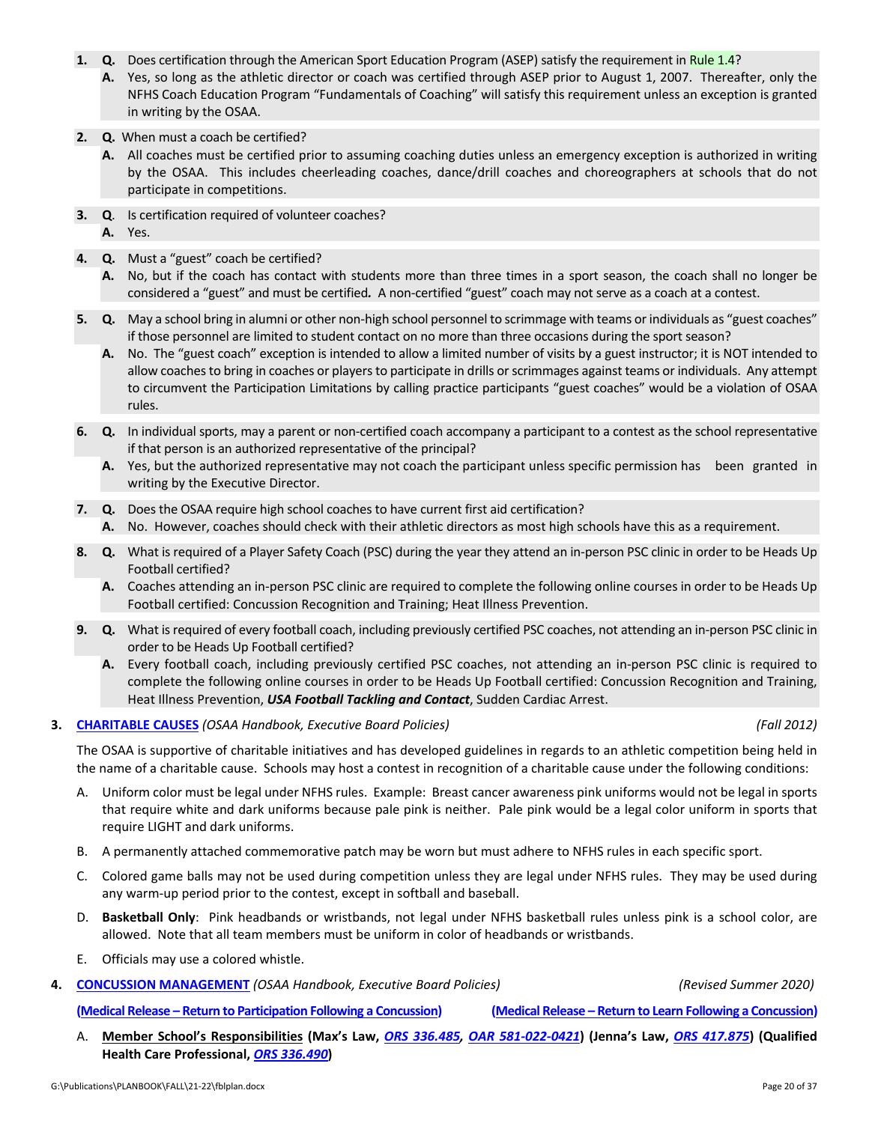- 1. **Q.** Does certification through the American Sport Education Program (ASEP) satisfy the requirement in [Rule](http://www.osaa.org/governance/handbooks/osaa#_Toc456100264) 1.4?
	- **A.** Yes, so long as the athletic director or coach was certified through ASEP prior to August 1, 2007. Thereafter, only the NFHS Coach Education Program "Fundamentals of Coaching" will satisfy this requirement unless an exception is granted in writing by the OSAA.
- **2. Q.** When must a coach be certified?
	- **A.** All coaches must be certified prior to assuming coaching duties unless an emergency exception is authorized in writing by the OSAA. This includes cheerleading coaches, dance/drill coaches and choreographers at schools that do not participate in competitions.
- **3. Q**. Is certification required of volunteer coaches?
	- **A.** Yes.
- **4. Q.** Must a "guest" coach be certified?
	- **A.** No, but if the coach has contact with students more than three times in a sport season, the coach shall no longer be considered a "guest" and must be certified. A non-certified "guest" coach may not serve as a coach at a contest.
- **5. Q.** May a school bring in alumni or other non‐high school personnel to scrimmage with teams or individuals as "guest coaches" if those personnel are limited to student contact on no more than three occasions during the sport season?
	- **A.** No. The "guest coach" exception is intended to allow a limited number of visits by a guest instructor; it is NOT intended to allow coaches to bring in coaches or players to participate in drills or scrimmages against teams or individuals. Any attempt to circumvent the Participation Limitations by calling practice participants "guest coaches" would be a violation of OSAA rules.
- **6. Q.** In individual sports, may a parent or non‐certified coach accompany a participant to a contest as the school representative if that person is an authorized representative of the principal?
	- **A.** Yes, but the authorized representative may not coach the participant unless specific permission has been granted in writing by the Executive Director.
- **7. Q.** Does the OSAA require high school coaches to have current first aid certification?
	- **A.** No. However, coaches should check with their athletic directors as most high schools have this as a requirement.
- **8. Q.** What is required of a Player Safety Coach (PSC) during the year they attend an in‐person PSC clinic in order to be Heads Up Football certified?
	- **A.** Coaches attending an in‐person PSC clinic are required to complete the following online courses in order to be Heads Up Football certified: Concussion Recognition and Training; Heat Illness Prevention.
- **9. Q.** What isrequired of every football coach, including previously certified PSC coaches, not attending an in‐person PSC clinic in order to be Heads Up Football certified?
	- **A.** Every football coach, including previously certified PSC coaches, not attending an in‐person PSC clinic is required to complete the following online courses in order to be Heads Up Football certified: Concussion Recognition and Training, Heat Illness Prevention, *USA Football Tackling and Contact*, Sudden Cardiac Arrest.

### **3. [CHARITABLE](http://www.osaa.org/governance/handbooks/osaa#_Toc456100331) CAUSES** *(OSAA Handbook, Executive Board Policies) (Fall 2012)*

The OSAA is supportive of charitable initiatives and has developed guidelines in regards to an athletic competition being held in the name of a charitable cause. Schools may host a contest in recognition of a charitable cause under the following conditions:

- A. Uniform color must be legal under NFHS rules. Example: Breast cancer awareness pink uniforms would not be legal in sports that require white and dark uniforms because pale pink is neither. Pale pink would be a legal color uniform in sports that require LIGHT and dark uniforms.
- B. A permanently attached commemorative patch may be worn but must adhere to NFHS rules in each specific sport.
- C. Colored game balls may not be used during competition unless they are legal under NFHS rules. They may be used during any warm‐up period prior to the contest, except in softball and baseball.
- D. **Basketball Only**: Pink headbands or wristbands, not legal under NFHS basketball rules unless pink is a school color, are allowed. Note that all team members must be uniform in color of headbands or wristbands.
- E. Officials may use a colored whistle.
- **4. CONCUSSION [MANAGEMENT](http://www.osaa.org/governance/handbooks/osaa#_Toc456100338)** *(OSAA Handbook, Executive Board Policies) (Revised Summer 2020)*

(Medical Release - Return to [Participation](http://www.osaa.org/governance/forms) Following a Concussion) (Medical Release - Return to Learn Following a Concussion)

A. Member School's [Responsibilities](https://www.oregonlegislature.gov/bills_laws/Pages/Oregon-Laws.aspx) (Max's Law, ORS 336.485, OAR 581-022-0421) (Jenna's Law, ORS 417.875) (Qualified **Health Care Professional,** *ORS 336.490***)**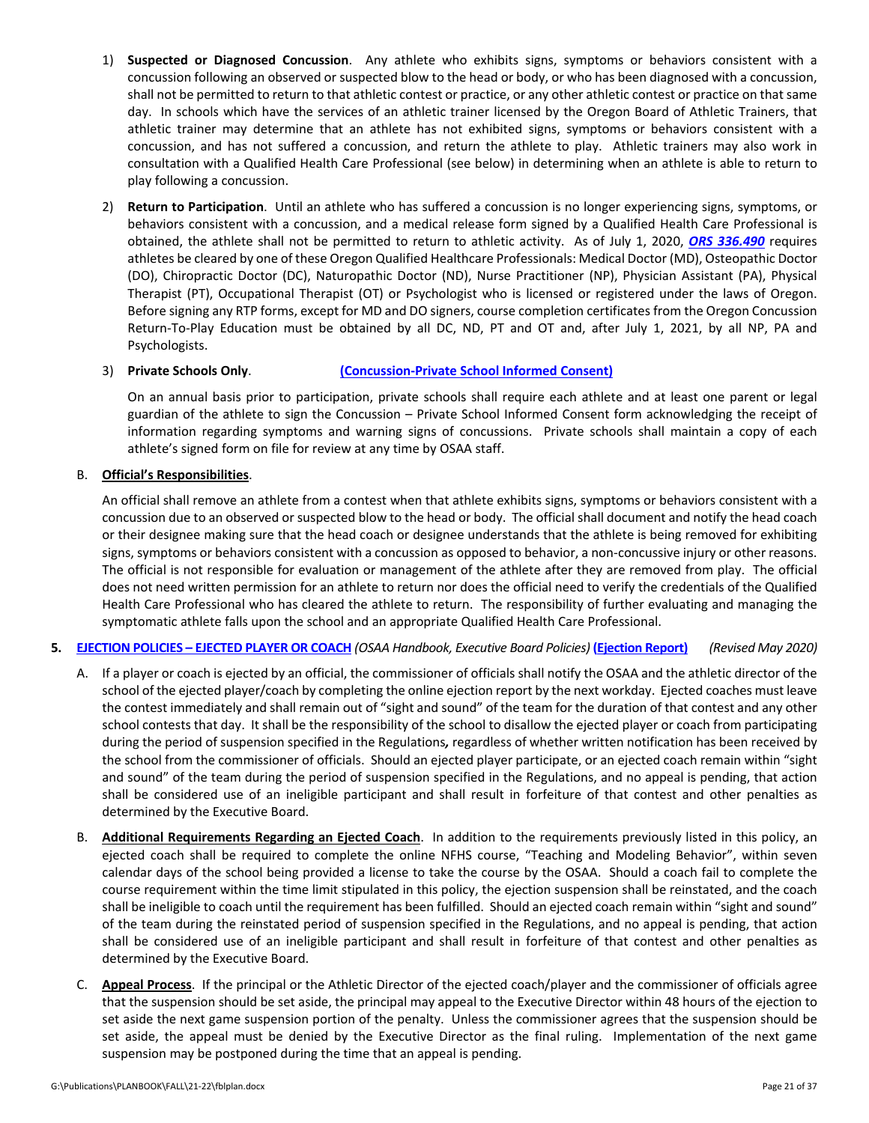- 1) **Suspected or Diagnosed Concussion**. Any athlete who exhibits signs, symptoms or behaviors consistent with a concussion following an observed or suspected blow to the head or body, or who has been diagnosed with a concussion, shall not be permitted to return to that athletic contest or practice, or any other athletic contest or practice on that same day. In schools which have the services of an athletic trainer licensed by the Oregon Board of Athletic Trainers, that athletic trainer may determine that an athlete has not exhibited signs, symptoms or behaviors consistent with a concussion, and has not suffered a concussion, and return the athlete to play. Athletic trainers may also work in consultation with a Qualified Health Care Professional (see below) in determining when an athlete is able to return to play following a concussion.
- 2) **Return to Participation**. Until an athlete who has suffered a concussion is no longer experiencing signs, symptoms, or behaviors consistent with a concussion, and a medical release form signed by a Qualified Health Care Professional is obtained, the athlete shall not be permitted to return to athletic activity. As of July 1, 2020, *ORS [336.490](https://www.oregonlegislature.gov/bills_laws/Pages/Oregon-Laws.aspx)* requires athletes be cleared by one of these Oregon Qualified Healthcare Professionals: Medical Doctor (MD), Osteopathic Doctor (DO), Chiropractic Doctor (DC), Naturopathic Doctor (ND), Nurse Practitioner (NP), Physician Assistant (PA), Physical Therapist (PT), Occupational Therapist (OT) or Psychologist who is licensed or registered under the laws of Oregon. Before signing any RTP forms, except for MD and DO signers, course completion certificatesfrom the Oregon Concussion Return‐To‐Play Education must be obtained by all DC, ND, PT and OT and, after July 1, 2021, by all NP, PA and Psychologists.
- 3) **Private Schools Only**. **[\(Concussion](http://www.osaa.org/governance/forms)‐Private School Informed Consent)**

On an annual basis prior to participation, private schools shall require each athlete and at least one parent or legal guardian of the athlete to sign the Concussion – Private School Informed Consent form acknowledging the receipt of information regarding symptoms and warning signs of concussions. Private schools shall maintain a copy of each athlete's signed form on file for review at any time by OSAA staff.

### B. **Official's Responsibilities**.

An official shall remove an athlete from a contest when that athlete exhibits signs, symptoms or behaviors consistent with a concussion due to an observed or suspected blow to the head or body. The official shall document and notify the head coach or their designee making sure that the head coach or designee understands that the athlete is being removed for exhibiting signs, symptoms or behaviors consistent with a concussion as opposed to behavior, a non-concussive injury or other reasons. The official is not responsible for evaluation or management of the athlete after they are removed from play. The official does not need written permission for an athlete to return nor does the official need to verify the credentials of the Qualified Health Care Professional who has cleared the athlete to return. The responsibility of further evaluating and managing the symptomatic athlete falls upon the school and an appropriate Qualified Health Care Professional.

### 5. [EJECTION](http://www.osaa.org/governance/handbooks/osaa#_Toc456100349) POLICIES - EJECTED PLAYER OR COACH (OSAA Handbook, Executive Board Policies) [\(Ejection](http://www.osaa.org/governance/forms) Report) (Revised May 2020)

- A. If a player or coach is ejected by an official, the commissioner of officials shall notify the OSAA and the athletic director of the school of the ejected player/coach by completing the online ejection report by the next workday. Ejected coaches must leave the contest immediately and shall remain out of "sight and sound" of the team for the duration of that contest and any other school contests that day. It shall be the responsibility of the school to disallow the ejected player or coach from participating during the period of suspension specified in the Regulations*,* regardless of whether written notification has been received by the school from the commissioner of officials. Should an ejected player participate, or an ejected coach remain within "sight and sound" of the team during the period of suspension specified in the Regulations, and no appeal is pending, that action shall be considered use of an ineligible participant and shall result in forfeiture of that contest and other penalties as determined by the Executive Board.
- B. **Additional Requirements Regarding an Ejected Coach**. In addition to the requirements previously listed in this policy, an ejected coach shall be required to complete the online NFHS course, "Teaching and Modeling Behavior", within seven calendar days of the school being provided a license to take the course by the OSAA. Should a coach fail to complete the course requirement within the time limit stipulated in this policy, the ejection suspension shall be reinstated, and the coach shall be ineligible to coach until the requirement has been fulfilled. Should an ejected coach remain within "sight and sound" of the team during the reinstated period of suspension specified in the Regulations, and no appeal is pending, that action shall be considered use of an ineligible participant and shall result in forfeiture of that contest and other penalties as determined by the Executive Board.
- C. **Appeal Process**. If the principal or the Athletic Director of the ejected coach/player and the commissioner of officials agree that the suspension should be set aside, the principal may appeal to the Executive Director within 48 hours of the ejection to set aside the next game suspension portion of the penalty. Unless the commissioner agrees that the suspension should be set aside, the appeal must be denied by the Executive Director as the final ruling. Implementation of the next game suspension may be postponed during the time that an appeal is pending.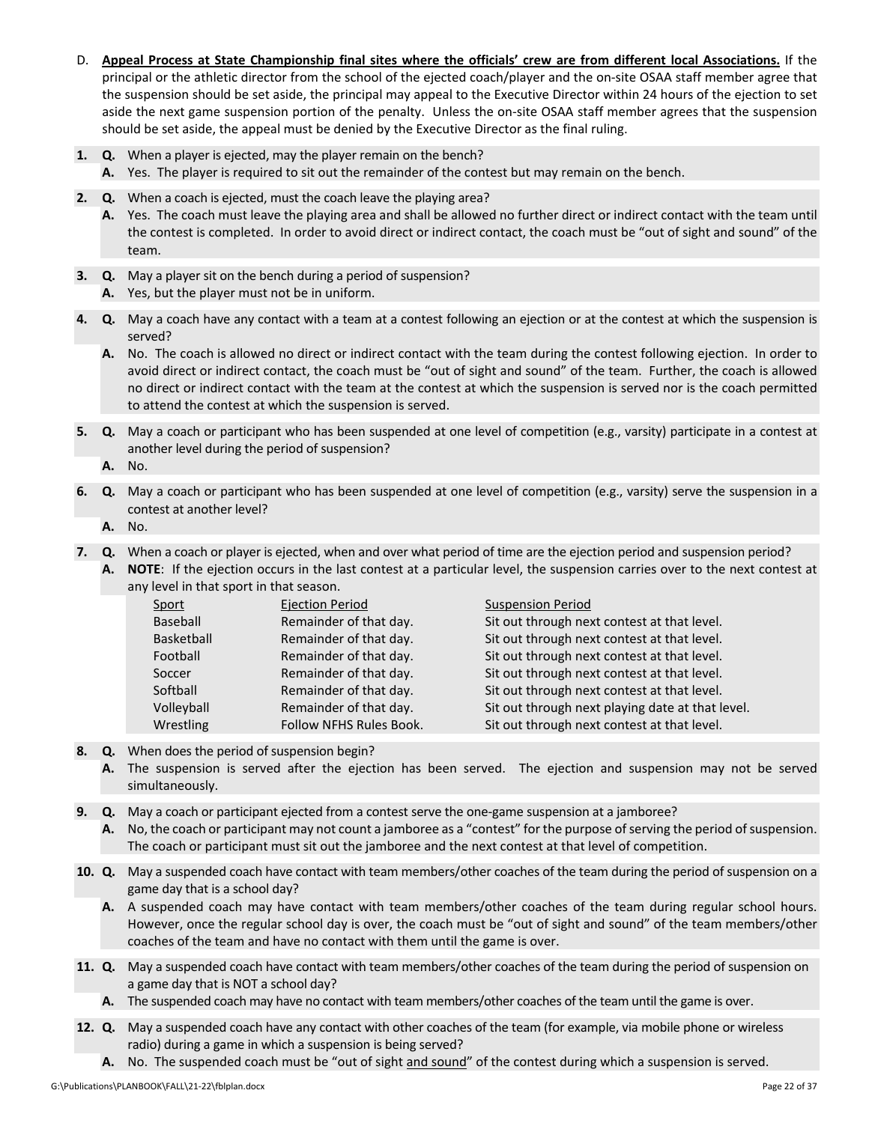- D. Appeal Process at State Championship final sites where the officials' crew are from different local Associations. If the principal or the athletic director from the school of the ejected coach/player and the on‐site OSAA staff member agree that the suspension should be set aside, the principal may appeal to the Executive Director within 24 hours of the ejection to set aside the next game suspension portion of the penalty. Unless the on-site OSAA staff member agrees that the suspension should be set aside, the appeal must be denied by the Executive Director as the final ruling.
- **1. Q.** When a player is ejected, may the player remain on the bench?
	- **A.** Yes. The player is required to sit out the remainder of the contest but may remain on the bench.
- **2. Q.** When a coach is ejected, must the coach leave the playing area?
	- **A.** Yes. The coach must leave the playing area and shall be allowed no further direct or indirect contact with the team until the contest is completed. In order to avoid direct or indirect contact, the coach must be "out of sight and sound" of the team.
- **3. Q.** May a player sit on the bench during a period of suspension?
	- **A.** Yes, but the player must not be in uniform.
- **4. Q.** May a coach have any contact with a team at a contest following an ejection or at the contest at which the suspension is served?
	- **A.** No. The coach is allowed no direct or indirect contact with the team during the contest following ejection. In order to avoid direct or indirect contact, the coach must be "out of sight and sound" of the team. Further, the coach is allowed no direct or indirect contact with the team at the contest at which the suspension is served nor is the coach permitted to attend the contest at which the suspension is served.
- **5. Q.** May a coach or participant who has been suspended at one level of competition (e.g., varsity) participate in a contest at another level during the period of suspension?
	- **A.** No.
- **6. Q.** May a coach or participant who has been suspended at one level of competition (e.g., varsity) serve the suspension in a contest at another level?
	- **A.** No.

**7. Q.** When a coach or player is ejected, when and over what period of time are the ejection period and suspension period?

**A. NOTE**: If the ejection occurs in the last contest at a particular level, the suspension carries over to the next contest at any level in that sport in that season.

| Sport      | <b>Ejection Period</b>  | <b>Suspension Period</b>                         |
|------------|-------------------------|--------------------------------------------------|
| Baseball   | Remainder of that day.  | Sit out through next contest at that level.      |
| Basketball | Remainder of that day.  | Sit out through next contest at that level.      |
| Football   | Remainder of that day.  | Sit out through next contest at that level.      |
| Soccer     | Remainder of that day.  | Sit out through next contest at that level.      |
| Softball   | Remainder of that day.  | Sit out through next contest at that level.      |
| Volleyball | Remainder of that day.  | Sit out through next playing date at that level. |
| Wrestling  | Follow NFHS Rules Book. | Sit out through next contest at that level.      |

- **8. Q.** When does the period of suspension begin?
	- A. The suspension is served after the ejection has been served. The ejection and suspension may not be served simultaneously.
- **9. Q.** May a coach or participant ejected from a contest serve the one-game suspension at a jamboree?
	- A. No, the coach or participant may not count a jamboree as a "contest" for the purpose of serving the period of suspension. The coach or participant must sit out the jamboree and the next contest at that level of competition.
- **10. Q.** May a suspended coach have contact with team members/other coaches of the team during the period of suspension on a game day that is a school day?
	- **A.** A suspended coach may have contact with team members/other coaches of the team during regular school hours. However, once the regular school day is over, the coach must be "out of sight and sound" of the team members/other coaches of the team and have no contact with them until the game is over.
- **11. Q.** May a suspended coach have contact with team members/other coaches of the team during the period of suspension on a game day that is NOT a school day?
	- **A.** The suspended coach may have no contact with team members/other coaches of the team until the game is over.
- **12. Q.** May a suspended coach have any contact with other coaches of the team (for example, via mobile phone or wireless radio) during a game in which a suspension is being served?
	- **A.** No. The suspended coach must be "out of sight and sound" of the contest during which a suspension is served.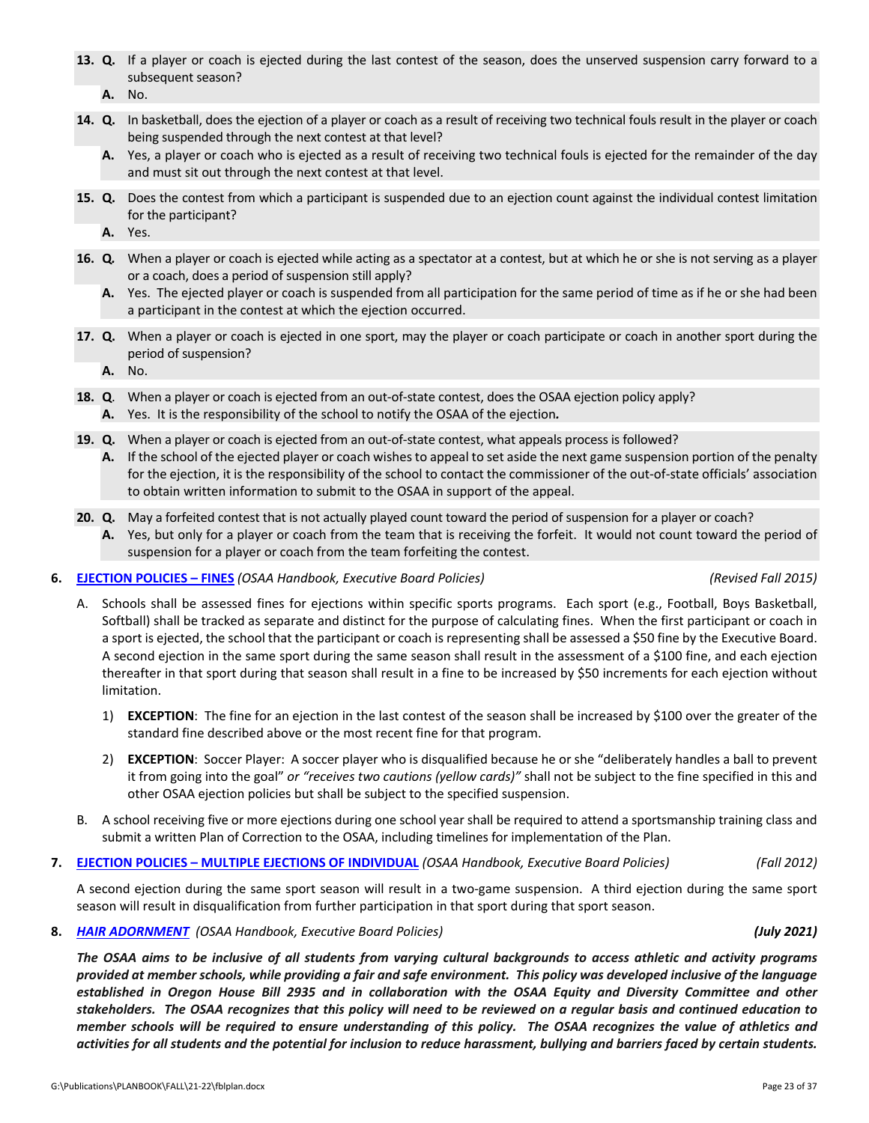- **13. Q.** If a player or coach is ejected during the last contest of the season, does the unserved suspension carry forward to a subsequent season?
	- **A.** No.
- **14. Q.** In basketball, does the ejection of a player or coach as a result of receiving two technical fouls result in the player or coach being suspended through the next contest at that level?
	- **A.** Yes, a player or coach who is ejected as a result of receiving two technical fouls is ejected for the remainder of the day and must sit out through the next contest at that level.
- **15. Q.** Does the contest from which a participant is suspended due to an ejection count against the individual contest limitation for the participant?
	- **A.** Yes.
- **16. Q***.* When a player or coach is ejected while acting as a spectator at a contest, but at which he or she is not serving as a player or a coach, does a period of suspension still apply?
	- **A.** Yes. The ejected player or coach is suspended from all participation for the same period of time as if he or she had been a participant in the contest at which the ejection occurred.
- **17. Q.** When a player or coach is ejected in one sport, may the player or coach participate or coach in another sport during the period of suspension?
	- **A.** No.
- **18. Q.** When a player or coach is ejected from an out-of-state contest, does the OSAA ejection policy apply? **A.** Yes. It is the responsibility of the school to notify the OSAA of the ejection*.*
- **19. Q.** When a player or coach is ejected from an out-of-state contest, what appeals process is followed?
	- **A.** If the school of the ejected player or coach wishes to appeal to set aside the next game suspension portion of the penalty for the ejection, it is the responsibility of the school to contact the commissioner of the out-of-state officials' association to obtain written information to submit to the OSAA in support of the appeal.
- **20. Q.** May a forfeited contest that is not actually played count toward the period of suspension for a player or coach?
	- **A.** Yes, but only for a player or coach from the team that is receiving the forfeit. It would not count toward the period of suspension for a player or coach from the team forfeiting the contest.

### **6. [EJECTION](http://www.osaa.org/governance/handbooks/osaa#_Toc456100350) POLICIES – FINES** *(OSAA Handbook, Executive Board Policies) (Revised Fall 2015)*

- A. Schools shall be assessed fines for ejections within specific sports programs. Each sport (e.g., Football, Boys Basketball, Softball) shall be tracked as separate and distinct for the purpose of calculating fines. When the first participant or coach in a sport is ejected, the school that the participant or coach is representing shall be assessed a \$50 fine by the Executive Board. A second ejection in the same sport during the same season shall result in the assessment of a \$100 fine, and each ejection thereafter in that sport during that season shall result in a fine to be increased by \$50 increments for each ejection without limitation.
	- 1) **EXCEPTION**: The fine for an ejection in the last contest of the season shall be increased by \$100 over the greater of the standard fine described above or the most recent fine for that program.
	- 2) **EXCEPTION**: Soccer Player: A soccer player who is disqualified because he or she "deliberately handles a ball to prevent it from going into the goal" *or "receives two cautions (yellow cards)"* shall not be subject to the fine specified in this and other OSAA ejection policies but shall be subject to the specified suspension.
- B. A school receiving five or more ejections during one school year shall be required to attend a sportsmanship training class and submit a written Plan of Correction to the OSAA, including timelines for implementation of the Plan.
- **7. EJECTION POLICIES – MULTIPLE EJECTIONS OF [INDIVIDUAL](http://www.osaa.org/governance/handbooks/osaa#_Toc456100351)** *(OSAA Handbook, Executive Board Policies) (Fall 2012)*

A second ejection during the same sport season will result in a two‐game suspension. A third ejection during the same sport season will result in disqualification from further participation in that sport during that sport season.

**8.** *HAIR [ADORNMENT](https://www.osaa.org/governance/handbooks/osaa#_Toc456100372) (OSAA Handbook, Executive Board Policies) (July 2021)*

The OSAA aims to be inclusive of all students from varying cultural backgrounds to access athletic and activity programs provided at member schools, while providing a fair and safe environment. This policy was developed inclusive of the language established in Oregon House Bill 2935 and in collaboration with the OSAA Equity and Diversity Committee and other stakeholders. The OSAA recognizes that this policy will need to be reviewed on a regular basis and continued education to member schools will be required to ensure understanding of this policy. The OSAA recognizes the value of athletics and activities for all students and the potential for inclusion to reduce harassment, bullying and barriers faced by certain students.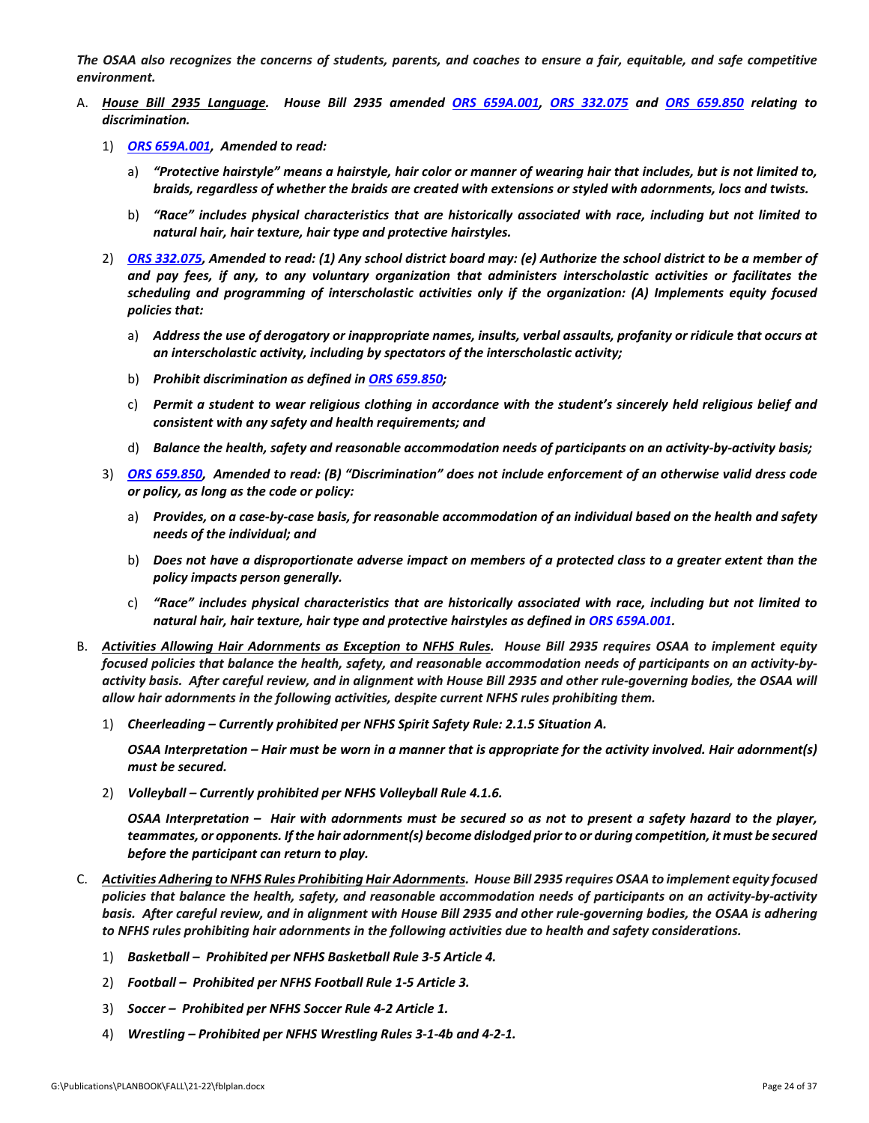The OSAA also recognizes the concerns of students, parents, and coaches to ensure a fair, equitable, and safe competitive *environment.*

- A. House Bill 2935 Language. House Bill 2935 amended ORS [659A.001,](https://www.oregonlegislature.gov/bills_laws/Pages/Oregon-Laws.aspx) ORS 332.075 and ORS 659.850 relating to *discrimination.* 
	- 1) *ORS [659A.001,](https://www.oregonlegislature.gov/bills_laws/Pages/Oregon-Laws.aspx) Amended to read:*
		- a) "Protective hairstyle" means a hairstyle, hair color or manner of wearing hair that includes, but is not limited to, braids, regardless of whether the braids are created with extensions or styled with adornments, locs and twists.
		- b) *"Race" includes physical characteristics that are historically associated with race, including but not limited to natural hair, hair texture, hair type and protective hairstyles.*
	- 2) ORS [332.075,](https://www.oregonlegislature.gov/bills_laws/Pages/Oregon-Laws.aspx) Amended to read: (1) Any school district board may: (e) Authorize the school district to be a member of and pay fees, if any, to any voluntary organization that administers interscholastic activities or facilitates the *scheduling and programming of interscholastic activities only if the organization: (A) Implements equity focused policies that:*
		- a) Address the use of derogatory or inappropriate names, insults, verbal assaults, profanity or ridicule that occurs at *an interscholastic activity, including by spectators of the interscholastic activity;*
		- b) *Prohibit discrimination as defined in ORS [659.850;](https://www.oregonlegislature.gov/bills_laws/Pages/Oregon-Laws.aspx)*
		- c) Permit a student to wear religious clothing in accordance with the student's sincerely held religious belief and *consistent with any safety and health requirements; and*
		- d) Balance the health, safety and reasonable accommodation needs of participants on an activity-by-activity basis;
	- 3) ORS [659.850,](https://www.oregonlegislature.gov/bills_laws/Pages/Oregon-Laws.aspx) Amended to read: (B) "Discrimination" does not include enforcement of an otherwise valid dress code *or policy, as long as the code or policy:*
		- a) Provides, on a case-by-case basis, for reasonable accommodation of an individual based on the health and safety *needs of the individual; and*
		- b) Does not have a disproportionate adverse impact on members of a protected class to a greater extent than the *policy impacts person generally.*
		- c) *"Race" includes physical characteristics that are historically associated with race, including but not limited to natural hair, hair texture, hair type and protective hairstyles as defined in ORS [659A.001.](https://www.oregonlegislature.gov/bills_laws/Pages/Oregon-Laws.aspx)*
- B. Activities Allowing Hair Adornments as Exception to NFHS Rules. House Bill 2935 requires OSAA to implement equity focused policies that balance the health, safety, and reasonable accommodation needs of participants on an activity-byactivity basis. After careful review, and in alignment with House Bill 2935 and other rule-governing bodies, the OSAA will *allow hair adornments in the following activities, despite current NFHS rules prohibiting them.*
	- 1) *Cheerleading – Currently prohibited per NFHS Spirit Safety Rule: 2.1.5 Situation A.*

OSAA Interpretation – Hair must be worn in a manner that is appropriate for the activity involved. Hair adornment(s) *must be secured.*

2) *Volleyball – Currently prohibited per NFHS Volleyball Rule 4.1.6.*

OSAA Interpretation - Hair with adornments must be secured so as not to present a safety hazard to the player, teammates, or opponents. If the hair adornment(s) become dislodged prior to or during competition, it must be secured *before the participant can return to play.*

- C. Activities Adhering to NFHS Rules Prohibiting Hair Adornments. House Bill 2935 requires OSAA to implement equity focused policies that balance the health, safety, and reasonable accommodation needs of participants on an activity-by-activity basis. After careful review, and in alignment with House Bill 2935 and other rule-governing bodies, the OSAA is adhering to NFHS rules prohibiting hair adornments in the following activities due to health and safety considerations.
	- 1) *Basketball – Prohibited per NFHS Basketball Rule 3‐5 Article 4.*
	- 2) *Football – Prohibited per NFHS Football Rule 1‐5 Article 3.*
	- 3) *Soccer – Prohibited per NFHS Soccer Rule 4‐2 Article 1.*
	- 4) *Wrestling – Prohibited per NFHS Wrestling Rules 3‐1‐4b and 4‐2‐1.*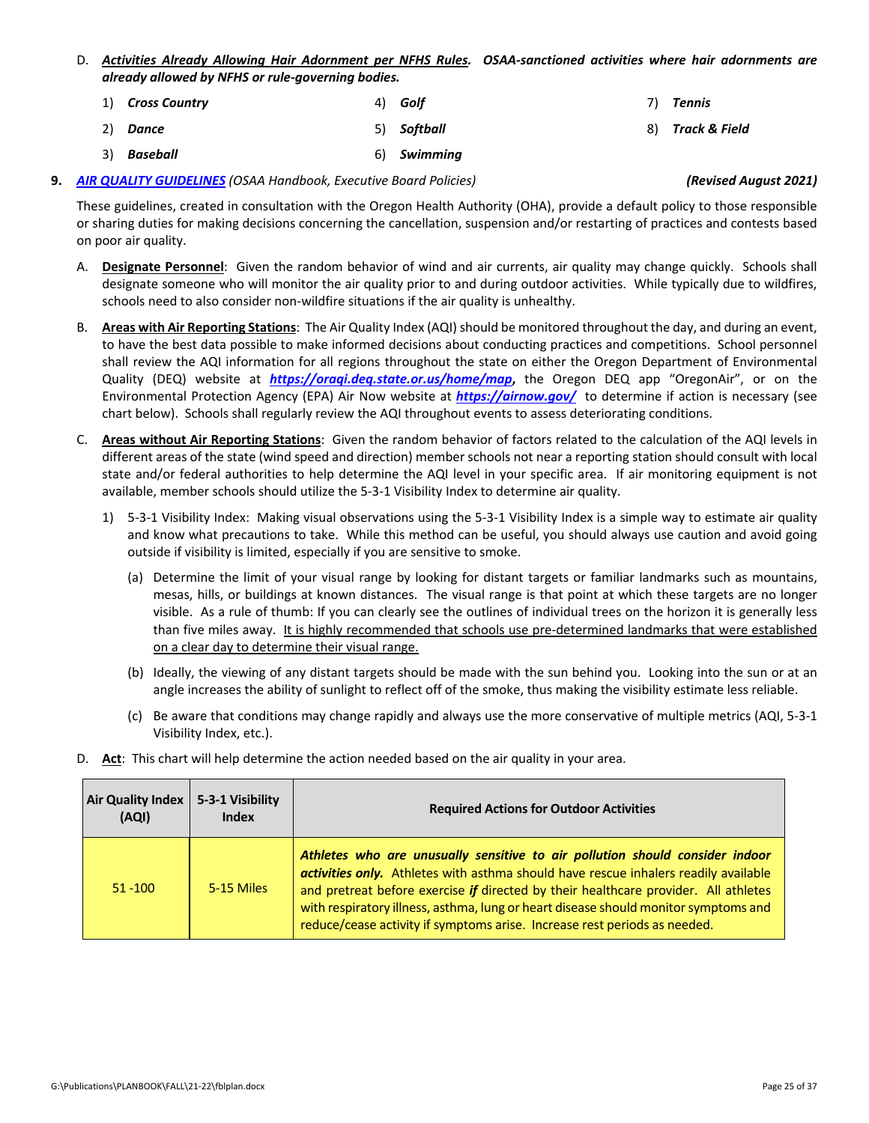- D. Activities Already Allowing Hair Adornment per NFHS Rules. OSAA-sanctioned activities where hair adornments are *already allowed by NFHS or rule‐governing bodies.*
	- 1) *Cross Country* 4) *Golf* 7) *Tennis*
	- 2) *Dance* 5) *Softball* 8) *Track & Field*
	- 3) *Baseball* 6) *Swimming*

### **9.** *AIR QUALITY [GUIDELINES](http://www.osaa.org/governance/handbooks/osaa#_Toc456100325) (OSAA Handbook, Executive Board Policies) (Revised August 2021)*

These guidelines, created in consultation with the Oregon Health Authority (OHA), provide a default policy to those responsible or sharing duties for making decisions concerning the cancellation, suspension and/or restarting of practices and contests based on poor air quality.

- A. **Designate Personnel**: Given the random behavior of wind and air currents, air quality may change quickly. Schools shall designate someone who will monitor the air quality prior to and during outdoor activities. While typically due to wildfires, schools need to also consider non‐wildfire situations if the air quality is unhealthy.
- B. Areas with Air Reporting Stations: The Air Quality Index (AQI) should be monitored throughout the day, and during an event, to have the best data possible to make informed decisions about conducting practices and competitions. School personnel shall review the AQI information for all regions throughout the state on either the Oregon Department of Environmental Quality (DEQ) website at *<https://oraqi.deq.state.or.us/home/map>***,** the Oregon DEQ app "OregonAir", or on the Environmental Protection Agency (EPA) Air Now website at *<https://airnow.gov/>* to determine if action is necessary (see chart below). Schools shall regularly review the AQI throughout events to assess deteriorating conditions.
- C. **Areas without Air Reporting Stations**: Given the random behavior of factors related to the calculation of the AQI levels in different areas of the state (wind speed and direction) member schools not near a reporting station should consult with local state and/or federal authorities to help determine the AQI level in your specific area. If air monitoring equipment is not available, member schools should utilize the 5‐3‐1 Visibility Index to determine air quality.
	- 1) 5-3-1 Visibility Index: Making visual observations using the 5-3-1 Visibility Index is a simple way to estimate air quality and know what precautions to take. While this method can be useful, you should always use caution and avoid going outside if visibility is limited, especially if you are sensitive to smoke.
		- (a) Determine the limit of your visual range by looking for distant targets or familiar landmarks such as mountains, mesas, hills, or buildings at known distances. The visual range is that point at which these targets are no longer visible. As a rule of thumb: If you can clearly see the outlines of individual trees on the horizon it is generally less than five miles away. It is highly recommended that schools use pre‐determined landmarks that were established on a clear day to determine their visual range.
		- (b) Ideally, the viewing of any distant targets should be made with the sun behind you. Looking into the sun or at an angle increases the ability of sunlight to reflect off of the smoke, thus making the visibility estimate less reliable.
		- (c) Be aware that conditions may change rapidly and always use the more conservative of multiple metrics (AQI, 5‐3‐1 Visibility Index, etc.).
- D. **Act**: This chart will help determine the action needed based on the air quality in your area.

| <b>Air Quality Index</b><br>(AQI) | 5-3-1 Visibility<br><b>Index</b> | <b>Required Actions for Outdoor Activities</b>                                                                                                                                                                                                                                                                                                                                                                                 |
|-----------------------------------|----------------------------------|--------------------------------------------------------------------------------------------------------------------------------------------------------------------------------------------------------------------------------------------------------------------------------------------------------------------------------------------------------------------------------------------------------------------------------|
| $51 - 100$                        | 5-15 Miles                       | Athletes who are unusually sensitive to air pollution should consider indoor<br>activities only. Athletes with asthma should have rescue inhalers readily available<br>and pretreat before exercise if directed by their healthcare provider. All athletes<br>with respiratory illness, asthma, lung or heart disease should monitor symptoms and<br>reduce/cease activity if symptoms arise. Increase rest periods as needed. |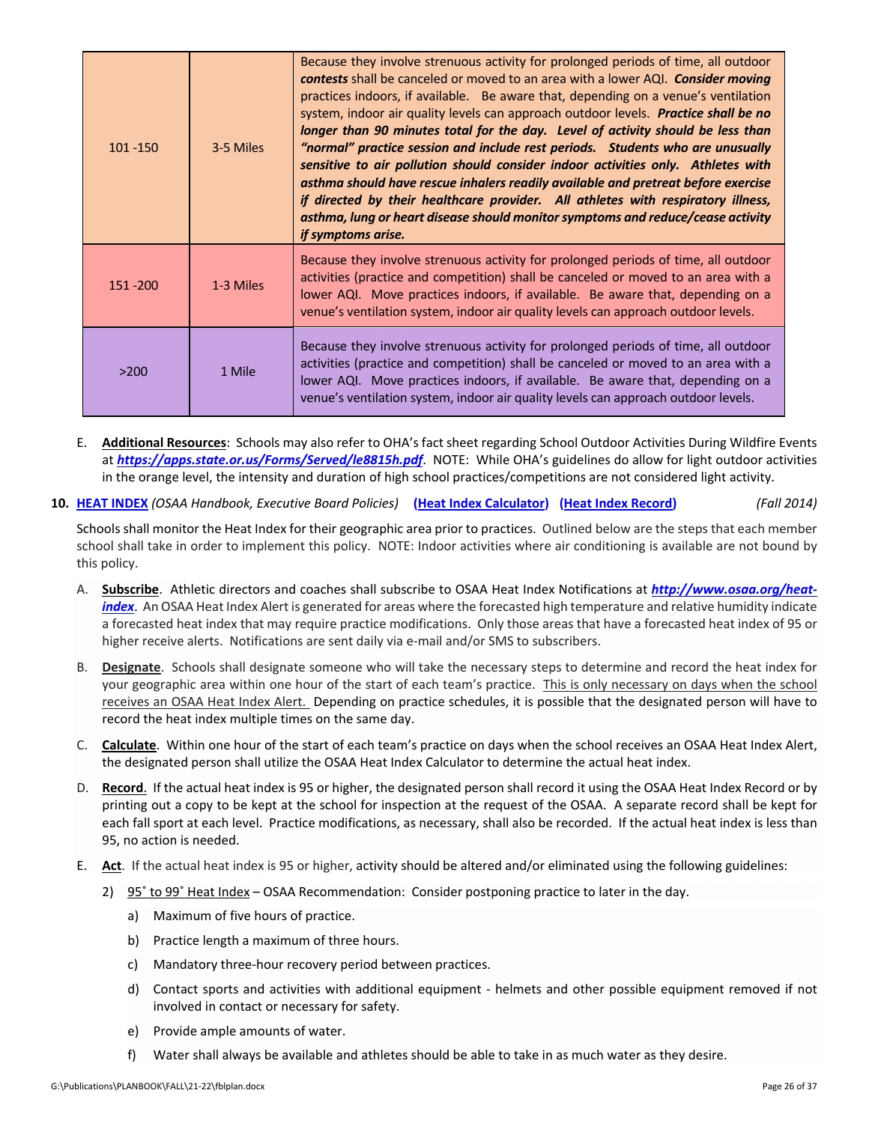| $101 - 150$ | 3-5 Miles | Because they involve strenuous activity for prolonged periods of time, all outdoor<br><b>contests</b> shall be canceled or moved to an area with a lower AQI. <b>Consider moving</b><br>practices indoors, if available. Be aware that, depending on a venue's ventilation<br>system, indoor air quality levels can approach outdoor levels. Practice shall be no<br>longer than 90 minutes total for the day. Level of activity should be less than<br>"normal" practice session and include rest periods. Students who are unusually<br>sensitive to air pollution should consider indoor activities only. Athletes with<br>asthma should have rescue inhalers readily available and pretreat before exercise<br>if directed by their healthcare provider. All athletes with respiratory illness,<br>asthma, lung or heart disease should monitor symptoms and reduce/cease activity<br>if symptoms arise. |
|-------------|-----------|--------------------------------------------------------------------------------------------------------------------------------------------------------------------------------------------------------------------------------------------------------------------------------------------------------------------------------------------------------------------------------------------------------------------------------------------------------------------------------------------------------------------------------------------------------------------------------------------------------------------------------------------------------------------------------------------------------------------------------------------------------------------------------------------------------------------------------------------------------------------------------------------------------------|
| 151 - 200   | 1-3 Miles | Because they involve strenuous activity for prolonged periods of time, all outdoor<br>activities (practice and competition) shall be canceled or moved to an area with a<br>lower AQI. Move practices indoors, if available. Be aware that, depending on a<br>venue's ventilation system, indoor air quality levels can approach outdoor levels.                                                                                                                                                                                                                                                                                                                                                                                                                                                                                                                                                             |
| >200        | 1 Mile    | Because they involve strenuous activity for prolonged periods of time, all outdoor<br>activities (practice and competition) shall be canceled or moved to an area with a<br>lower AQI. Move practices indoors, if available. Be aware that, depending on a<br>venue's ventilation system, indoor air quality levels can approach outdoor levels.                                                                                                                                                                                                                                                                                                                                                                                                                                                                                                                                                             |

- E. **Additional Resources**:Schools may also refer to OHA's fact sheet regarding School Outdoor Activities During Wildfire Events at *<https://apps.state.or.us/Forms/Served/le8815h.pdf>*. NOTE: While OHA's guidelines do allow for light outdoor activities in the orange level, the intensity and duration of high school practices/competitions are not considered light activity.
- 10. HEAT [INDEX](http://www.osaa.org/governance/handbooks/osaa#_Toc456100394) (OSAA Handbook, Executive Board Policies) (Heat Index [Calculator\)](http://www.osaa.org/heat-index) (Heat Index [Record\)](http://www.osaa.org/governance/forms) (Fall 2014)

Schools shall monitor the Heat Index for their geographic area prior to practices. Outlined below are the steps that each member school shall take in order to implement this policy. NOTE: Indoor activities where air conditioning is available are not bound by this policy.

- A. **Subscribe**. Athletic directors and coaches shall subscribe to OSAA Heat Index Notifications at *[http://www.osaa.org/heat](http://www.osaa.org/heat-index)‐ index*. An OSAA Heat Index Alert is generated for areas where the forecasted high temperature and relative humidity indicate a forecasted heat index that may require practice modifications. Only those areas that have a forecasted heat index of 95 or higher receive alerts. Notifications are sent daily via e-mail and/or SMS to subscribers.
- B. **Designate**. Schools shall designate someone who will take the necessary steps to determine and record the heat index for your geographic area within one hour of the start of each team's practice. This is only necessary on days when the school receives an OSAA Heat Index Alert. Depending on practice schedules, it is possible that the designated person will have to record the heat index multiple times on the same day.
- C. **Calculate**. Within one hour of the start of each team's practice on days when the school receives an OSAA Heat Index Alert, the designated person shall utilize the OSAA Heat Index Calculator to determine the actual heat index.
- D. **Record**. If the actual heat index is 95 or higher, the designated person shall record it using the OSAA Heat Index Record or by printing out a copy to be kept at the school for inspection at the request of the OSAA. A separate record shall be kept for each fall sport at each level. Practice modifications, as necessary, shall also be recorded. If the actual heat index is less than 95, no action is needed.
- E. **Act**. If the actual heat index is 95 or higher, activity should be altered and/or eliminated using the following guidelines:
	- 2) 95˚ to 99˚ Heat Index OSAA Recommendation: Consider postponing practice to later in the day.
		- a) Maximum of five hours of practice.
		- b) Practice length a maximum of three hours.
		- c) Mandatory three‐hour recovery period between practices.
		- d) Contact sports and activities with additional equipment ‐ helmets and other possible equipment removed if not involved in contact or necessary for safety.
		- e) Provide ample amounts of water.
		- f) Water shall always be available and athletes should be able to take in as much water as they desire.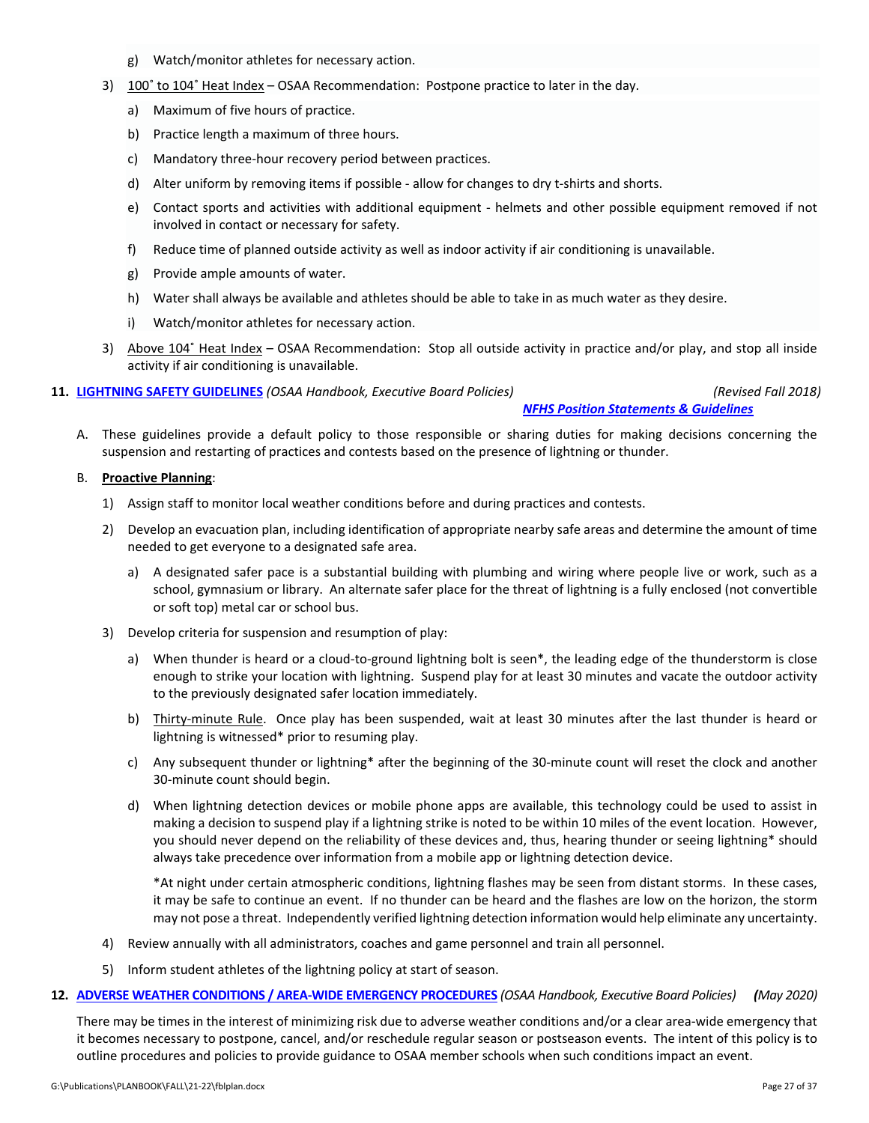- g) Watch/monitor athletes for necessary action.
- 3) 100° to 104° Heat Index OSAA Recommendation: Postpone practice to later in the day.
	- a) Maximum of five hours of practice.
	- b) Practice length a maximum of three hours.
	- c) Mandatory three‐hour recovery period between practices.
	- d) Alter uniform by removing items if possible ‐ allow for changes to dry t‐shirts and shorts.
	- e) Contact sports and activities with additional equipment ‐ helmets and other possible equipment removed if not involved in contact or necessary for safety.
	- f) Reduce time of planned outside activity as well as indoor activity if air conditioning is unavailable.
	- g) Provide ample amounts of water.
	- h) Water shall always be available and athletes should be able to take in as much water as they desire.
	- i) Watch/monitor athletes for necessary action.
- 3) Above 104˚ Heat Index OSAA Recommendation: Stop all outside activity in practice and/or play, and stop all inside activity if air conditioning is unavailable.

**11. LIGHTNING SAFETY [GUIDELINES](http://www.osaa.org/governance/handbooks/osaa#_Toc456100397)** *(OSAA Handbook, Executive Board Policies) (Revised Fall 2018)*

*NFHS Position [Statements](http://www.nfhs.org/sports-resource-content/nfhs-sports-medicine-position-statements-and-guidelines/) & Guidelines*

A. These guidelines provide a default policy to those responsible or sharing duties for making decisions concerning the suspension and restarting of practices and contests based on the presence of lightning or thunder.

### B. **Proactive Planning**:

- 1) Assign staff to monitor local weather conditions before and during practices and contests.
- 2) Develop an evacuation plan, including identification of appropriate nearby safe areas and determine the amount of time needed to get everyone to a designated safe area.
	- a) A designated safer pace is a substantial building with plumbing and wiring where people live or work, such as a school, gymnasium or library. An alternate safer place for the threat of lightning is a fully enclosed (not convertible or soft top) metal car or school bus.
- 3) Develop criteria for suspension and resumption of play:
	- a) When thunder is heard or a cloud‐to‐ground lightning bolt is seen\*, the leading edge of the thunderstorm is close enough to strike your location with lightning. Suspend play for at least 30 minutes and vacate the outdoor activity to the previously designated safer location immediately.
	- b) Thirty-minute Rule. Once play has been suspended, wait at least 30 minutes after the last thunder is heard or lightning is witnessed\* prior to resuming play.
	- c) Any subsequent thunder or lightning\* after the beginning of the 30‐minute count will reset the clock and another 30‐minute count should begin.
	- d) When lightning detection devices or mobile phone apps are available, this technology could be used to assist in making a decision to suspend play if a lightning strike is noted to be within 10 miles of the event location. However, you should never depend on the reliability of these devices and, thus, hearing thunder or seeing lightning\* should always take precedence over information from a mobile app or lightning detection device.

\*At night under certain atmospheric conditions, lightning flashes may be seen from distant storms. In these cases, it may be safe to continue an event. If no thunder can be heard and the flashes are low on the horizon, the storm may not pose a threat. Independently verified lightning detection information would help eliminate any uncertainty.

- 4) Review annually with all administrators, coaches and game personnel and train all personnel.
- 5) Inform student athletes of the lightning policy at start of season.
- 12. ADVERSE WEATHER CONDITIONS / AREA-WIDE EMERGENCY [PROCEDURES](http://www.osaa.org/governance/handbooks/osaa#_Toc456100325) (OSAA Handbook, Executive Board Policies) (May 2020)

There may be times in the interest of minimizing risk due to adverse weather conditions and/or a clear area-wide emergency that it becomes necessary to postpone, cancel, and/or reschedule regular season or postseason events. The intent of this policy is to outline procedures and policies to provide guidance to OSAA member schools when such conditions impact an event.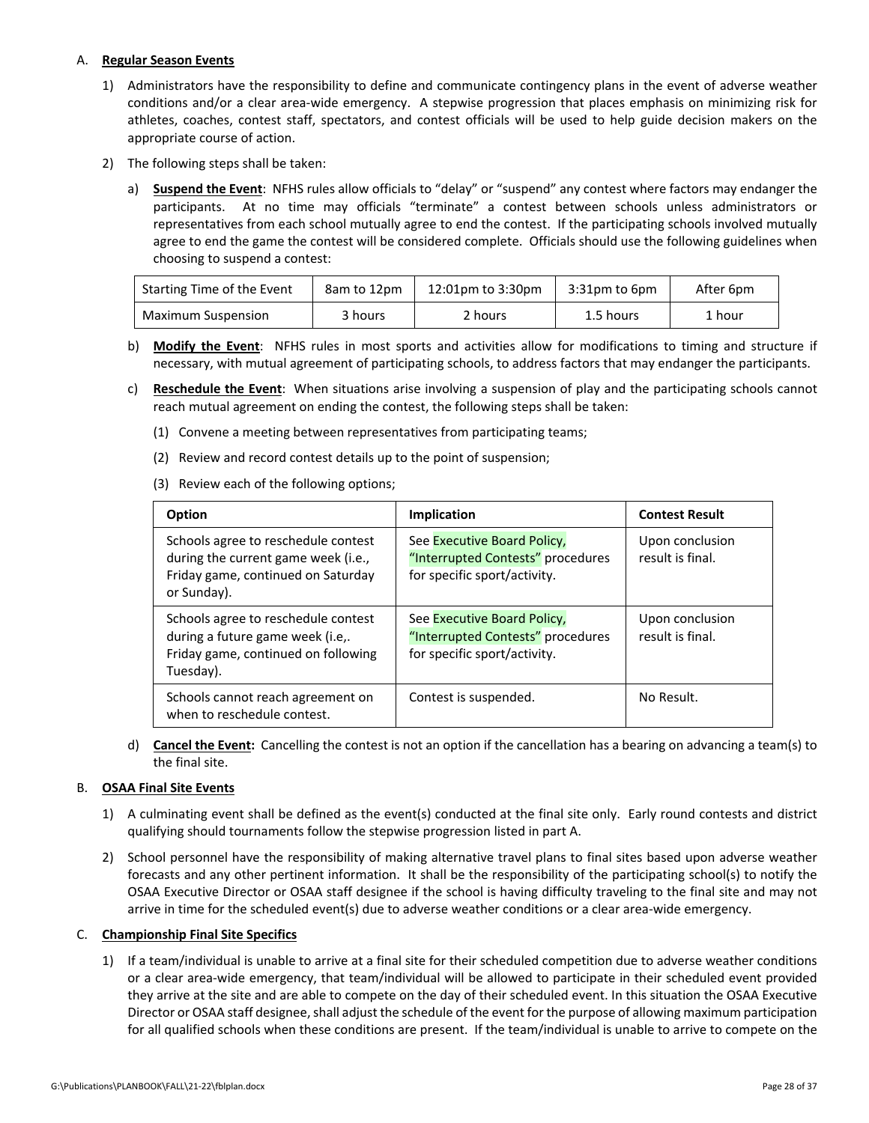### A. **Regular Season Events**

- 1) Administrators have the responsibility to define and communicate contingency plans in the event of adverse weather conditions and/or a clear area‐wide emergency. A stepwise progression that places emphasis on minimizing risk for athletes, coaches, contest staff, spectators, and contest officials will be used to help guide decision makers on the appropriate course of action.
- 2) The following steps shall be taken:
	- a) **Suspend the Event**:NFHS rules allow officials to "delay" or "suspend" any contest where factors may endanger the participants. At no time may officials "terminate" a contest between schools unless administrators or representatives from each school mutually agree to end the contest. If the participating schools involved mutually agree to end the game the contest will be considered complete. Officials should use the following guidelines when choosing to suspend a contest:

| Starting Time of the Event<br>8am to 12pm |         | 12:01pm to 3:30pm | $3:31$ pm to $6$ pm | After 6pm |  |
|-------------------------------------------|---------|-------------------|---------------------|-----------|--|
| Maximum Suspension                        | 3 hours | 2 hours           | 1.5 hours           | 1 hour    |  |

- b) **Modify the Event**: NFHS rules in most sports and activities allow for modifications to timing and structure if necessary, with mutual agreement of participating schools, to address factors that may endanger the participants.
- c) **Reschedule the Event**:When situations arise involving a suspension of play and the participating schools cannot reach mutual agreement on ending the contest, the following steps shall be taken:
	- (1) Convene a meeting between representatives from participating teams;
	- (2) Review and record contest details up to the point of suspension;
	- (3) Review each of the following options;

| Option                                                                                                                          | <b>Implication</b>                                                                               | <b>Contest Result</b>               |
|---------------------------------------------------------------------------------------------------------------------------------|--------------------------------------------------------------------------------------------------|-------------------------------------|
| Schools agree to reschedule contest<br>during the current game week (i.e.,<br>Friday game, continued on Saturday<br>or Sunday). | See Executive Board Policy,<br>"Interrupted Contests" procedures<br>for specific sport/activity. | Upon conclusion<br>result is final. |
| Schools agree to reschedule contest<br>during a future game week (i.e,.<br>Friday game, continued on following<br>Tuesday).     | See Executive Board Policy,<br>"Interrupted Contests" procedures<br>for specific sport/activity. | Upon conclusion<br>result is final. |
| Schools cannot reach agreement on<br>when to reschedule contest.                                                                | Contest is suspended.                                                                            | No Result.                          |

d) **Cancel the Event:**Cancelling the contest is not an option if the cancellation has a bearing on advancing a team(s) to the final site.

### B. **OSAA Final Site Events**

- 1) A culminating event shall be defined as the event(s) conducted at the final site only. Early round contests and district qualifying should tournaments follow the stepwise progression listed in part A.
- 2) School personnel have the responsibility of making alternative travel plans to final sites based upon adverse weather forecasts and any other pertinent information. It shall be the responsibility of the participating school(s) to notify the OSAA Executive Director or OSAA staff designee if the school is having difficulty traveling to the final site and may not arrive in time for the scheduled event(s) due to adverse weather conditions or a clear area‐wide emergency.

### C. **Championship Final Site Specifics**

1) If a team/individual is unable to arrive at a final site for their scheduled competition due to adverse weather conditions or a clear area‐wide emergency, that team/individual will be allowed to participate in their scheduled event provided they arrive at the site and are able to compete on the day of their scheduled event. In this situation the OSAA Executive Director or OSAA staff designee, shall adjust the schedule of the event for the purpose of allowing maximum participation for all qualified schools when these conditions are present. If the team/individual is unable to arrive to compete on the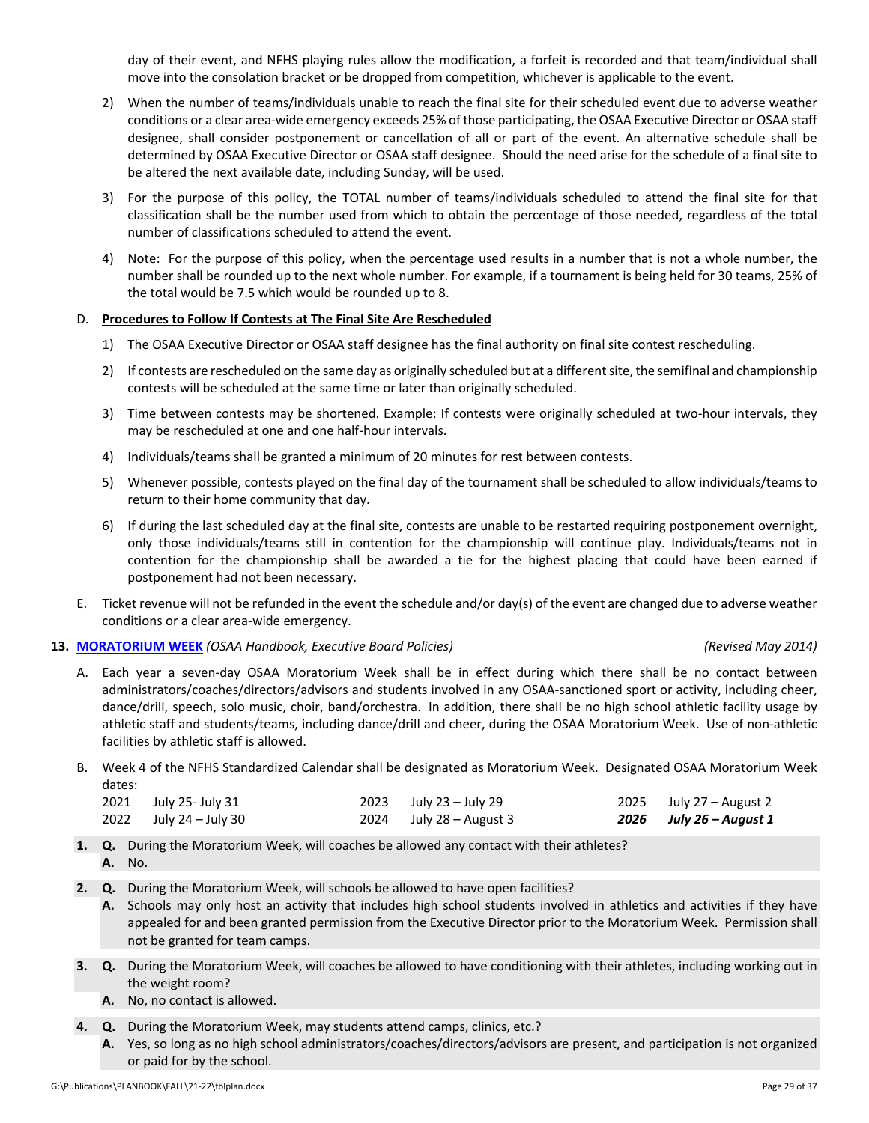day of their event, and NFHS playing rules allow the modification, a forfeit is recorded and that team/individual shall move into the consolation bracket or be dropped from competition, whichever is applicable to the event.

- 2) When the number of teams/individuals unable to reach the final site for their scheduled event due to adverse weather conditions or a clear area‐wide emergency exceeds 25% of those participating, the OSAA Executive Director or OSAA staff designee, shall consider postponement or cancellation of all or part of the event. An alternative schedule shall be determined by OSAA Executive Director or OSAA staff designee. Should the need arise for the schedule of a final site to be altered the next available date, including Sunday, will be used.
- 3) For the purpose of this policy, the TOTAL number of teams/individuals scheduled to attend the final site for that classification shall be the number used from which to obtain the percentage of those needed, regardless of the total number of classifications scheduled to attend the event.
- 4) Note: For the purpose of this policy, when the percentage used results in a number that is not a whole number, the number shall be rounded up to the next whole number. For example, if a tournament is being held for 30 teams, 25% of the total would be 7.5 which would be rounded up to 8.

### D. **Procedures to Follow If Contests at The Final Site Are Rescheduled**

- 1) The OSAA Executive Director or OSAA staff designee has the final authority on final site contest rescheduling.
- 2) If contests are rescheduled on the same day as originally scheduled but at a differentsite, the semifinal and championship contests will be scheduled at the same time or later than originally scheduled.
- 3) Time between contests may be shortened. Example: If contests were originally scheduled at two-hour intervals, they may be rescheduled at one and one half‐hour intervals.
- 4) Individuals/teams shall be granted a minimum of 20 minutes for rest between contests.
- 5) Whenever possible, contests played on the final day of the tournament shall be scheduled to allow individuals/teams to return to their home community that day.
- 6) If during the last scheduled day at the final site, contests are unable to be restarted requiring postponement overnight, only those individuals/teams still in contention for the championship will continue play. Individuals/teams not in contention for the championship shall be awarded a tie for the highest placing that could have been earned if postponement had not been necessary.
- E. Ticket revenue will not be refunded in the event the schedule and/or day(s) of the event are changed due to adverse weather conditions or a clear area‐wide emergency.

### **13. [MORATORIUM](http://www.osaa.org/governance/handbooks/osaa#_Toc456100399) WEEK** *(OSAA Handbook, Executive Board Policies) (Revised May 2014)*

- A. Each year a seven‐day OSAA Moratorium Week shall be in effect during which there shall be no contact between administrators/coaches/directors/advisors and students involved in any OSAA‐sanctioned sport or activity, including cheer, dance/drill, speech, solo music, choir, band/orchestra. In addition, there shall be no high school athletic facility usage by athletic staff and students/teams, including dance/drill and cheer, during the OSAA Moratorium Week. Use of non‐athletic facilities by athletic staff is allowed.
- B. Week 4 of the NFHS Standardized Calendar shall be designated as Moratorium Week.Designated OSAA Moratorium Week dates:

| 2021 July 25- July 31  | $2023$ July 23 – July 29  | $2025$ July 27 – August 2 |
|------------------------|---------------------------|---------------------------|
| 2022 July 24 – July 30 | $2024$ July 28 – August 3 | 2026 July 26 – August 1   |

- **1. Q.** During the Moratorium Week, will coaches be allowed any contact with their athletes? **A.** No.
- **2. Q.** During the Moratorium Week, will schools be allowed to have open facilities?
	- **A.** Schools may only host an activity that includes high school students involved in athletics and activities if they have appealed for and been granted permission from the Executive Director prior to the Moratorium Week. Permission shall not be granted for team camps.
- **3. Q.** During the Moratorium Week, will coaches be allowed to have conditioning with their athletes, including working out in the weight room?
	- **A.** No, no contact is allowed.
- **4. Q.** During the Moratorium Week, may students attend camps, clinics, etc.?
	- **A.** Yes, so long as no high school administrators/coaches/directors/advisors are present, and participation is not organized or paid for by the school.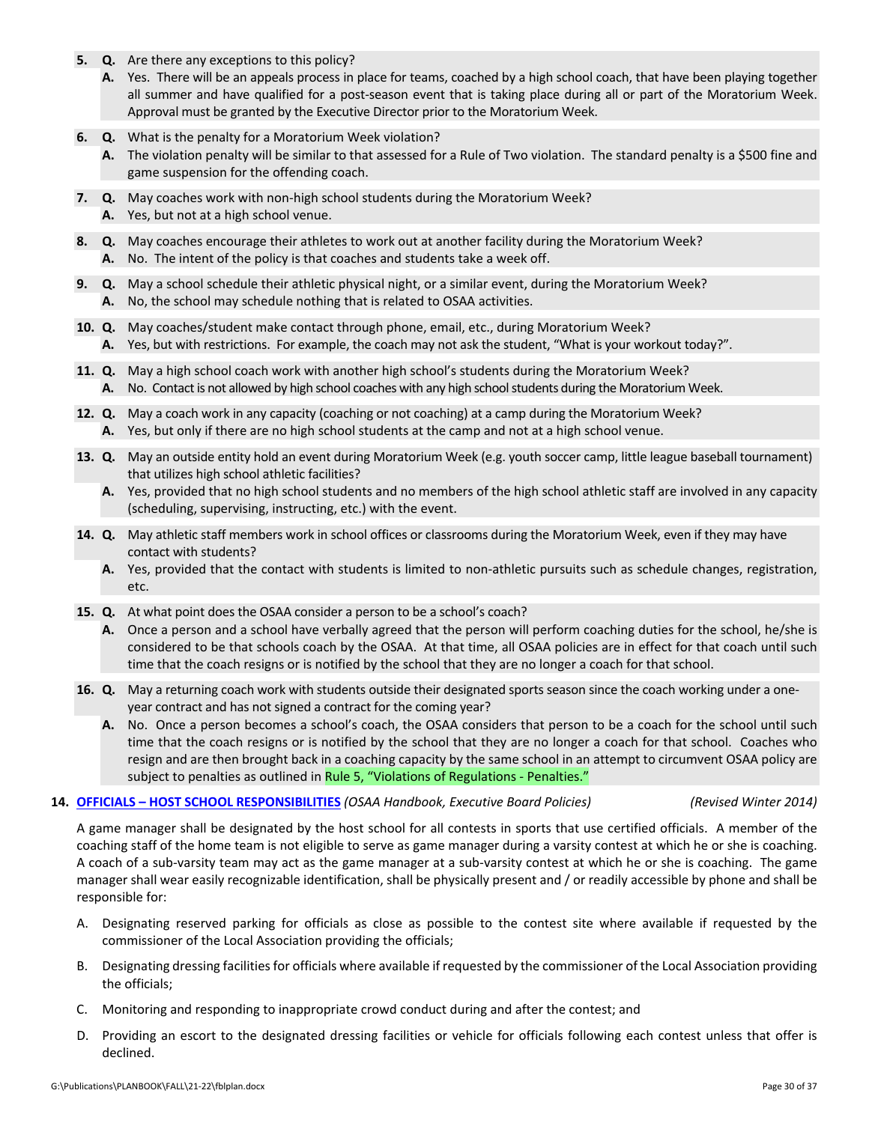- **5. Q.** Are there any exceptions to this policy?
	- **A.** Yes. There will be an appeals process in place for teams, coached by a high school coach, that have been playing together all summer and have qualified for a post-season event that is taking place during all or part of the Moratorium Week. Approval must be granted by the Executive Director prior to the Moratorium Week.
- **6. Q.** What is the penalty for a Moratorium Week violation?
	- **A.** The violation penalty will be similar to that assessed for a Rule of Two violation. The standard penalty is a \$500 fine and game suspension for the offending coach.
- **7. Q.** May coaches work with non-high school students during the Moratorium Week?
	- **A.** Yes, but not at a high school venue.
- **8. Q.** May coaches encourage their athletes to work out at another facility during the Moratorium Week? **A.** No. The intent of the policy is that coaches and students take a week off.
- **9. Q.** May a school schedule their athletic physical night, or a similar event, during the Moratorium Week? **A.** No, the school may schedule nothing that is related to OSAA activities.
- **10. Q.** May coaches/student make contact through phone, email, etc., during Moratorium Week? **A.** Yes, but with restrictions. For example, the coach may not ask the student, "What is your workout today?".
- **11. Q.** May a high school coach work with another high school's students during the Moratorium Week? A. No. Contact is not allowed by high school coaches with any high school students during the Moratorium Week.
- **12. Q.** May a coach work in any capacity (coaching or not coaching) at a camp during the Moratorium Week?
	- **A.** Yes, but only if there are no high school students at the camp and not at a high school venue.
- **13. Q.** May an outside entity hold an event during Moratorium Week (e.g. youth soccer camp, little league baseball tournament) that utilizes high school athletic facilities?
	- **A.** Yes, provided that no high school students and no members of the high school athletic staff are involved in any capacity (scheduling, supervising, instructing, etc.) with the event.
- **14. Q.** May athletic staff members work in school offices or classrooms during the Moratorium Week, even if they may have contact with students?
	- **A.** Yes, provided that the contact with students is limited to non‐athletic pursuits such as schedule changes, registration, etc.
- **15. Q.** At what point does the OSAA consider a person to be a school's coach?
	- **A.** Once a person and a school have verbally agreed that the person will perform coaching duties for the school, he/she is considered to be that schools coach by the OSAA. At that time, all OSAA policies are in effect for that coach until such time that the coach resigns or is notified by the school that they are no longer a coach for that school.
- **16. Q.** May a returning coach work with students outside their designated sports season since the coach working under a one‐ year contract and has not signed a contract for the coming year?
	- **A.** No. Once a person becomes a school's coach, the OSAA considers that person to be a coach for the school until such time that the coach resigns or is notified by the school that they are no longer a coach for that school. Coaches who resign and are then brought back in a coaching capacity by the same school in an attempt to circumvent OSAA policy are subject to penalties as outlined in Rule 5, "Violations of [Regulations](http://www.osaa.org/governance/handbooks/osaa#_Toc456100268) ‐ Penalties."

### **14. OFFICIALS – HOST SCHOOL [RESPONSIBILITIES](http://www.osaa.org/governance/handbooks/osaa#_Toc456100410)** *(OSAA Handbook, Executive Board Policies) (Revised Winter 2014)*

A game manager shall be designated by the host school for all contests in sports that use certified officials. A member of the coaching staff of the home team is not eligible to serve as game manager during a varsity contest at which he or she is coaching. A coach of a sub‐varsity team may act as the game manager at a sub‐varsity contest at which he or she is coaching. The game manager shall wear easily recognizable identification, shall be physically present and / or readily accessible by phone and shall be responsible for:

- A. Designating reserved parking for officials as close as possible to the contest site where available if requested by the commissioner of the Local Association providing the officials;
- B. Designating dressing facilitiesfor officials where available if requested by the commissioner of the Local Association providing the officials;
- C. Monitoring and responding to inappropriate crowd conduct during and after the contest; and
- D. Providing an escort to the designated dressing facilities or vehicle for officials following each contest unless that offer is declined.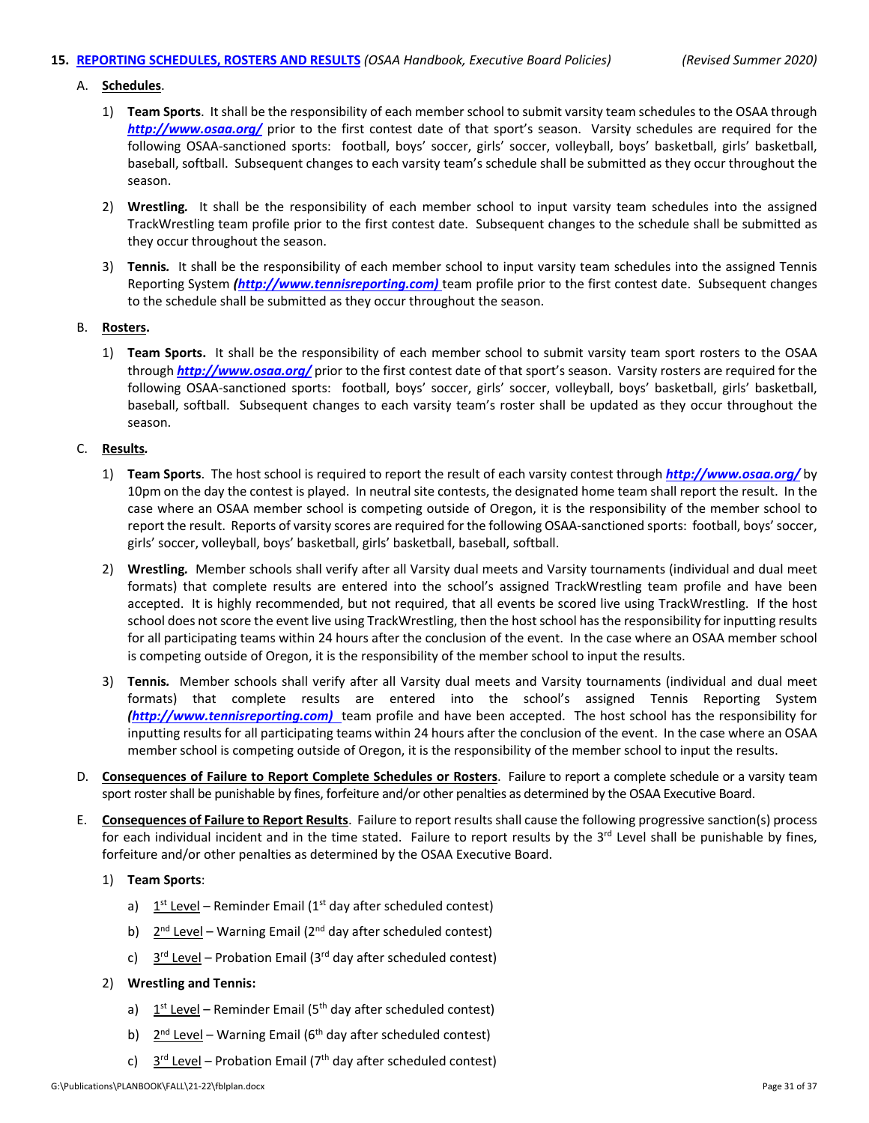### **15. REPORTING [SCHEDULES,](http://www.osaa.org/governance/handbooks/osaa#_Toc456100424) ROSTERS AND RESULTS** *(OSAA Handbook, Executive Board Policies) (Revised Summer 2020)*

### A. **Schedules**.

- 1) **Team Sports**. It shall be the responsibility of each memberschool to submit varsity team schedules to the OSAA through *<http://www.osaa.org/>* prior to the first contest date of that sport's season. Varsity schedules are required for the following OSAA‐sanctioned sports: football, boys' soccer, girls' soccer, volleyball, boys' basketball, girls' basketball, baseball, softball. Subsequent changes to each varsity team's schedule shall be submitted as they occur throughout the season.
- 2) **Wrestling***.*  It shall be the responsibility of each member school to input varsity team schedules into the assigned TrackWrestling team profile prior to the first contest date. Subsequent changes to the schedule shall be submitted as they occur throughout the season.
- 3) **Tennis***.* It shall be the responsibility of each member school to input varsity team schedules into the assigned Tennis Reporting System *[\(http://www.tennisreporting.com\)](http://www.tennisreporting.com)* team profile prior to the first contest date. Subsequent changes to the schedule shall be submitted as they occur throughout the season.

### B. **Rosters.**

1) **Team Sports.** It shall be the responsibility of each member school to submit varsity team sport rosters to the OSAA through *<http://www.osaa.org/>* prior to the first contest date of that sport's season. Varsity rosters are required for the following OSAA‐sanctioned sports: football, boys' soccer, girls' soccer, volleyball, boys' basketball, girls' basketball, baseball, softball. Subsequent changes to each varsity team's roster shall be updated as they occur throughout the season.

### C. **Results***.*

- 1) **Team Sports**. The host school is required to report the result of each varsity contest through *<http://www.osaa.org/>* by 10pm on the day the contest is played. In neutral site contests, the designated home team shall report the result. In the case where an OSAA member school is competing outside of Oregon, it is the responsibility of the member school to report the result. Reports of varsity scores are required for the following OSAA‐sanctioned sports: football, boys'soccer, girls' soccer, volleyball, boys' basketball, girls' basketball, baseball, softball.
- 2) **Wrestling***.* Member schools shall verify after all Varsity dual meets and Varsity tournaments (individual and dual meet formats) that complete results are entered into the school's assigned TrackWrestling team profile and have been accepted. It is highly recommended, but not required, that all events be scored live using TrackWrestling. If the host school does not score the event live using TrackWrestling, then the host school has the responsibility for inputting results for all participating teams within 24 hours after the conclusion of the event. In the case where an OSAA member school is competing outside of Oregon, it is the responsibility of the member school to input the results.
- 3) **Tennis***.* Member schools shall verify after all Varsity dual meets and Varsity tournaments (individual and dual meet formats) that complete results are entered into the school's assigned Tennis Reporting System *[\(http://www.tennisreporting.com\)](http://www.tennisreporting.com)* team profile and have been accepted. The host school has the responsibility for inputting results for all participating teams within 24 hours after the conclusion of the event. In the case where an OSAA member school is competing outside of Oregon, it is the responsibility of the member school to input the results.
- D. **Consequences of Failure to Report Complete Schedules or Rosters**. Failure to report a complete schedule or a varsity team sport roster shall be punishable by fines, forfeiture and/or other penalties as determined by the OSAA Executive Board.
- E. **Consequences of Failure to Report Results**. Failure to report results shall cause the following progressive sanction(s) process for each individual incident and in the time stated. Failure to report results by the 3<sup>rd</sup> Level shall be punishable by fines, forfeiture and/or other penalties as determined by the OSAA Executive Board.

### 1) **Team Sports**:

- a)  $1<sup>st</sup>$  Level Reminder Email (1<sup>st</sup> day after scheduled contest)
- b)  $2^{nd}$  Level Warning Email ( $2^{nd}$  day after scheduled contest)
- c)  $3<sup>rd</sup>$  Level Probation Email (3<sup>rd</sup> day after scheduled contest)

### 2) **Wrestling and Tennis:**

- a)  $1<sup>st</sup>$  Level Reminder Email (5<sup>th</sup> day after scheduled contest)
- b)  $2^{nd}$  Level Warning Email (6<sup>th</sup> day after scheduled contest)
- c)  $3<sup>rd</sup> Level Production Email (7<sup>th</sup> day after scheduled contest)$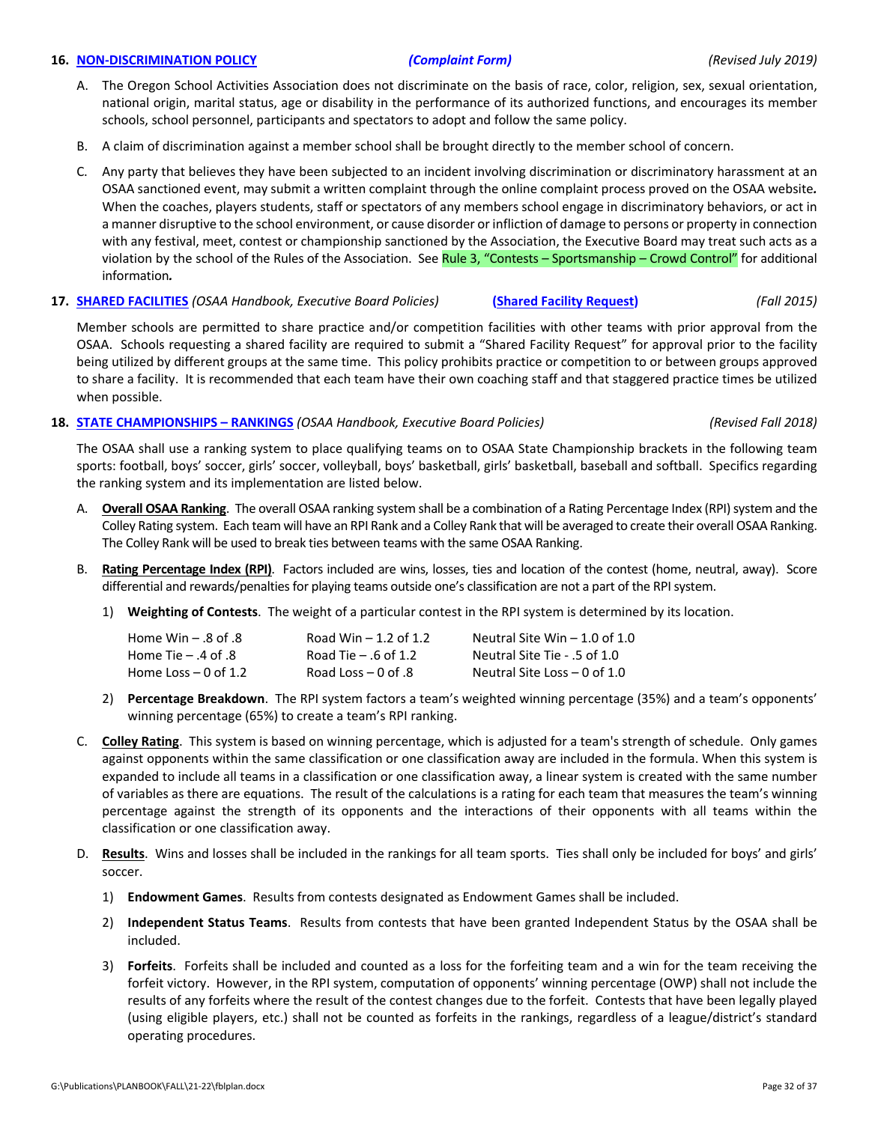### **16. NON‐[DISCRIMINATION](http://www.osaa.org/governance/handbooks/osaa#_Toc456100407) POLICY** *[\(Complaint](https://www.osaa.org/governance/forms) Form) (Revised July 2019)*

- A. The Oregon School Activities Association does not discriminate on the basis of race, color, religion, sex, sexual orientation, national origin, marital status, age or disability in the performance of its authorized functions, and encourages its member schools, school personnel, participants and spectators to adopt and follow the same policy.
- B. A claim of discrimination against a member school shall be brought directly to the member school of concern.
- C. Any party that believes they have been subjected to an incident involving discrimination or discriminatory harassment at an OSAA sanctioned event, may submit a written complaint through the online complaint process proved on the OSAA website*.* When the coaches, players students, staff or spectators of any members school engage in discriminatory behaviors, or act in a manner disruptive to the school environment, or cause disorder or infliction of damage to persons or property in connection with any festival, meet, contest or championship sanctioned by the Association, the Executive Board may treat such acts as a violation by the school of the Rules of the Association. See Rule 3, "Contests – [Sportsmanship](http://www.osaa.org/governance/handbooks/osaa#_Toc456100266) – Crowd Control" for additional information*.*
- **17. SHARED [FACILITIES](http://www.osaa.org/governance/handbooks/osaa#_Toc456100428)** *(OSAA Handbook, Executive Board Policies)* **(Shared Facility [Request\)](https://www.osaa.org/governance/forms)** *(Fall 2015)*

Member schools are permitted to share practice and/or competition facilities with other teams with prior approval from the OSAA. Schools requesting a shared facility are required to submit a "Shared Facility Request" for approval prior to the facility being utilized by different groups at the same time. This policy prohibits practice or competition to or between groups approved to share a facility. It is recommended that each team have their own coaching staff and that staggered practice times be utilized when possible.

### **18. STATE [CHAMPIONSHIPS](http://www.osaa.org/governance/handbooks/osaa#_Toc456100456) – RANKINGS** *(OSAA Handbook, Executive Board Policies) (Revised Fall 2018)*

The OSAA shall use a ranking system to place qualifying teams on to OSAA State Championship brackets in the following team sports: football, boys' soccer, girls' soccer, volleyball, boys' basketball, girls' basketball, baseball and softball. Specifics regarding the ranking system and its implementation are listed below.

- A. **Overall OSAA Ranking**. The overall OSAA ranking system shall be a combination of a Rating Percentage Index (RPI) system and the Colley Rating system. Each team will have an RPI Rank and a Colley Rank that will be averaged to create their overallOSAA Ranking. The Colley Rank will be used to break ties between teams with the same OSAA Ranking.
- B. **Rating Percentage Index (RPI)**. Factors included are wins, losses, ties and location of the contest (home, neutral, away). Score differential and rewards/penalties for playing teams outside one's classification are not a part of the RPI system.
	- 1) **Weighting of Contests**. The weight of a particular contest in the RPI system is determined by its location.

| $Home$ Win $-$ .8 of .8 | Road Win $-1.2$ of 1.2 | Neutral Site Win $-1.0$ of 1.0 |
|-------------------------|------------------------|--------------------------------|
| Home Tie $-$ .4 of .8   | Road Tie $-$ .6 of 1.2 | Neutral Site Tie - .5 of 1.0   |
| Home Loss $-$ 0 of 1.2  | Road Loss $-0$ of .8   | Neutral Site Loss $-$ 0 of 1.0 |

- 2) **Percentage Breakdown**. The RPI system factors a team's weighted winning percentage (35%) and a team's opponents' winning percentage (65%) to create a team's RPI ranking.
- C. **Colley Rating**. This system is based on winning percentage, which is adjusted for a team's strength of schedule. Only games against opponents within the same classification or one classification away are included in the formula. When this system is expanded to include all teams in a classification or one classification away, a linear system is created with the same number of variables as there are equations. The result of the calculations is a rating for each team that measures the team's winning percentage against the strength of its opponents and the interactions of their opponents with all teams within the classification or one classification away.
- D. **Results**. Wins and losses shall be included in the rankings for all team sports. Ties shall only be included for boys' and girls' soccer.
	- 1) **Endowment Games**. Results from contests designated as Endowment Games shall be included.
	- 2) **Independent Status Teams**. Results from contests that have been granted Independent Status by the OSAA shall be included.
	- 3) **Forfeits**. Forfeits shall be included and counted as a loss for the forfeiting team and a win for the team receiving the forfeit victory. However, in the RPI system, computation of opponents' winning percentage (OWP) shall not include the results of any forfeits where the result of the contest changes due to the forfeit. Contests that have been legally played (using eligible players, etc.) shall not be counted as forfeits in the rankings, regardless of a league/district's standard operating procedures.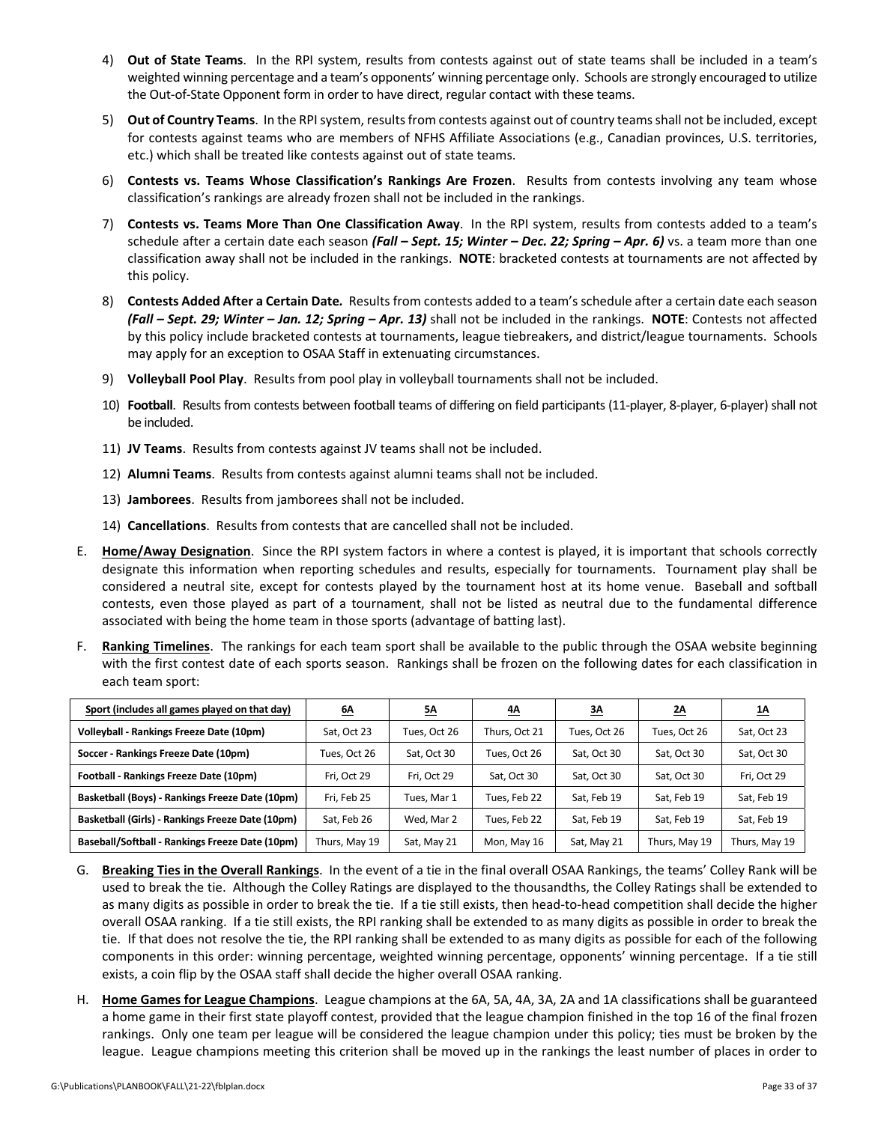- 4) **Out of State Teams**. In the RPI system, results from contests against out of state teams shall be included in a team's weighted winning percentage and a team's opponents' winning percentage only. Schools are strongly encouraged to utilize the Out-of-State Opponent form in order to have direct, regular contact with these teams.
- 5) **Out of Country Teams**. In the RPIsystem, resultsfrom contests against out of country teamsshall not be included, except for contests against teams who are members of NFHS Affiliate Associations (e.g., Canadian provinces, U.S. territories, etc.) which shall be treated like contests against out of state teams.
- 6) **Contests vs. Teams Whose Classification's Rankings Are Frozen**. Results from contests involving any team whose classification's rankings are already frozen shall not be included in the rankings.
- 7) **Contests vs. Teams More Than One Classification Away**. In the RPI system, results from contests added to a team's schedule after a certain date each season *(Fall – Sept. 15; Winter – Dec. 22; Spring – Apr. 6)* vs. a team more than one classification away shall not be included in the rankings. **NOTE**: bracketed contests at tournaments are not affected by this policy.
- 8) **Contests Added After a Certain Date***.* Results from contests added to a team'sschedule after a certain date each season *(Fall – Sept. 29; Winter – Jan. 12; Spring – Apr. 13)* shall not be included in the rankings. **NOTE**: Contests not affected by this policy include bracketed contests at tournaments, league tiebreakers, and district/league tournaments. Schools may apply for an exception to OSAA Staff in extenuating circumstances.
- 9) **Volleyball Pool Play**. Results from pool play in volleyball tournaments shall not be included.
- 10) **Football**. Results from contests between football teams of differing on field participants (11‐player, 8‐player, 6‐player) shall not be included.
- 11) **JV Teams**. Results from contests against JV teams shall not be included.
- 12) **Alumni Teams**. Results from contests against alumni teams shall not be included.
- 13) **Jamborees**. Results from jamborees shall not be included.
- 14) **Cancellations**. Results from contests that are cancelled shall not be included.
- E. **Home/Away Designation**. Since the RPI system factors in where a contest is played, it is important that schools correctly designate this information when reporting schedules and results, especially for tournaments. Tournament play shall be considered a neutral site, except for contests played by the tournament host at its home venue. Baseball and softball contests, even those played as part of a tournament, shall not be listed as neutral due to the fundamental difference associated with being the home team in those sports (advantage of batting last).
- F. **Ranking Timelines**. The rankings for each team sport shall be available to the public through the OSAA website beginning with the first contest date of each sports season. Rankings shall be frozen on the following dates for each classification in each team sport:

| Sport (includes all games played on that day)    | <u>6A</u>     | <u>5A</u>    | 4A            | <u>3A</u>    | <u>2A</u>     | <u>1A</u>     |
|--------------------------------------------------|---------------|--------------|---------------|--------------|---------------|---------------|
| Volleyball - Rankings Freeze Date (10pm)         | Sat, Oct 23   | Tues, Oct 26 | Thurs, Oct 21 | Tues, Oct 26 | Tues, Oct 26  | Sat, Oct 23   |
| Soccer - Rankings Freeze Date (10pm)             | Tues, Oct 26  | Sat, Oct 30  | Tues, Oct 26  | Sat. Oct 30  | Sat, Oct 30   | Sat, Oct 30   |
| Football - Rankings Freeze Date (10pm)           | Fri, Oct 29   | Fri, Oct 29  | Sat, Oct 30   | Sat, Oct 30  | Sat, Oct 30   | Fri, Oct 29   |
| Basketball (Boys) - Rankings Freeze Date (10pm)  | Fri, Feb 25   | Tues, Mar 1  | Tues, Feb 22  | Sat, Feb 19  | Sat, Feb 19   | Sat, Feb 19   |
| Basketball (Girls) - Rankings Freeze Date (10pm) | Sat, Feb 26   | Wed, Mar 2   | Tues, Feb 22  | Sat, Feb 19  | Sat, Feb 19   | Sat, Feb 19   |
| Baseball/Softball - Rankings Freeze Date (10pm)  | Thurs, May 19 | Sat, May 21  | Mon, May 16   | Sat, May 21  | Thurs, May 19 | Thurs, May 19 |

- G. **Breaking Ties in the Overall Rankings**. In the event of a tie in the final overall OSAA Rankings, the teams' Colley Rank will be used to break the tie. Although the Colley Ratings are displayed to the thousandths, the Colley Ratings shall be extended to as many digits as possible in order to break the tie. If a tie still exists, then head‐to‐head competition shall decide the higher overall OSAA ranking. If a tie still exists, the RPI ranking shall be extended to as many digits as possible in order to break the tie. If that does not resolve the tie, the RPI ranking shall be extended to as many digits as possible for each of the following components in this order: winning percentage, weighted winning percentage, opponents' winning percentage. If a tie still exists, a coin flip by the OSAA staff shall decide the higher overall OSAA ranking.
- H. **Home Games for League Champions**. League champions at the 6A, 5A, 4A, 3A, 2A and 1A classifications shall be guaranteed a home game in their first state playoff contest, provided that the league champion finished in the top 16 of the final frozen rankings. Only one team per league will be considered the league champion under this policy; ties must be broken by the league. League champions meeting this criterion shall be moved up in the rankings the least number of places in order to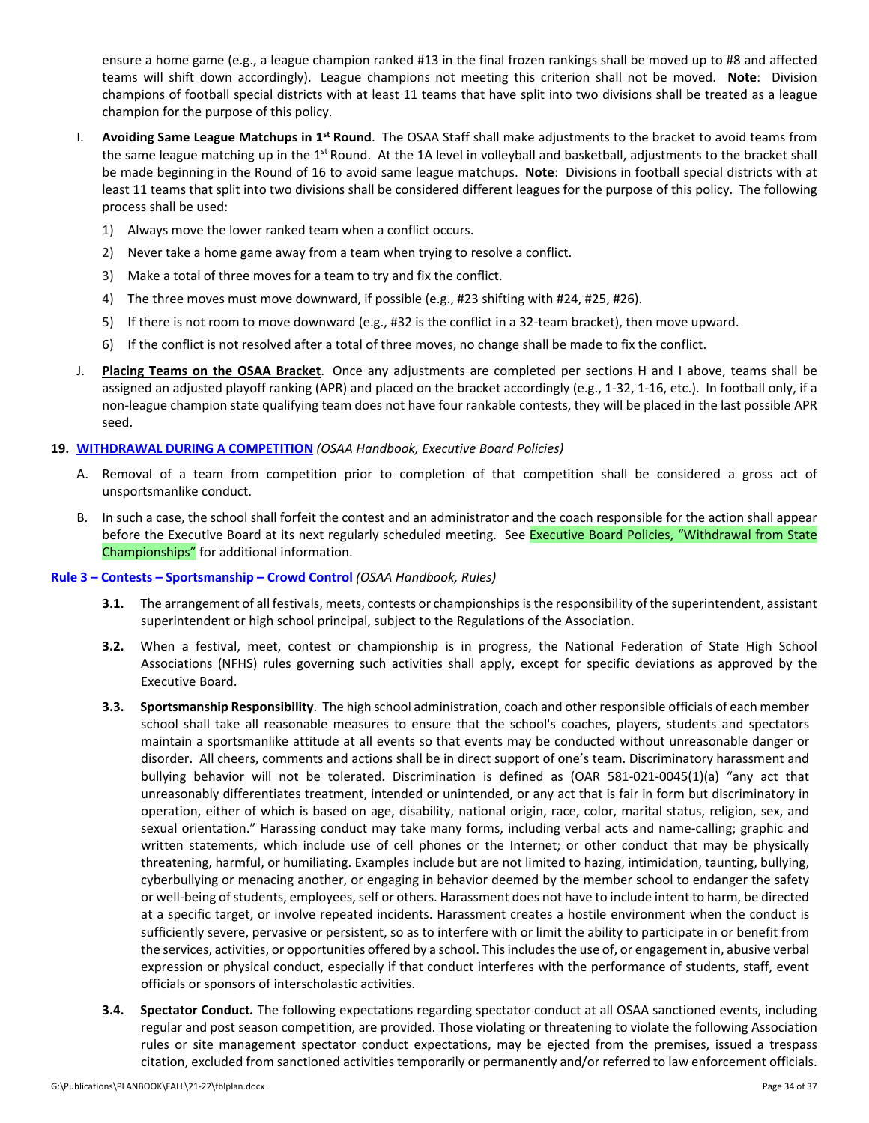ensure a home game (e.g., a league champion ranked #13 in the final frozen rankings shall be moved up to #8 and affected teams will shift down accordingly). League champions not meeting this criterion shall not be moved. **Note**: Division champions of football special districts with at least 11 teams that have split into two divisions shall be treated as a league champion for the purpose of this policy.

- I. **Avoiding Same League Matchups in 1st Round**. The OSAA Staff shall make adjustments to the bracket to avoid teams from the same league matching up in the 1<sup>st</sup> Round. At the 1A level in volleyball and basketball, adjustments to the bracket shall be made beginning in the Round of 16 to avoid same league matchups. **Note**: Divisions in football special districts with at least 11 teams that split into two divisions shall be considered different leagues for the purpose of this policy. The following process shall be used:
	- 1) Always move the lower ranked team when a conflict occurs.
	- 2) Never take a home game away from a team when trying to resolve a conflict.
	- 3) Make a total of three moves for a team to try and fix the conflict.
	- 4) The three moves must move downward, if possible (e.g., #23 shifting with #24, #25, #26).
	- 5) If there is not room to move downward (e.g., #32 is the conflict in a 32-team bracket), then move upward.
	- 6) If the conflict is not resolved after a total of three moves, no change shall be made to fix the conflict.
- J. **Placing Teams on the OSAA Bracket**. Once any adjustments are completed per sections H and I above, teams shall be assigned an adjusted playoff ranking (APR) and placed on the bracket accordingly (e.g., 1‐32, 1‐16, etc.). In football only, if a non‐league champion state qualifying team does not have four rankable contests, they will be placed in the last possible APR seed.

### **19. [WITHDRAWAL](http://www.osaa.org/governance/handbooks/osaa#_Toc456100494) DURING A COMPETITION** *(OSAA Handbook, Executive Board Policies)*

- A. Removal of a team from competition prior to completion of that competition shall be considered a gross act of unsportsmanlike conduct.
- B. In such a case, the school shall forfeit the contest and an administrator and the coach responsible for the action shall appear before the Executive Board at its next regularly scheduled meeting. See Executive Board Policies, "Withdrawal from State [Championships"](http://www.osaa.org/governance/handbooks/osaa#_Toc456100495) for additional information.

### **Rule 3 – Contests – [Sportsmanship](http://www.osaa.org/governance/handbooks/osaa#_Toc456100266) – Crowd Control** *(OSAA Handbook, Rules)*

- **3.1.** The arrangement of all festivals, meets, contests or championships is the responsibility of the superintendent, assistant superintendent or high school principal, subject to the Regulations of the Association.
- **3.2.** When a festival, meet, contest or championship is in progress, the National Federation of State High School Associations (NFHS) rules governing such activities shall apply, except for specific deviations as approved by the Executive Board.
- **3.3. Sportsmanship Responsibility**. The high school administration, coach and other responsible officials of each member school shall take all reasonable measures to ensure that the school's coaches, players, students and spectators maintain a sportsmanlike attitude at all events so that events may be conducted without unreasonable danger or disorder. All cheers, comments and actions shall be in direct support of one's team. Discriminatory harassment and bullying behavior will not be tolerated. Discrimination is defined as (OAR 581‐021‐0045(1)(a) "any act that unreasonably differentiates treatment, intended or unintended, or any act that is fair in form but discriminatory in operation, either of which is based on age, disability, national origin, race, color, marital status, religion, sex, and sexual orientation." Harassing conduct may take many forms, including verbal acts and name-calling; graphic and written statements, which include use of cell phones or the Internet; or other conduct that may be physically threatening, harmful, or humiliating. Examples include but are not limited to hazing, intimidation, taunting, bullying, cyberbullying or menacing another, or engaging in behavior deemed by the member school to endanger the safety or well-being of students, employees, self or others. Harassment does not have to include intent to harm, be directed at a specific target, or involve repeated incidents. Harassment creates a hostile environment when the conduct is sufficiently severe, pervasive or persistent, so as to interfere with or limit the ability to participate in or benefit from the services, activities, or opportunities offered by a school. Thisincludesthe use of, or engagement in, abusive verbal expression or physical conduct, especially if that conduct interferes with the performance of students, staff, event officials or sponsors of interscholastic activities.
- **3.4. Spectator Conduct***.* The following expectations regarding spectator conduct at all OSAA sanctioned events, including regular and post season competition, are provided. Those violating or threatening to violate the following Association rules or site management spectator conduct expectations, may be ejected from the premises, issued a trespass citation, excluded from sanctioned activities temporarily or permanently and/or referred to law enforcement officials.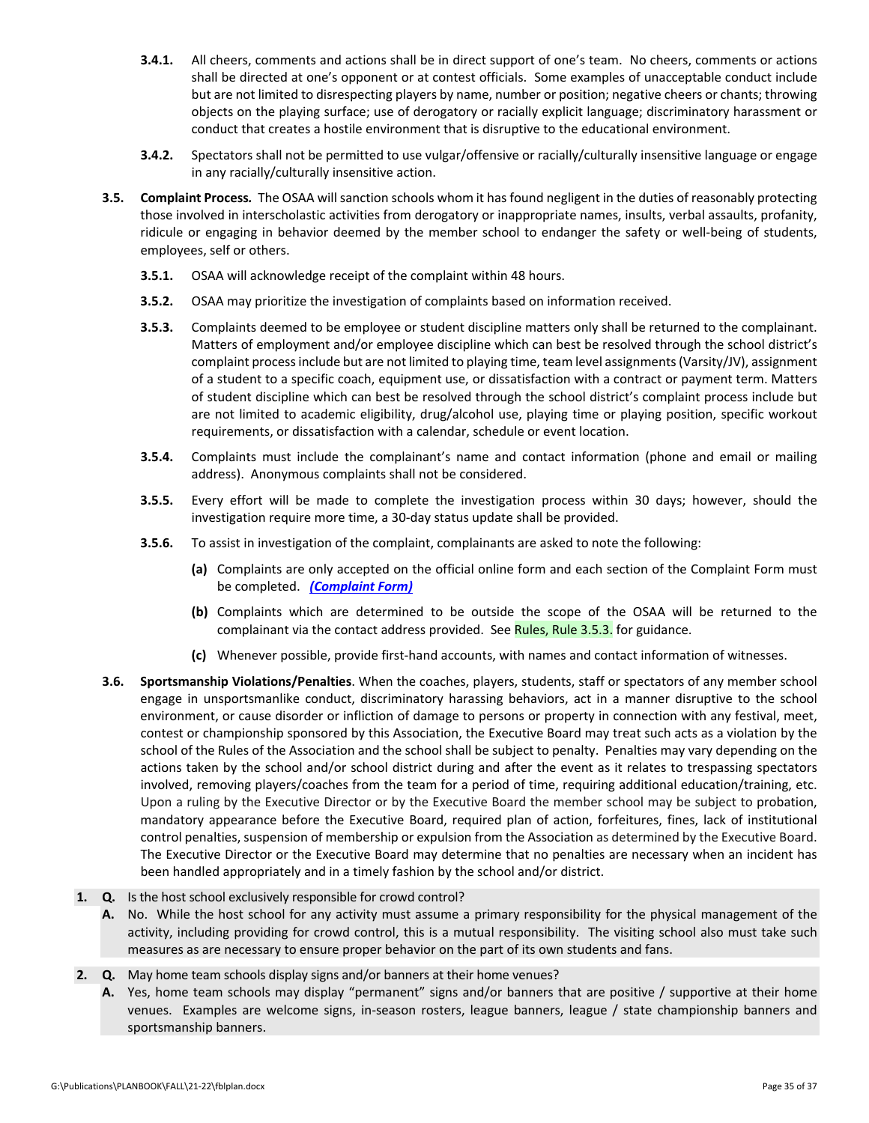- **3.4.1.** All cheers, comments and actions shall be in direct support of one's team. No cheers, comments or actions shall be directed at one's opponent or at contest officials. Some examples of unacceptable conduct include but are not limited to disrespecting players by name, number or position; negative cheers or chants; throwing objects on the playing surface; use of derogatory or racially explicit language; discriminatory harassment or conduct that creates a hostile environment that is disruptive to the educational environment.
- **3.4.2.** Spectators shall not be permitted to use vulgar/offensive or racially/culturally insensitive language or engage in any racially/culturally insensitive action.
- **3.5. Complaint Process***.* The OSAA will sanction schools whom it has found negligent in the duties of reasonably protecting those involved in interscholastic activities from derogatory or inappropriate names, insults, verbal assaults, profanity, ridicule or engaging in behavior deemed by the member school to endanger the safety or well‐being of students, employees, self or others.
	- **3.5.1.** OSAA will acknowledge receipt of the complaint within 48 hours.
	- **3.5.2.** OSAA may prioritize the investigation of complaints based on information received.
	- **3.5.3.** Complaints deemed to be employee or student discipline matters only shall be returned to the complainant. Matters of employment and/or employee discipline which can best be resolved through the school district's complaint processinclude but are not limited to playing time, team level assignments(Varsity/JV), assignment of a student to a specific coach, equipment use, or dissatisfaction with a contract or payment term. Matters of student discipline which can best be resolved through the school district's complaint process include but are not limited to academic eligibility, drug/alcohol use, playing time or playing position, specific workout requirements, or dissatisfaction with a calendar, schedule or event location.
	- **3.5.4.** Complaints must include the complainant's name and contact information (phone and email or mailing address). Anonymous complaints shall not be considered.
	- **3.5.5.** Every effort will be made to complete the investigation process within 30 days; however, should the investigation require more time, a 30‐day status update shall be provided.
	- **3.5.6.** To assist in investigation of the complaint, complainants are asked to note the following:
		- **(a)** Complaints are only accepted on the official online form and each section of the Complaint Form must be completed. *[\(Complaint](https://www.osaa.org/governance/forms) Form)*
		- **(b)** Complaints which are determined to be outside the scope of the OSAA will be returned to the complainant via the contact address provided. See [Rules,](http://www.osaa.org/governance/handbooks/osaa#_Toc456100266) Rule 3.5.3. for guidance.
		- **(c)** Whenever possible, provide first‐hand accounts, with names and contact information of witnesses.
- **3.6. Sportsmanship Violations/Penalties**. When the coaches, players, students, staff or spectators of any member school engage in unsportsmanlike conduct, discriminatory harassing behaviors, act in a manner disruptive to the school environment, or cause disorder or infliction of damage to persons or property in connection with any festival, meet, contest or championship sponsored by this Association, the Executive Board may treat such acts as a violation by the school of the Rules of the Association and the school shall be subject to penalty. Penalties may vary depending on the actions taken by the school and/or school district during and after the event as it relates to trespassing spectators involved, removing players/coaches from the team for a period of time, requiring additional education/training, etc. Upon a ruling by the Executive Director or by the Executive Board the member school may be subject to probation, mandatory appearance before the Executive Board, required plan of action, forfeitures, fines, lack of institutional control penalties, suspension of membership or expulsion from the Association as determined by the Executive Board. The Executive Director or the Executive Board may determine that no penalties are necessary when an incident has been handled appropriately and in a timely fashion by the school and/or district.
- **1. Q.** Is the host school exclusively responsible for crowd control?
	- **A.** No. While the host school for any activity must assume a primary responsibility for the physical management of the activity, including providing for crowd control, this is a mutual responsibility. The visiting school also must take such measures as are necessary to ensure proper behavior on the part of its own students and fans.
- **2. Q.** May home team schools display signs and/or banners at their home venues?
	- **A.** Yes, home team schools may display "permanent" signs and/or banners that are positive / supportive at their home venues. Examples are welcome signs, in‐season rosters, league banners, league / state championship banners and sportsmanship banners.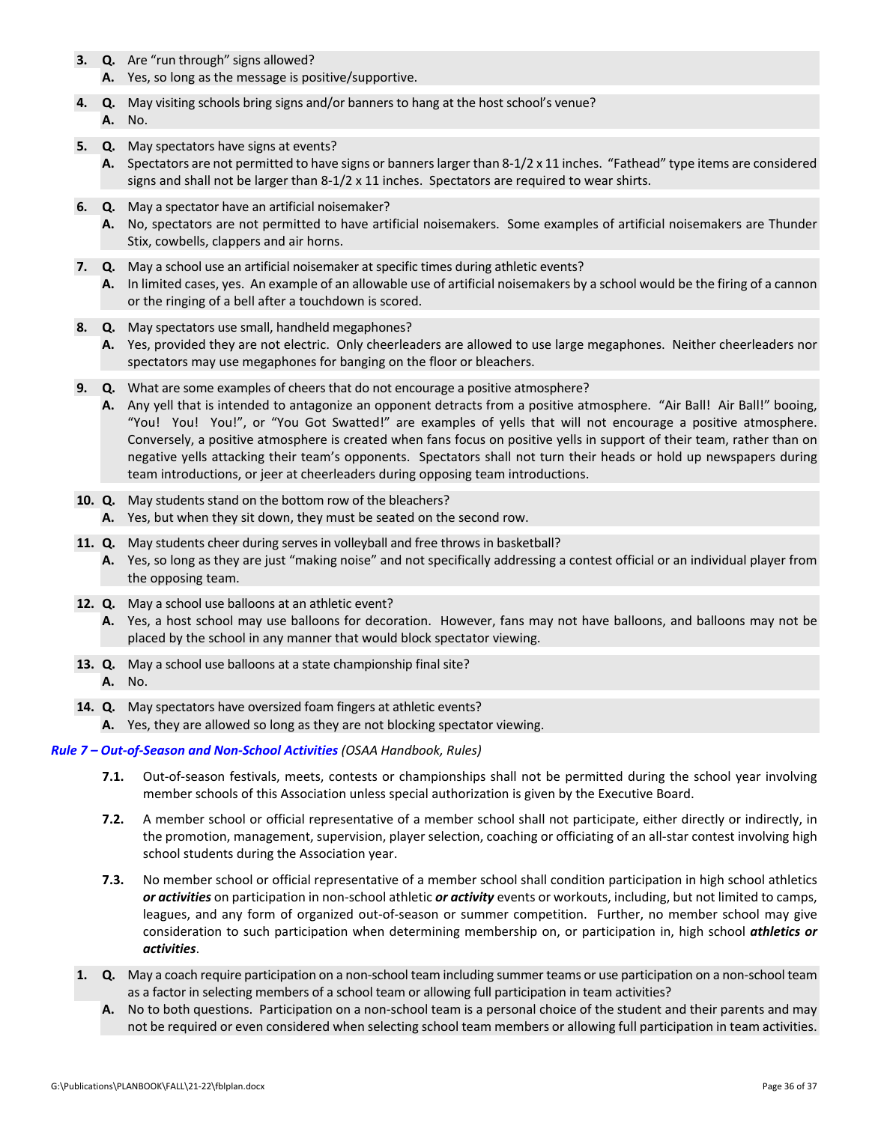- **3. Q.** Are "run through" signs allowed?
	- **A.** Yes, so long as the message is positive/supportive.
- **4. Q.** May visiting schools bring signs and/or banners to hang at the host school's venue? **A.** No.
- **5. Q.** May spectators have signs at events?
	- **A.** Spectators are not permitted to have signs or bannerslarger than 8‐1/2 x 11 inches. "Fathead" type items are considered signs and shall not be larger than  $8-1/2 \times 11$  inches. Spectators are required to wear shirts.
- **6. Q.** May a spectator have an artificial noisemaker?
	- **A.** No, spectators are not permitted to have artificial noisemakers. Some examples of artificial noisemakers are Thunder Stix, cowbells, clappers and air horns.
- **7. Q.** May a school use an artificial noisemaker at specific times during athletic events?
	- **A.** In limited cases, yes. An example of an allowable use of artificial noisemakers by a school would be the firing of a cannon or the ringing of a bell after a touchdown is scored.
- **8. Q.** May spectators use small, handheld megaphones?
	- **A.** Yes, provided they are not electric. Only cheerleaders are allowed to use large megaphones. Neither cheerleaders nor spectators may use megaphones for banging on the floor or bleachers.
- **9. Q.** What are some examples of cheers that do not encourage a positive atmosphere?
	- **A.** Any yell that is intended to antagonize an opponent detracts from a positive atmosphere. "Air Ball! Air Ball!" booing, "You! You! You!", or "You Got Swatted!" are examples of yells that will not encourage a positive atmosphere. Conversely, a positive atmosphere is created when fans focus on positive yells in support of their team, rather than on negative yells attacking their team's opponents. Spectators shall not turn their heads or hold up newspapers during team introductions, or jeer at cheerleaders during opposing team introductions.
- **10. Q.** May students stand on the bottom row of the bleachers?
	- **A.** Yes, but when they sit down, they must be seated on the second row.
- **11. Q.** May students cheer during serves in volleyball and free throws in basketball?
	- **A.** Yes, so long as they are just "making noise" and not specifically addressing a contest official or an individual player from the opposing team.
- **12. Q.** May a school use balloons at an athletic event?
	- **A.** Yes, a host school may use balloons for decoration. However, fans may not have balloons, and balloons may not be placed by the school in any manner that would block spectator viewing.
- **13. Q.** May a school use balloons at a state championship final site?
	- **A.** No.
- **14. Q.** May spectators have oversized foam fingers at athletic events?
	- **A.** Yes, they are allowed so long as they are not blocking spectator viewing.

### *Rule 7 – Out‐of‐Season and Non‐School [Activities](http://www.osaa.org/governance/handbooks/osaa#_Toc456100270) (OSAA Handbook, Rules)*

- **7.1.** Out‐of‐season festivals, meets, contests or championships shall not be permitted during the school year involving member schools of this Association unless special authorization is given by the Executive Board.
- **7.2.** A member school or official representative of a member school shall not participate, either directly or indirectly, in the promotion, management, supervision, player selection, coaching or officiating of an all‐star contest involving high school students during the Association year.
- **7.3.** No member school or official representative of a member school shall condition participation in high school athletics *or activities* on participation in non‐school athletic *or activity* events or workouts, including, but not limited to camps, leagues, and any form of organized out-of-season or summer competition. Further, no member school may give consideration to such participation when determining membership on, or participation in, high school *athletics or activities*.
- **1. Q.** May a coach require participation on a non‐school team including summer teams or use participation on a non‐school team as a factor in selecting members of a school team or allowing full participation in team activities?
	- **A.** No to both questions. Participation on a non‐school team is a personal choice of the student and their parents and may not be required or even considered when selecting school team members or allowing full participation in team activities.